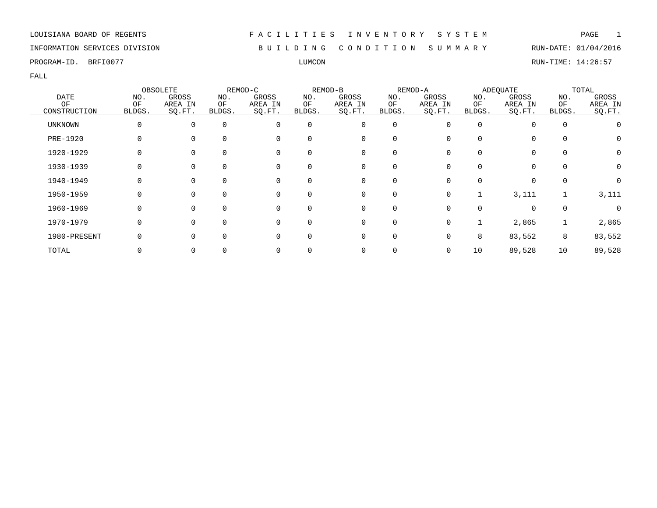INFORMATION SERVICES DIVISION B U I L D I N G C O N D I T I O N S U M M A R Y RUN-DATE: 01/04/2016

PROGRAM-ID. BRFI0077 LUMCON RUN-TIME: 14:26:57

|                |        | OBSOLETE |          | REMOD-C  |          | REMOD-B  |             | REMOD-A  |        | <b>ADEQUATE</b> |          | TOTAL            |
|----------------|--------|----------|----------|----------|----------|----------|-------------|----------|--------|-----------------|----------|------------------|
| <b>DATE</b>    | NO.    | GROSS    | NO.      | GROSS    | NO.      | GROSS    | NO.         | GROSS    | NO.    | GROSS           | NO.      | GROSS            |
| ΟF             | ΟF     | AREA IN  | ΟF       | AREA IN  | ΟF       | AREA IN  | ΟF          | AREA IN  | ΟF     | AREA IN         | ΟF       | AREA IN          |
| CONSTRUCTION   | BLDGS. | SQ.FT.   | BLDGS.   | SQ.FT.   | BLDGS.   | SQ.FT.   | BLDGS.      | SQ.FT.   | BLDGS. | SQ.FT.          | BLDGS.   | SQ.FT.           |
| <b>UNKNOWN</b> |        |          | $\Omega$ | $\Omega$ | $\Omega$ | 0        | $\mathbf 0$ | $\Omega$ |        | 0               | $\Omega$ |                  |
| PRE-1920       |        |          |          |          | $\Omega$ | 0        | 0           |          |        | 0               |          | $\left( \right)$ |
| 1920-1929      |        |          |          |          | $\Omega$ | 0        | 0           |          |        | 0               |          | 0                |
| 1930-1939      |        |          |          |          | 0        | 0        | 0           |          |        | 0               |          |                  |
| 1940-1949      |        |          | $\Omega$ | $\Omega$ | $\Omega$ | 0        | 0           | 0        | 0      | $\Omega$        | $\Omega$ | 0                |
| 1950-1959      |        |          | $\Omega$ | $\Omega$ | $\Omega$ | $\Omega$ | $\mathbf 0$ | $\Omega$ |        | 3,111           |          | 3,111            |
| 1960-1969      |        |          |          | $\Omega$ | $\Omega$ | $\Omega$ | $\Omega$    | ∩        |        | $\Omega$        | $\Omega$ |                  |
| 1970-1979      |        |          |          | $\Omega$ | $\Omega$ | 0        | 0           | 0        |        | 2,865           |          | 2,865            |
| 1980-PRESENT   |        |          |          |          | $\Omega$ | 0        | 0           |          | 8      | 83,552          | 8        | 83,552           |
| TOTAL          |        |          |          |          |          | 0        | 0           |          | 10     | 89,528          | 10       | 89,528           |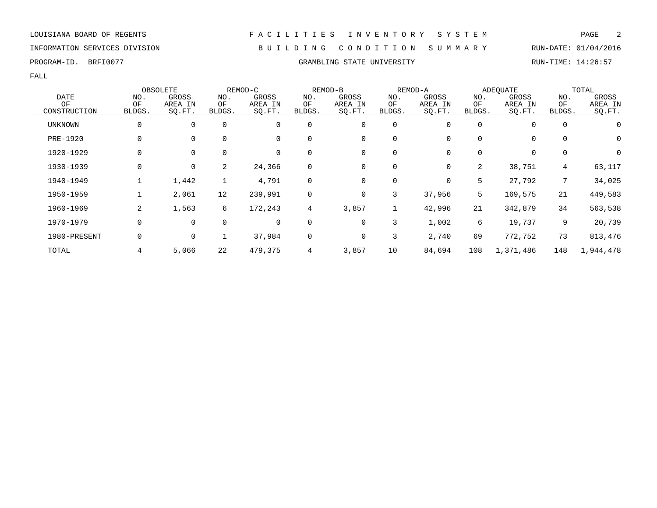### INFORMATION SERVICES DIVISION B U I L D I N G C O N D I T I O N S U M M A R Y RUN-DATE: 01/04/2016

PROGRAM-ID. BRFI0077 CRAMBLING STATE UNIVERSITY RUN-TIME: 14:26:57

|                |        | OBSOLETE    |             | REMOD-C |                | REMOD-B |             | REMOD-A |          | <b>ADEQUATE</b> |                 | TOTAL     |
|----------------|--------|-------------|-------------|---------|----------------|---------|-------------|---------|----------|-----------------|-----------------|-----------|
| <b>DATE</b>    | NO.    | GROSS       | NO.         | GROSS   | NO.            | GROSS   | NO.         | GROSS   | NO.      | GROSS           | NO.             | GROSS     |
| OF             | ΟF     | AREA IN     | ΟF          | AREA IN | ΟF             | AREA IN | ΟF          | AREA IN | ΟF       | AREA IN         | OF              | AREA IN   |
| CONSTRUCTION   | BLDGS. | SO.FT.      | BLDGS.      | SQ.FT.  | BLDGS.         | SO.FT.  | BLDGS.      | SO.FT.  | BLDGS.   | SO.FT.          | BLDGS.          | SO.FT.    |
| <b>UNKNOWN</b> | 0      | $\mathbf 0$ | $\mathbf 0$ | 0       | 0              | 0       | $\mathbf 0$ |         | $\Omega$ | 0               | 0               |           |
| PRE-1920       | 0      | $\mathbf 0$ | $\Omega$    | 0       | $\Omega$       | 0       | $\mathbf 0$ |         | 0        | 0               | $\Omega$        | 0         |
| 1920-1929      | 0      | $\mathbf 0$ | $\mathbf 0$ | 0       | 0              | 0       | 0           |         | 0        | 0               | 0               | 0         |
| 1930-1939      | 0      | 0           | 2           | 24,366  | $\mathbf 0$    | 0       | 0           | 0       | 2        | 38,751          | $4\overline{ }$ | 63,117    |
| 1940-1949      |        | 1,442       | 1           | 4,791   | 0              | 0       | 0           | 0       | 5        | 27,792          | $7\overline{ }$ | 34,025    |
| 1950-1959      |        | 2,061       | 12          | 239,991 | 0              | 0       | 3           | 37,956  | 5        | 169,575         | 21              | 449,583   |
| 1960-1969      | 2      | 1,563       | 6           | 172,243 | $\overline{4}$ | 3,857   | 1           | 42,996  | 21       | 342,879         | 34              | 563,538   |
| 1970-1979      | 0      | $\mathbf 0$ | $\mathbf 0$ | 0       | $\mathbf 0$    | 0       | 3           | 1,002   | 6        | 19,737          | 9               | 20,739    |
| 1980-PRESENT   | 0      | 0           |             | 37,984  | $\mathbf 0$    | 0       | 3           | 2,740   | 69       | 772,752         | 73              | 813,476   |
| TOTAL          |        | 5,066       | 22          | 479,375 | $\overline{4}$ | 3,857   | 10          | 84,694  | 108      | 1,371,486       | 148             | 1,944,478 |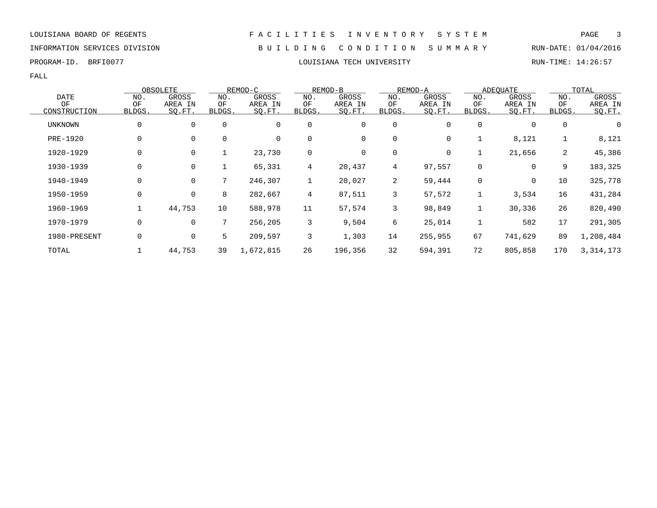# INFORMATION SERVICES DIVISION B U I L D I N G C O N D I T I O N S U M M A R Y RUN-DATE: 01/04/2016

PROGRAM-ID. BRFI0077 **EXAM-ID.** BRFI0077 **RUN-TIME: 14:26:57** 

|              |             | OBSOLETE    |             | REMOD-C     |                | REMOD-B |        | REMOD-A |              | ADEOUATE    |        | TOTAL       |
|--------------|-------------|-------------|-------------|-------------|----------------|---------|--------|---------|--------------|-------------|--------|-------------|
| <b>DATE</b>  | NO.         | GROSS       | NO.         | GROSS       | NO.            | GROSS   | NO.    | GROSS   | NO.          | GROSS       | NO.    | GROSS       |
| ΟF           | ΟF          | AREA IN     | ΟF          | AREA IN     | ΟF             | AREA IN | ΟF     | AREA IN | OF           | AREA IN     | ΟF     | AREA IN     |
| CONSTRUCTION | BLDGS.      | SQ.FT.      | BLDGS.      | SQ.FT.      | <b>BLDGS</b>   | SQ.FT.  | BLDGS. | SQ.FT.  | BLDGS.       | SQ.FT.      | BLDGS. | SQ.FT.      |
| UNKNOWN      |             | 0           | 0           | $\mathbf 0$ | $\mathbf 0$    | 0       | 0      | 0       | 0            | 0           | 0      | 0           |
| PRE-1920     |             | 0           | $\mathbf 0$ | 0           | 0              | 0       | 0      | 0       |              | 8,121       | 1      | 8,121       |
| 1920-1929    |             | 0           | ᆂ           | 23,730      | 0              | 0       | 0      | 0       |              | 21,656      | 2      | 45,386      |
| 1930-1939    | $\mathbf 0$ | 0           | 1           | 65,331      | $\overline{4}$ | 20,437  | 4      | 97,557  | $\mathbf{0}$ | $\mathbf 0$ | 9      | 183,325     |
| 1940-1949    |             | $\mathbf 0$ | 7           | 246,307     | $\mathbf{1}$   | 20,027  | 2      | 59,444  | 0            | $\mathbf 0$ | 10     | 325,778     |
| 1950-1959    | 0           | 0           | 8           | 282,667     | 4              | 87,511  | 3      | 57,572  |              | 3,534       | 16     | 431,284     |
| 1960-1969    |             | 44,753      | 10          | 588,978     | 11             | 57,574  | 3      | 98,849  |              | 30,336      | 26     | 820,490     |
| 1970-1979    | 0           | 0           | 7           | 256,205     | 3              | 9,504   | 6      | 25,014  |              | 582         | 17     | 291,305     |
| 1980-PRESENT |             | 0           | 5           | 209,597     | 3              | 1,303   | 14     | 255,955 | 67           | 741,629     | 89     | 1,208,484   |
| TOTAL        |             | 44,753      | 39          | 1,672,815   | 26             | 196,356 | 32     | 594,391 | 72           | 805,858     | 170    | 3, 314, 173 |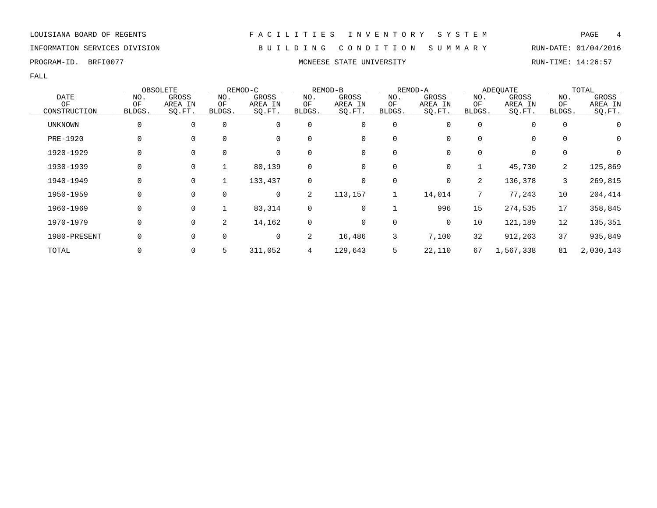INFORMATION SERVICES DIVISION B U I L D I N G C O N D I T I O N S U M M A R Y RUN-DATE: 01/04/2016

PROGRAM-ID. BRFI0077 **MONEESE STATE UNIVERSITY MONEESE STATE UNIVERSITY** RUN-TIME: 14:26:57

|              |        | OBSOLETE    |             | REMOD-C |        | REMOD-B |        | REMOD-A  |                | <b>ADEOUATE</b> |             | TOTAL     |
|--------------|--------|-------------|-------------|---------|--------|---------|--------|----------|----------------|-----------------|-------------|-----------|
| <b>DATE</b>  | NO.    | GROSS       | NO.         | GROSS   | NO.    | GROSS   | NO.    | GROSS    | NO.            | GROSS           | NO.         | GROSS     |
| ΟF           | OF     | AREA IN     | ΟF          | AREA IN | ΟF     | AREA IN | OF     | AREA IN  | ΟF             | AREA IN         | OF          | AREA IN   |
| CONSTRUCTION | BLDGS. | SQ.FT.      | BLDGS.      | SQ.FT.  | BLDGS. | SQ.FT.  | BLDGS. | SQ.FT.   | BLDGS.         | SQ.FT.          | BLDGS.      | SQ.FT.    |
| UNKNOWN      | 0      | $\mathbf 0$ | $\mathbf 0$ | 0       | 0      | 0       | 0      | 0        | 0              | 0               | $\mathbf 0$ | 0         |
| PRE-1920     | 0      | $\mathbf 0$ | 0           | 0       | 0      | 0       | 0      | 0        | 0              | 0               | 0           | 0         |
| 1920-1929    | 0      | $\mathbf 0$ | 0           | 0       | 0      | 0       | 0      | 0        | 0              | 0               | 0           | 0         |
| 1930-1939    | 0      | $\mathbf 0$ | 1           | 80,139  | 0      | 0       | 0      | 0        |                | 45,730          | 2           | 125,869   |
| 1940-1949    | 0      | $\mathbf 0$ |             | 133,437 | 0      | 0       | 0      | $\Omega$ | $\overline{2}$ | 136,378         | 3           | 269,815   |
| 1950-1959    | 0      | $\Omega$    | $\mathbf 0$ | 0       | 2      | 113,157 | 1      | 14,014   |                | 77,243          | 10          | 204,414   |
| 1960-1969    | 0      | 0           |             | 83,314  | 0      | 0       |        | 996      | 15             | 274,535         | 17          | 358,845   |
| 1970-1979    | 0      | 0           | 2           | 14,162  | 0      | 0       | 0      | 0        | 10             | 121,189         | 12          | 135,351   |
| 1980-PRESENT | 0      | 0           | $\mathbf 0$ | 0       | 2      | 16,486  | 3      | 7,100    | 32             | 912,263         | 37          | 935,849   |
| TOTAL        |        | 0           | 5           | 311,052 | 4      | 129,643 | 5      | 22,110   | 67             | 1,567,338       | 81          | 2,030,143 |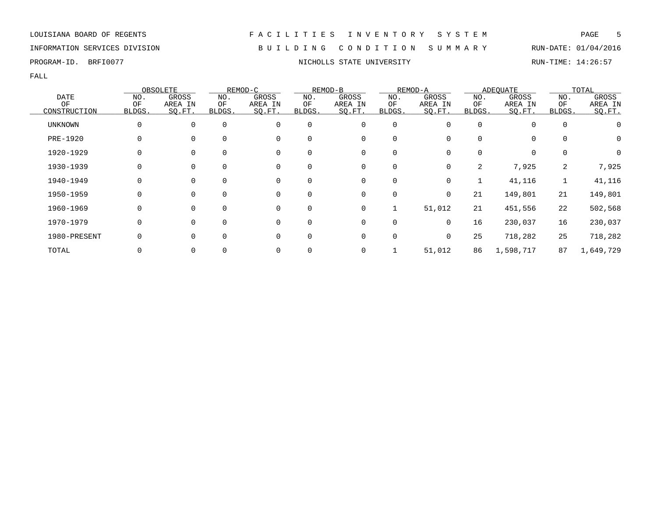# INFORMATION SERVICES DIVISION B U I L D I N G C O N D I T I O N S U M M A R Y RUN-DATE: 01/04/2016

FALL

|                |              | OBSOLETE    |             | REMOD-C  |          | REMOD-B |             | REMOD-A  |        | <b>ADEQUATE</b> |             | TOTAL     |
|----------------|--------------|-------------|-------------|----------|----------|---------|-------------|----------|--------|-----------------|-------------|-----------|
| <b>DATE</b>    | NO.          | GROSS       | NO.         | GROSS    | NO.      | GROSS   | NO.         | GROSS    | NO.    | GROSS           | NO.         | GROSS     |
| ΟF             | ΟF           | AREA IN     | ΟF          | AREA IN  | ΟF       | AREA IN | ΟF          | AREA IN  | ΟF     | AREA IN         | ΟF          | AREA IN   |
| CONSTRUCTION   | BLDGS.       | SO.FT.      | BLDGS.      | SQ.FT.   | BLDGS.   | SQ.FT.  | BLDGS.      | SQ.FT.   | BLDGS. | SO.FT.          | BLDGS.      | SO.FT.    |
| <b>UNKNOWN</b> | 0            | $\mathbf 0$ | $\mathbf 0$ | 0        | 0        | 0       | 0           | O        | 0      | 0               | $\mathbf 0$ |           |
| PRE-1920       | 0            | $\Omega$    | $\Omega$    | 0        | $\Omega$ | 0       | 0           | 0        | 0      | 0               | $\Omega$    | 0         |
| 1920-1929      |              | $\Omega$    |             | 0        |          | 0       | 0           |          | O.     | 0               | $\Omega$    | 0         |
| 1930-1939      |              | 0           | 0           | 0        | 0        | 0       | 0           | 0        | 2      | 7,925           | 2           | 7,925     |
| 1940-1949      | 0            | $\mathbf 0$ | 0           | 0        | 0        | 0       | $\mathbf 0$ | 0        |        | 41,116          |             | 41,116    |
| 1950-1959      | <sup>0</sup> | $\Omega$    | $\Omega$    | $\Omega$ | $\Omega$ | 0       | 0           | $\Omega$ | 21     | 149,801         | 21          | 149,801   |
| 1960-1969      | <sup>0</sup> | $\Omega$    | $\Omega$    | 0        | 0        | 0       | 1           | 51,012   | 21     | 451,556         | 22          | 502,568   |
| 1970-1979      |              | $\Omega$    | $\Omega$    | $\Omega$ | $\Omega$ | 0       | 0           | $\Omega$ | 16     | 230,037         | 16          | 230,037   |
| 1980-PRESENT   |              | $\Omega$    | $\Omega$    | 0        | 0        | 0       | 0           | 0        | 25     | 718,282         | 25          | 718,282   |
| TOTAL          |              | 0           |             | 0        |          | 0       |             | 51,012   | 86     | 1,598,717       | 87          | 1,649,729 |

PROGRAM-ID. BRFI0077 **NICHOLLS STATE UNIVERSITY NICHOLLS STATE UNIVERSITY** RUN-TIME: 14:26:57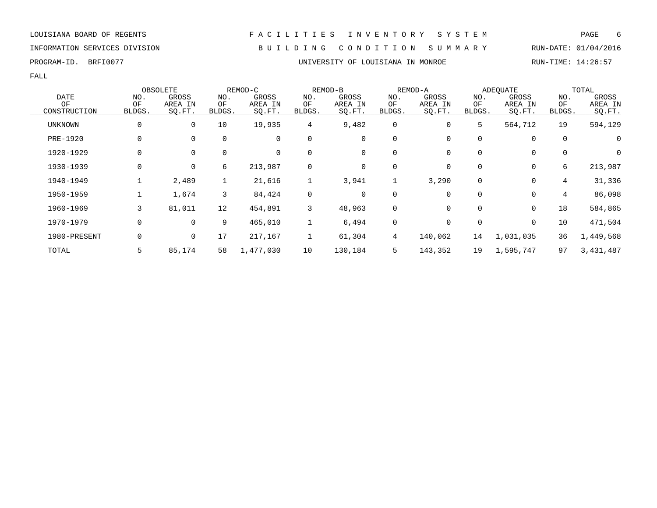FALL

|                |              | OBSOLETE     |             | REMOD-C   |                | REMOD-B |             | REMOD-A  |          | <b>ADEOUATE</b> |             | TOTAL       |
|----------------|--------------|--------------|-------------|-----------|----------------|---------|-------------|----------|----------|-----------------|-------------|-------------|
| <b>DATE</b>    | NO.          | <b>GROSS</b> | NO.         | GROSS     | NO.            | GROSS   | NO.         | GROSS    | NO.      | GROSS           | NO.         | GROSS       |
| OF             | OF           | AREA IN      | ΟF          | AREA IN   | OF             | AREA IN | OF          | AREA IN  | ΟF       | AREA IN         | ΟF          | AREA IN     |
| CONSTRUCTION   | <b>BLDGS</b> | SQ.FT.       | BLDGS.      | SQ.FT.    | BLDGS.         | SO.FT.  | BLDGS.      | SQ.FT.   | BLDGS.   | SQ.FT.          | BLDGS.      | SQ.FT.      |
| <b>UNKNOWN</b> |              | 0            | 10          | 19,935    | $\overline{4}$ | 9,482   | $\mathbf 0$ | 0        | 5        | 564,712         | 19          | 594,129     |
| PRE-1920       |              | 0            | 0           | 0         | 0              | 0       | 0           | 0        |          | 0               | 0           | 0           |
| 1920-1929      |              | 0            | $\mathbf 0$ | 0         | $\mathbf 0$    | 0       | 0           | 0        |          | 0               | $\mathbf 0$ | $\mathbf 0$ |
| 1930-1939      | 0            | 0            | 6           | 213,987   | 0              | 0       | 0           | 0        | $\Omega$ | 0               | 6           | 213,987     |
| 1940-1949      |              | 2,489        | ᆂ           | 21,616    | 1              | 3,941   | Ŧ.          | 3,290    | $\Omega$ | 0               | 4           | 31,336      |
| 1950-1959      |              | 1,674        | 3           | 84,424    | 0              | 0       | 0           | 0        |          | 0               | 4           | 86,098      |
| 1960-1969      | 3            | 81,011       | 12          | 454,891   | 3              | 48,963  | 0           | $\Omega$ |          | $\mathbf 0$     | 18          | 584,865     |
| 1970-1979      | 0            | 0            | 9           | 465,010   |                | 6,494   | 0           | 0        |          | 0               | 10          | 471,504     |
| 1980-PRESENT   |              | 0            | 17          | 217,167   |                | 61,304  | 4           | 140,062  | 14       | 1,031,035       | 36          | 1,449,568   |
| TOTAL          |              | 85,174       | 58          | 1,477,030 | 10             | 130,184 | 5           | 143,352  | 19       | 1,595,747       | 97          | 3,431,487   |

# LOUISIANA BOARD OF REGENTS F A C I L I T I E S I N V E N T O R Y S Y S T E M PAGE 6

INFORMATION SERVICES DIVISION B U I L D I N G C O N D I T I O N S U M M A R Y RUN-DATE: 01/04/2016

PROGRAM-ID. BRFI0077 UNIVERSITY OF LOUISIANA IN MONROE RUN-TIME: 14:26:57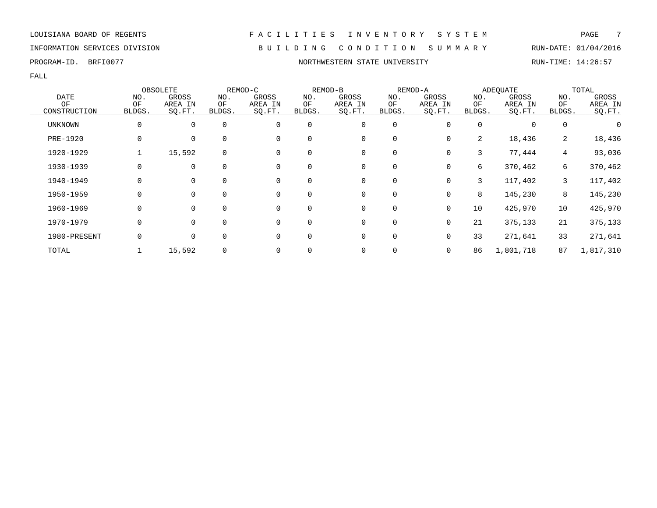# INFORMATION SERVICES DIVISION B U I L D I N G C O N D I T I O N S U M M A R Y RUN-DATE: 01/04/2016

FALL

|              |              | OBSOLETE    |             | REMOD-C     |             | REMOD-B |             | REMOD-A  |          | <b>ADEOUATE</b> |                 | TOTAL     |
|--------------|--------------|-------------|-------------|-------------|-------------|---------|-------------|----------|----------|-----------------|-----------------|-----------|
| <b>DATE</b>  | NO.          | GROSS       | NO.         | GROSS       | NO.         | GROSS   | NO.         | GROSS    | NO.      | GROSS           | NO.             | GROSS     |
| ΟF           | ΟF           | AREA IN     | ΟF          | AREA IN     | ΟF          | AREA IN | ΟF          | AREA IN  | ΟF       | AREA IN         | ΟF              | AREA IN   |
| CONSTRUCTION | <b>BLDGS</b> | SQ.FT.      | BLDGS.      | SQ.FT.      | BLDGS.      | SQ.FT.  | BLDGS.      | SQ.FT.   | BLDGS.   | SQ.FT.          | BLDGS.          | SQ.FT.    |
| UNKNOWN      | 0            | $\mathbf 0$ | $\mathbf 0$ | $\mathbf 0$ | $\mathbf 0$ | 0       | 0           |          | $\Omega$ | 0               | 0               |           |
| PRE-1920     | 0            | 0           | $\mathbf 0$ | 0           | $\mathbf 0$ | 0       | 0           | 0        | 2        | 18,436          | 2               | 18,436    |
| 1920-1929    |              | 15,592      | $\mathbf 0$ | $\Omega$    | $\Omega$    | 0       | 0           | 0        | 3        | 77,444          | $4\overline{ }$ | 93,036    |
| 1930-1939    | 0            | $\Omega$    | $\Omega$    | $\Omega$    | $\Omega$    | 0       | 0           |          | б.       | 370,462         | 6               | 370,462   |
| 1940-1949    | 0            | $\mathbf 0$ | $\mathbf 0$ | 0           | $\mathbf 0$ | 0       | 0           | 0        | 3        | 117,402         | 3               | 117,402   |
| 1950-1959    | 0            | 0           | 0           | 0           | $\mathbf 0$ | 0       | 0           | 0        | 8        | 145,230         | 8               | 145,230   |
| 1960-1969    | 0            | 0           | 0           | 0           | $\mathbf 0$ | 0       | 0           | 0        | 10       | 425,970         | 10              | 425,970   |
| 1970-1979    | 0            | $\mathbf 0$ | $\mathbf 0$ | 0           | $\mathbf 0$ | 0       | $\mathbf 0$ | 0        | 21       | 375,133         | 21              | 375,133   |
| 1980-PRESENT | 0            | $\mathbf 0$ | $\mathbf 0$ | $\Omega$    | $\Omega$    | 0       | $\mathbf 0$ | $\Omega$ | 33       | 271,641         | 33              | 271,641   |
| TOTAL        |              | 15,592      | $\mathbf 0$ | 0           |             | 0       | 0           | 0        | 86       | 1,801,718       | 87              | 1,817,310 |

PROGRAM-ID. BRFI0077 **NORTHWESTERN STATE UNIVERSITY** RUN-TIME: 14:26:57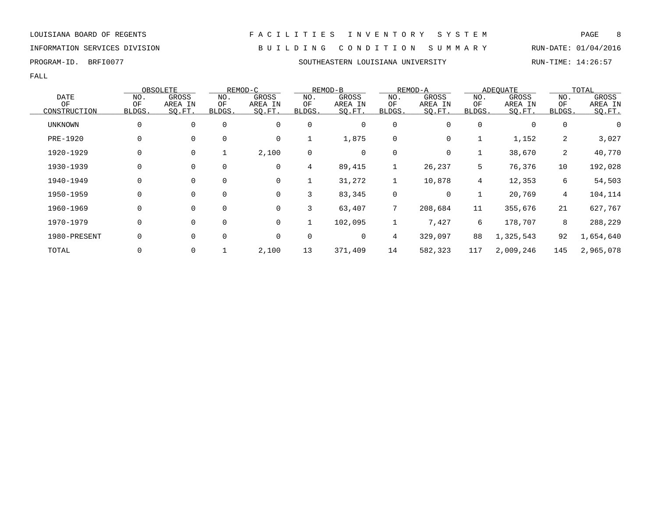INFORMATION SERVICES DIVISION B U I L D I N G C O N D I T I O N S U M M A R Y RUN-DATE: 01/04/2016

PROGRAM-ID. BRFI0077 SOUTHEASTERN LOUISIANA UNIVERSITY RUN-TIME: 14:26:57

|                |              | OBSOLETE    |             | REMOD-C |                | REMOD-B |                 | REMOD-A |              | <b>ADEOUATE</b> |             | TOTAL     |
|----------------|--------------|-------------|-------------|---------|----------------|---------|-----------------|---------|--------------|-----------------|-------------|-----------|
| <b>DATE</b>    | NO.          | GROSS       | NO.         | GROSS   | NO.            | GROSS   | NO.             | GROSS   | NO.          | GROSS           | NO.         | GROSS     |
| ΟF             | ΟF           | AREA IN     | ΟF          | AREA IN | ΟF             | AREA IN | ΟF              | AREA IN | ΟF           | AREA IN         | ΟF          | AREA IN   |
| CONSTRUCTION   | <b>BLDGS</b> | SQ.FT.      | BLDGS.      | SQ.FT.  | <b>BLDGS</b> . | SQ.FT.  | BLDGS.          | SQ.FT.  | <b>BLDGS</b> | SO.FT.          | BLDGS.      | SQ.FT.    |
| <b>UNKNOWN</b> | 0            | $\mathbf 0$ | $\mathbf 0$ | 0       | 0              | 0       | 0               | 0       | 0            | 0               | $\mathbf 0$ |           |
| PRE-1920       | 0            | $\mathbf 0$ | $\mathbf 0$ | 0       |                | 1,875   | 0               | 0       |              | 1,152           | 2           | 3,027     |
| 1920-1929      | 0            | $\mathbf 0$ |             | 2,100   | 0              | 0       | 0               | 0       |              | 38,670          | 2           | 40,770    |
| 1930-1939      | 0            | $\mathbf 0$ | $\mathbf 0$ | 0       | 4              | 89,415  | 1               | 26,237  | 5            | 76,376          | 10          | 192,028   |
| 1940-1949      | 0            | 0           | $\mathbf 0$ | 0       |                | 31,272  | 1               | 10,878  | 4            | 12,353          | 6           | 54,503    |
| 1950-1959      | 0            | $\mathbf 0$ | $\mathbf 0$ | 0       | 3              | 83,345  | 0               | 0       |              | 20,769          | 4           | 104,114   |
| 1960-1969      | 0            | $\mathbf 0$ | $\mathbf 0$ | 0       | 3              | 63,407  | 7               | 208,684 | 11           | 355,676         | 21          | 627,767   |
| 1970-1979      | 0            | $\mathbf 0$ | $\mathbf 0$ | 0       |                | 102,095 | 1               | 7,427   | 6            | 178,707         | 8           | 288,229   |
| 1980-PRESENT   | 0            | $\mathbf 0$ | $\mathbf 0$ | 0       | 0              | 0       | $4\overline{ }$ | 329,097 | 88           | 1,325,543       | 92          | 1,654,640 |
| TOTAL          |              | 0           |             | 2,100   | 13             | 371,409 | 14              | 582,323 | 117          | 2,009,246       | 145         | 2,965,078 |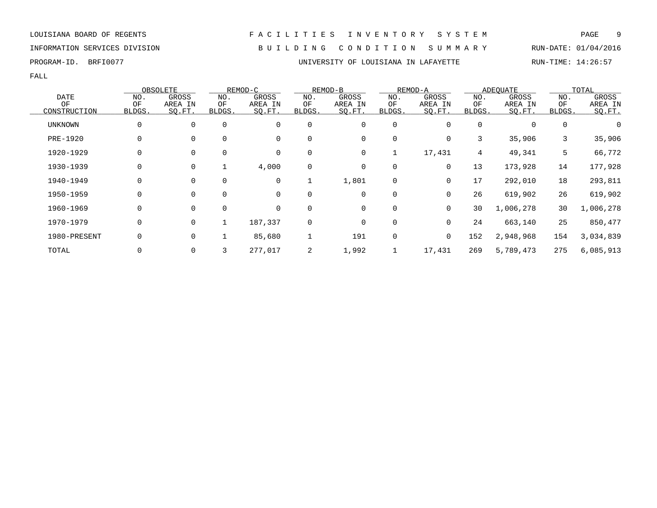INFORMATION SERVICES DIVISION B U I L D I N G C O N D I T I O N S U M M A R Y RUN-DATE: 01/04/2016

FALL

|                |        | OBSOLETE       |             | REMOD-C |             | REMOD-B     |             | REMOD-A     |          | ADEOUATE  |             | TOTAL     |
|----------------|--------|----------------|-------------|---------|-------------|-------------|-------------|-------------|----------|-----------|-------------|-----------|
| <b>DATE</b>    | NO.    | GROSS          | NO.         | GROSS   | NO.         | GROSS       | NO.         | GROSS       | NO.      | GROSS     | NO.         | GROSS     |
| ΟF             | ΟF     | AREA IN        | ΟF          | AREA IN | ΟF          | AREA IN     | ΟF          | AREA IN     | ΟF       | AREA IN   | ΟF          | AREA IN   |
| CONSTRUCTION   | BLDGS. | SQ.FT.         | BLDGS.      | SQ.FT.  | BLDGS.      | SQ.FT.      | BLDGS.      | SQ.FT.      | BLDGS.   | SO.FT.    | BLDGS.      | SO.FT.    |
| <b>UNKNOWN</b> | 0      | $\mathbf{0}$   | $\Omega$    | 0       | $\Omega$    | $\mathbf 0$ | 0           | $\Omega$    | $\Omega$ | $\Omega$  | $\mathbf 0$ |           |
| PRE-1920       | 0      | $\mathbf{0}$   | $\Omega$    | 0       | 0           | 0           | $\mathbf 0$ | 0           | 3        | 35,906    | 3           | 35,906    |
| 1920-1929      | 0      | $\mathbf{0}$   | $\Omega$    | 0       | 0           | 0           |             | 17,431      | 4        | 49,341    | 5           | 66,772    |
| 1930-1939      | 0      | 0              |             | 4,000   | 0           | 0           | 0           | 0           | 13       | 173,928   | 14          | 177,928   |
| 1940-1949      | 0      | 0              | $\mathbf 0$ | 0       |             | 1,801       | 0           | 0           | 17       | 292,010   | 18          | 293,811   |
| 1950-1959      |        | $\mathbf{0}$   | $\Omega$    | 0       | $\mathbf 0$ | 0           | 0           | 0           | 26       | 619,902   | 26          | 619,902   |
| 1960-1969      | 0      | $\mathbf{0}$   | $\Omega$    | 0       | $\Omega$    | 0           | 0           | $\mathbf 0$ | 30       | 1,006,278 | 30          | 1,006,278 |
| 1970-1979      | 0      | $\overline{0}$ |             | 187,337 | $\mathbf 0$ | 0           | $\mathbf 0$ | $\Omega$    | 24       | 663,140   | 25          | 850,477   |
| 1980-PRESENT   | 0      | $\mathbf{0}$   |             | 85,680  |             | 191         | $\mathbf 0$ | $\mathbf 0$ | 152      | 2,948,968 | 154         | 3,034,839 |
| TOTAL          |        | $\overline{0}$ | 3           | 277,017 | 2           | 1,992       |             | 17,431      | 269      | 5,789,473 | 275         | 6,085,913 |

PROGRAM-ID. BRFI0077 **EXAM-ID.** BRFI0077 **EXAMILYONE SERVITS AND A SERVITY OF LOUISIANA IN LAFAYETTE RUN-TIME: 14:26:57**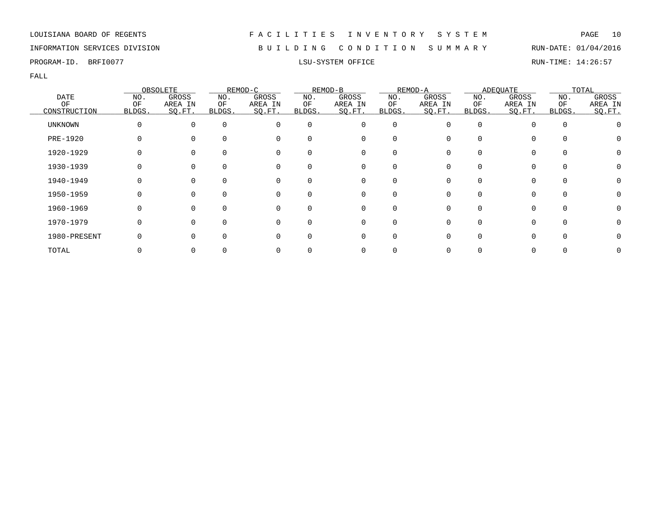INFORMATION SERVICES DIVISION B U I L D I N G C O N D I T I O N S U M M A R Y RUN-DATE: 01/04/2016

PROGRAM-ID. BRFI0077 **EXELL**SU-SYSTEM OFFICE **RUN-TIME: 14:26:57** 

|                |        | OBSOLETE |          | REMOD-C  |              | REMOD-B  |             | REMOD-A      |          | <b>ADEQUATE</b> |             | TOTAL        |
|----------------|--------|----------|----------|----------|--------------|----------|-------------|--------------|----------|-----------------|-------------|--------------|
| <b>DATE</b>    | NO.    | GROSS    | NO.      | GROSS    | NO.          | GROSS    | NO.         | GROSS        | NO.      | GROSS           | NO.         | GROSS        |
| ΟF             | OF     | AREA IN  | ΟF       | AREA IN  | ΟF           | AREA IN  | ΟF          | AREA IN      | ΟF       | AREA IN         | ΟF          | AREA IN      |
| CONSTRUCTION   | BLDGS. | SO.FT.   | BLDGS.   | SO.FT.   | BLDGS.       | SQ.FT.   | BLDGS.      | SO.FT.       | BLDGS.   | SQ.FT.          | BLDGS.      | SQ.FT.       |
| <b>UNKNOWN</b> |        | $\Omega$ | $\Omega$ | 0        | $\Omega$     | 0        | $\mathbf 0$ | <sup>n</sup> | $\Omega$ |                 | $\mathbf 0$ |              |
| PRE-1920       |        | $\Omega$ | $\Omega$ | 0        | <sup>0</sup> | $\Omega$ | O           |              |          | $\Omega$        | $\Omega$    |              |
| 1920-1929      |        | $\Omega$ |          | 0        | <sup>0</sup> |          | 0           |              |          | O               | 0           | 0            |
| 1930-1939      |        | 0        | $\Omega$ | 0        | 0            | 0        | 0           |              |          | 0               | 0           |              |
| 1940-1949      |        | $\Omega$ | $\Omega$ | 0        | $\Omega$     | 0        | O           |              |          | O               | $\Omega$    |              |
| 1950-1959      |        | $\Omega$ | $\Omega$ | $\Omega$ | 0            | 0        | O           |              |          | 0               | $\Omega$    | $\mathbf{0}$ |
| 1960-1969      |        | $\Omega$ | $\Omega$ | $\Omega$ | 0            | 0        | $\Omega$    | <sup>n</sup> |          | $\Omega$        | $\Omega$    | $\mathbf{0}$ |
| 1970-1979      |        | $\Omega$ | $\cap$   | O        | U            | $\Omega$ | $\Omega$    |              |          | $\Omega$        | $\Omega$    |              |
| 1980-PRESENT   |        | $\Omega$ | $\Omega$ | $\Omega$ | U            | 0        | $\Omega$    |              | O        | ∩               | $\Omega$    |              |
| TOTAL          |        | 0        |          |          |              |          |             |              |          |                 |             |              |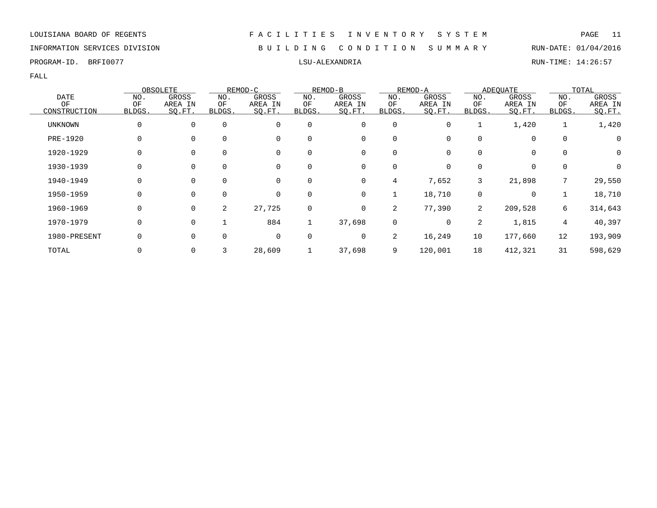# INFORMATION SERVICES DIVISION B U I L D I N G C O N D I T I O N S U M M A R Y RUN-DATE: 01/04/2016

|                 |        | OBSOLETE    |             | REMOD-C |              | REMOD-B |        | REMOD-A |                | <b>ADEQUATE</b> |                | TOTAL   |
|-----------------|--------|-------------|-------------|---------|--------------|---------|--------|---------|----------------|-----------------|----------------|---------|
| <b>DATE</b>     | NO.    | GROSS       | NO.         | GROSS   | NO.          | GROSS   | NO.    | GROSS   | NO.            | GROSS           | NO.            | GROSS   |
| OF              | OF     | AREA IN     | ΟF          | AREA IN | ΟF           | AREA IN | OF     | AREA IN | ΟF             | AREA IN         | OF             | AREA IN |
| CONSTRUCTION    | BLDGS. | SQ.FT.      | BLDGS.      | SQ.FT.  | BLDGS.       | SQ.FT.  | BLDGS. | SQ.FT.  | BLDGS.         | SQ.FT.          | BLDGS.         | SQ.FT.  |
| <b>UNKNOWN</b>  | 0      | $\mathbf 0$ | $\mathbf 0$ | 0       | $\mathbf 0$  | 0       | 0      | 0       |                | 1,420           |                | 1,420   |
| <b>PRE-1920</b> | 0      | 0           | 0           | 0       | 0            | 0       | 0      |         | 0              | 0               | 0              | 0       |
| 1920-1929       | 0      | 0           | $\mathbf 0$ | 0       | 0            | 0       | 0      | 0       | 0              | $\mathbf 0$     | 0              | 0       |
| 1930-1939       | 0      | $\mathbf 0$ | 0           | 0       | $\mathbf 0$  | 0       | 0      | 0       | $\Omega$       | 0               | $\mathbf 0$    | 0       |
| 1940-1949       | 0      | $\mathbf 0$ | $\mathbf 0$ | 0       | 0            | 0       | 4      | 7,652   | 3              | 21,898          | 7              | 29,550  |
| 1950-1959       | 0      | $\mathbf 0$ | 0           | 0       | $\mathbf 0$  | 0       | 1      | 18,710  | 0              | 0               |                | 18,710  |
| 1960-1969       | 0      | $\mathbf 0$ | 2           | 27,725  | $\mathbf 0$  | 0       | 2      | 77,390  | $\overline{2}$ | 209,528         | 6              | 314,643 |
| 1970-1979       | 0      | $\mathbf 0$ |             | 884     | $\mathbf{1}$ | 37,698  | 0      | 0       | 2              | 1,815           | $\overline{4}$ | 40,397  |
| 1980-PRESENT    | 0      | 0           | $\mathbf 0$ | 0       | 0            | 0       | 2      | 16,249  | 10             | 177,660         | 12             | 193,909 |
| TOTAL           |        | 0           | 3           | 28,609  |              | 37,698  | 9      | 120,001 | 18             | 412,321         | 31             | 598,629 |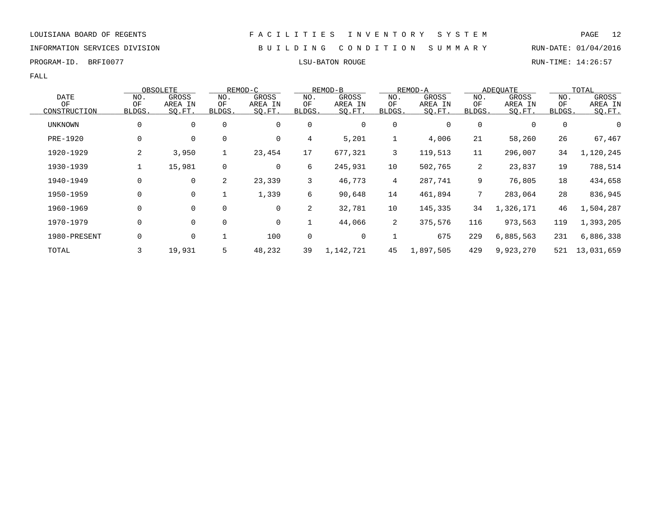INFORMATION SERVICES DIVISION B U I L D I N G C O N D I T I O N S U M M A R Y RUN-DATE: 01/04/2016

PROGRAM-ID. BRFI0077 **EXELLENT SOME** BROGRAM-ID. BRFI0077 **LSU-BATON ROUGE** BROGRAM-ID. BRIN-TIME: 14:26:57

|                 |              |              | OBSOLETE          |                | REMOD-C           |              | REMOD-B           |                | REMOD-A           |                | ADEQUATE          |              | TOTAL             |
|-----------------|--------------|--------------|-------------------|----------------|-------------------|--------------|-------------------|----------------|-------------------|----------------|-------------------|--------------|-------------------|
| <b>DATE</b>     |              | NO.          | GROSS             | NO.            | GROSS             | NO.          | GROSS             | NO.            | GROSS             | NO.            | GROSS             | NO.          | GROSS             |
| OF              | CONSTRUCTION | ΟF<br>BLDGS. | AREA IN<br>SO.FT. | OF<br>BLDGS.   | AREA IN<br>SQ.FT. | ΟF<br>BLDGS. | AREA IN<br>SQ.FT. | OF<br>BLDGS.   | AREA IN<br>SQ.FT. | ΟF<br>BLDGS.   | AREA IN<br>SQ.FT. | ΟF<br>BLDGS. | AREA IN<br>SO.FT. |
| UNKNOWN         |              | 0            | 0                 | 0              | 0                 | 0            | 0                 | 0              | 0                 | 0              | 0                 | 0            | 0                 |
| <b>PRE-1920</b> |              | 0            | $\mathbf 0$       | $\mathbf 0$    | $\mathbf 0$       | 4            | 5,201             | $\mathbf 1$    | 4,006             | 21             | 58,260            | 26           | 67,467            |
|                 | 1920-1929    | 2            | 3,950             | $\mathbf{1}$   | 23,454            | 17           | 677,321           | 3              | 119,513           | 11             | 296,007           | 34           | 1,120,245         |
|                 | 1930-1939    |              | 15,981            | 0              | 0                 | 6            | 245,931           | 10             | 502,765           | $\overline{2}$ | 23,837            | 19           | 788,514           |
|                 | 1940-1949    | 0            | 0                 | $\overline{2}$ | 23,339            | 3            | 46,773            | $\overline{4}$ | 287,741           | 9              | 76,805            | 18           | 434,658           |
|                 | 1950-1959    | 0            | $\mathbf 0$       |                | 1,339             | 6            | 90,648            | 14             | 461,894           |                | 283,064           | 28           | 836,945           |
|                 | 1960-1969    | 0            | 0                 | $\mathbf 0$    | 0                 | 2            | 32,781            | 10             | 145,335           | 34             | 1,326,171         | 46           | 1,504,287         |
|                 | 1970-1979    | 0            | $\mathbf 0$       | $\mathbf 0$    | 0                 |              | 44,066            | $\overline{2}$ | 375,576           | 116            | 973,563           | 119          | 1,393,205         |
|                 | 1980-PRESENT | 0            | 0                 |                | 100               | 0            | 0                 | $\mathbf 1$    | 675               | 229            | 6,885,563         | 231          | 6,886,338         |
| TOTAL           |              | 3            | 19,931            | 5              | 48,232            | 39           | 1,142,721         | 45             | 1,897,505         | 429            | 9,923,270         | 521          | 13,031,659        |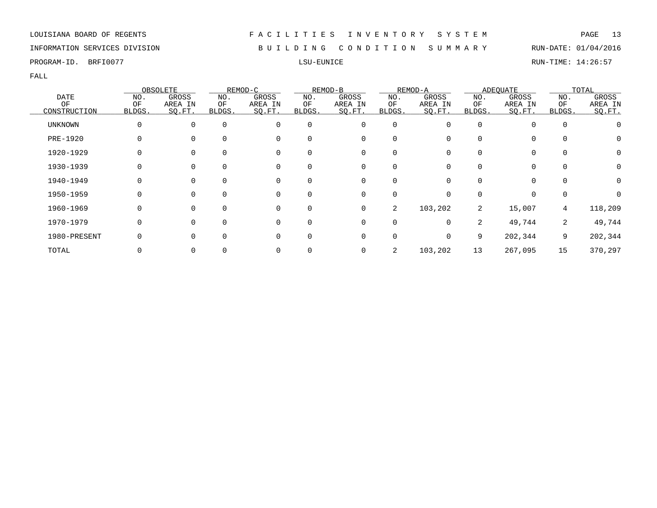# INFORMATION SERVICES DIVISION B U I L D I N G C O N D I T I O N S U M M A R Y RUN-DATE: 01/04/2016

PROGRAM-ID. BRFI0077 LSU-EUNICE RUN-TIME: 14:26:57

FALL

|              |        | OBSOLETE |              | REMOD-C  |          | REMOD-B     |             | REMOD-A  |        | <b>ADEQUATE</b> |             | TOTAL            |
|--------------|--------|----------|--------------|----------|----------|-------------|-------------|----------|--------|-----------------|-------------|------------------|
| <b>DATE</b>  | NO.    | GROSS    | NO.          | GROSS    | NO.      | GROSS       | NO.         | GROSS    | NO.    | GROSS           | NO.         | GROSS            |
| ΟF           | ΟF     | AREA IN  | ΟF           | AREA IN  | ΟF       | AREA IN     | ΟF          | AREA IN  | ΟF     | AREA IN         | ΟF          | AREA IN          |
| CONSTRUCTION | BLDGS. | SQ.FT.   | BLDGS.       | SQ.FT.   | BLDGS.   | SO.FT.      | BLDGS.      | SQ.FT.   | BLDGS. | SQ.FT.          | BLDGS.      | SO.FT.           |
| UNKNOWN      |        |          | $\Omega$     | $\Omega$ | $\Omega$ | 0           | $\mathbf 0$ | O        |        |                 | $\Omega$    |                  |
| PRE-1920     |        |          |              | $\Omega$ | $\Omega$ | 0           | 0           |          |        | 0               |             | $\cup$           |
| 1920-1929    |        |          |              |          |          | 0           | $\Omega$    |          |        | 0               |             | $\left( \right)$ |
| 1930-1939    |        |          |              |          | 0        | 0           | 0           |          |        | 0               |             |                  |
| 1940-1949    |        |          | $\Omega$     |          | $\Omega$ | 0           | $\Omega$    | O        |        | $\Omega$        |             | O                |
| 1950-1959    |        |          | <sup>n</sup> | $\Omega$ | $\Omega$ | 0           | $\Omega$    | $\Omega$ |        | $\Omega$        | $\Omega$    |                  |
| 1960-1969    |        |          |              | $\Omega$ | $\Omega$ | $\mathbf 0$ | 2           | 103,202  | 2      | 15,007          | $4^{\circ}$ | 118,209          |
| 1970-1979    |        |          |              | $\Omega$ | $\Omega$ | 0           | $\mathbf 0$ | $\Omega$ | 2      | 49,744          | 2           | 49,744           |
| 1980-PRESENT |        |          |              |          | $\Omega$ | 0           | 0           | 0        | 9      | 202,344         | 9           | 202,344          |
| TOTAL        |        |          |              |          |          | 0           | 2           | 103,202  | 13     | 267,095         | 15          | 370,297          |

### LOUISIANA BOARD OF REGENTS F A C I L I T I E S I N V E N T O R Y S Y S T E M PAGE 13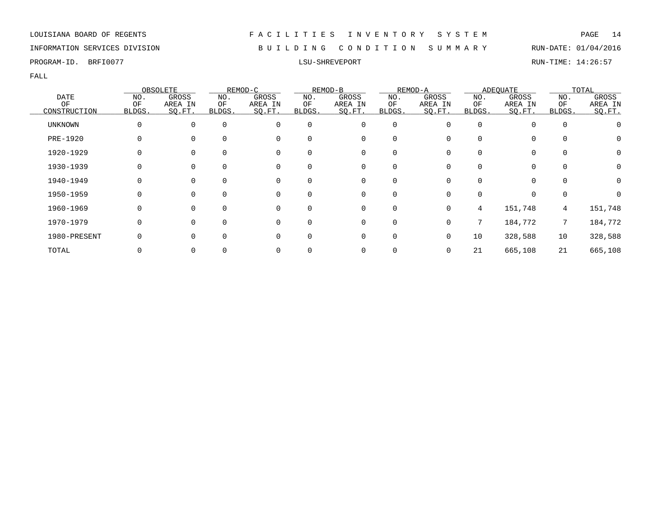# INFORMATION SERVICES DIVISION B U I L D I N G C O N D I T I O N S U M M A R Y RUN-DATE: 01/04/2016

FALL

|                    |              | OBSOLETE          |              | REMOD-C           |              | REMOD-B           |              | REMOD-A           |              | <b>ADEOUATE</b>   |              | TOTAL             |
|--------------------|--------------|-------------------|--------------|-------------------|--------------|-------------------|--------------|-------------------|--------------|-------------------|--------------|-------------------|
| <b>DATE</b>        | NO.          | GROSS             | NO.          | GROSS             | NO.          | GROSS             | NO.          | GROSS             | NO.          | GROSS             | NO.          | GROSS             |
| ΟF<br>CONSTRUCTION | ΟF<br>BLDGS. | AREA IN<br>SQ.FT. | ΟF<br>BLDGS. | AREA IN<br>SQ.FT. | ΟF<br>BLDGS. | AREA IN<br>SQ.FT. | ΟF<br>BLDGS. | AREA IN<br>SO.FT. | ΟF<br>BLDGS. | AREA IN<br>SQ.FT. | ΟF<br>BLDGS. | AREA IN<br>SQ.FT. |
| UNKNOWN            | 0            | $\mathbf{0}$      | $\mathbf 0$  | 0                 | $\mathbf 0$  | 0                 | 0            | 0                 | $\Omega$     | 0                 | $\mathbf 0$  |                   |
| PRE-1920           |              | $\Omega$          | $\Omega$     | 0                 | 0            | 0                 | $\Omega$     |                   |              | 0                 | 0            | 0                 |
| 1920-1929          |              | 0                 | $\Omega$     | 0                 | 0            | 0                 | 0            |                   |              | 0                 | 0            | 0                 |
| 1930-1939          |              | 0                 | $\Omega$     | 0                 | 0            | 0                 | 0            |                   |              | 0                 | $\mathbf 0$  | 0                 |
| 1940-1949          |              | 0                 | $\Omega$     | 0                 | $\Omega$     | 0                 | $\Omega$     |                   |              | 0                 | $\Omega$     | 0                 |
| 1950-1959          | U            | $\Omega$          | $\Omega$     | 0                 | $\Omega$     | $\Omega$          | $\Omega$     | <sup>n</sup>      |              | $\Omega$          | $\mathbf 0$  |                   |
| 1960-1969          |              | $\Omega$          | $\Omega$     | $\Omega$          | $\Omega$     | $\Omega$          | $\Omega$     | 0                 | 4            | 151,748           | 4            | 151,748           |
| 1970-1979          |              | $\Omega$          | $\Omega$     | $\Omega$          | 0            | 0                 | $\mathbf 0$  | 0                 | 7            | 184,772           | 7            | 184,772           |
| 1980-PRESENT       |              | 0                 | $\Omega$     | 0                 | $\Omega$     | 0                 | 0            | 0                 | 10           | 328,588           | 10           | 328,588           |
| TOTAL              |              | 0                 |              | 0                 |              | 0                 |              | 0                 | 21           | 665,108           | 21           | 665,108           |

PROGRAM-ID. BRFI0077 LSU-SHREVEPORT RUN-TIME: 14:26:57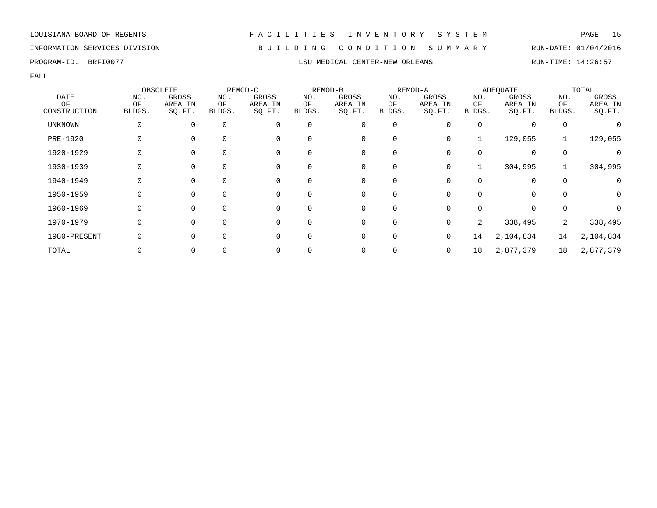INFORMATION SERVICES DIVISION B U I L D I N G C O N D I T I O N S U M M A R Y RUN-DATE: 01/04/2016

FALL

|              |          | OBSOLETE |          | REMOD-C  |              | REMOD-B     |              | REMOD-A |        | <b>ADEQUATE</b> |          | TOTAL     |
|--------------|----------|----------|----------|----------|--------------|-------------|--------------|---------|--------|-----------------|----------|-----------|
| <b>DATE</b>  | NO.      | GROSS    | NO.      | GROSS    | NO.          | GROSS       | NO.          | GROSS   | NO.    | GROSS           | NO.      | GROSS     |
| OF           | ΟF       | AREA IN  | ΟF       | AREA IN  | ΟF           | AREA IN     | OF           | AREA IN | ΟF     | AREA IN         | ΟF       | AREA IN   |
| CONSTRUCTION | BLDGS.   | SQ.FT.   | BLDGS.   | SQ.FT.   | <b>BLDGS</b> | SQ.FT.      | <b>BLDGS</b> | SO.FT.  | BLDGS. | SQ.FT.          | BLDGS.   | SO.FT.    |
| UNKNOWN      | $\Omega$ | $\Omega$ | $\Omega$ | $\Omega$ | 0            | 0           | 0            |         |        | $\Omega$        | 0        |           |
| PRE-1920     |          |          | $\Omega$ | $\Omega$ | $\Omega$     | 0           | 0            | 0       |        | 129,055         |          | 129,055   |
| 1920-1929    |          |          |          | $\Omega$ |              | 0           | 0            |         |        | 0               | $\Omega$ |           |
| 1930-1939    |          |          |          | 0        | 0            | 0           | 0            | 0       |        | 304,995         |          | 304,995   |
| 1940-1949    | 0        | $\Omega$ | $\Omega$ | 0        | $\Omega$     | 0           | $\mathbf 0$  | 0       |        | 0               | $\Omega$ |           |
| 1950-1959    |          |          | $\Omega$ | $\Omega$ | $\Omega$     | $\Omega$    | $\Omega$     |         |        | 0               | $\Omega$ | O         |
| 1960-1969    | 0        |          | $\Omega$ | $\Omega$ | $\Omega$     | $\mathbf 0$ | $\mathbf 0$  |         |        | 0               | $\Omega$ |           |
| 1970-1979    | 0        |          | $\Omega$ | $\Omega$ | $\Omega$     | 0           | 0            | 0       | 2      | 338,495         | 2        | 338,495   |
| 1980-PRESENT |          |          |          | $\Omega$ | $\Omega$     | 0           | $\mathbf 0$  | 0       | 14     | 2,104,834       | 14       | 2,104,834 |
| TOTAL        |          |          |          |          |              | 0           | 0            | 0       | 18     | 2,877,379       | 18       | 2,877,379 |

PROGRAM-ID. BRFI0077 **LSU MEDICAL CENTER-NEW ORLEANS** RUN-TIME: 14:26:57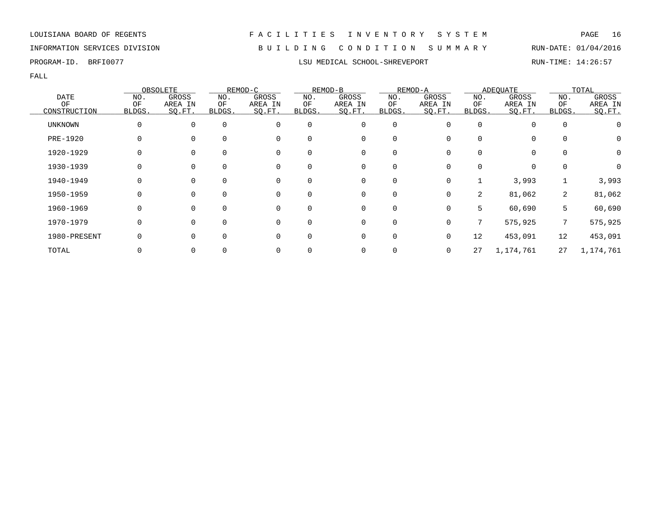# INFORMATION SERVICES DIVISION B U I L D I N G C O N D I T I O N S U M M A R Y RUN-DATE: 01/04/2016

FALL

|                |           | OBSOLETE         |           | REMOD-C          |              | REMOD-B          |             | REMOD-A          |           | <b>ADEQUATE</b>  |                 | TOTAL            |
|----------------|-----------|------------------|-----------|------------------|--------------|------------------|-------------|------------------|-----------|------------------|-----------------|------------------|
| DATE<br>ΟF     | NO.<br>OF | GROSS<br>AREA IN | NO.<br>ΟF | GROSS<br>AREA IN | NO.<br>ΟF    | GROSS<br>AREA IN | NO.<br>OF   | GROSS<br>AREA IN | NO.<br>ΟF | GROSS<br>AREA IN | NO.<br>ΟF       | GROSS<br>AREA IN |
| CONSTRUCTION   | BLDGS.    | SO.FT.           | BLDGS.    | SQ.FT.           | <b>BLDGS</b> | SQ.FT.           | BLDGS.      | SQ.FT.           | BLDGS.    | SO.FT.           | BLDGS.          | SO.FT.           |
| <b>UNKNOWN</b> | O         |                  | $\Omega$  |                  | $\Omega$     | $\mathbf 0$      | $\mathbf 0$ |                  |           | 0                | $\Omega$        |                  |
| PRE-1920       |           |                  |           | $\Omega$         |              | 0                | $\mathbf 0$ |                  |           | 0                |                 | $\cup$           |
| 1920-1929      |           |                  |           | $\Omega$         | 0            | 0                | 0           |                  |           | 0                |                 | 0                |
| 1930-1939      |           |                  |           | $\Omega$         | $\Omega$     | 0                | 0           |                  |           | 0                |                 |                  |
| 1940-1949      | 0         |                  | $\Omega$  | 0                | $\Omega$     | 0                | $\mathbf 0$ | 0                |           | 3,993            |                 | 3,993            |
| 1950-1959      | O         | $\Omega$         | $\Omega$  | $\Omega$         | $\Omega$     | $\mathbf 0$      | $\mathbf 0$ | $\Omega$         | 2         | 81,062           | $\overline{2}$  | 81,062           |
| 1960-1969      |           |                  | $\Omega$  | $\Omega$         | $\Omega$     | 0                | $\mathbf 0$ | $\Omega$         | 5.        | 60,690           | 5               | 60,690           |
| 1970-1979      | $\Omega$  |                  | $\Omega$  | $\Omega$         | $\Omega$     | $\mathbf 0$      | $\mathbf 0$ | $\Omega$         | 7         | 575,925          | $7\phantom{.0}$ | 575,925          |
| 1980-PRESENT   |           |                  | $\Omega$  | $\Omega$         | $\Omega$     | $\mathbf 0$      | $\mathbf 0$ |                  | 12        | 453,091          | 12              | 453,091          |
| TOTAL          |           |                  |           |                  |              | 0                | 0           |                  | 27        | 1,174,761        | 27              | 1,174,761        |

PROGRAM-ID. BRFI0077 **LSU MEDICAL SCHOOL-SHREVEPORT** RUN-TIME: 14:26:57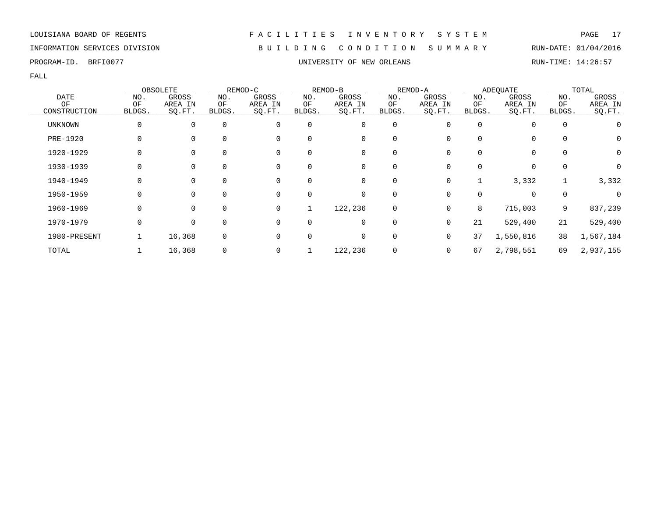# INFORMATION SERVICES DIVISION B U I L D I N G C O N D I T I O N S U M M A R Y RUN-DATE: 01/04/2016

PROGRAM-ID. BRFI0077 **EXAM-ID.** BRFI0077 **EXAMILIBRE STEED ASSESS UNIVERSITY OF NEW ORLEANS RUN-TIME: 14:26:57** 

|                 |        | OBSOLETE       |          | REMOD-C |              | REMOD-B  |             | REMOD-A  |              | <b>ADEQUATE</b> |             | TOTAL        |
|-----------------|--------|----------------|----------|---------|--------------|----------|-------------|----------|--------------|-----------------|-------------|--------------|
| DATE            | NO.    | GROSS          | NO.      | GROSS   | NO.          | GROSS    | NO.         | GROSS    | NO.          | GROSS           | NO.         | GROSS        |
| ΟF              | OF     | AREA IN        | ΟF       | AREA IN | ΟF           | AREA IN  | ΟF          | AREA IN  | ΟF           | AREA IN         | ΟF          | AREA IN      |
| CONSTRUCTION    | BLDGS. | SO.FT.         | BLDGS.   | SQ.FT.  | BLDGS.       | SO.FT.   | BLDGS.      | SQ.FT.   | <b>BLDGS</b> | SQ.FT.          | BLDGS.      | SO.FT.       |
| <b>UNKNOWN</b>  | O      | $\mathbf{0}$   | $\Omega$ | 0       | $\mathbf 0$  | 0        | $\mathbf 0$ | 0        | $\Omega$     | $\Omega$        | $\mathbf 0$ |              |
| <b>PRE-1920</b> |        | 0              | $\Omega$ | 0       | $\Omega$     | 0        | 0           |          |              | $\mathbf 0$     | 0           | 0            |
| 1920-1929       | 0      | $\mathbf{0}$   | 0        | 0       | 0            | 0        | 0           |          |              | $\mathbf 0$     | $\mathbf 0$ | $\mathbf 0$  |
| 1930-1939       |        | $\overline{0}$ | $\Omega$ | 0       | $\Omega$     | 0        | 0           |          |              | $\Omega$        | 0           | 0            |
| 1940-1949       | O      | $\Omega$       | $\Omega$ | 0       | $\Omega$     | $\Omega$ | 0           | $\Omega$ |              | 3,332           |             | 3,332        |
| 1950-1959       | O      | $\Omega$       | $\Omega$ | 0       | $\Omega$     | 0        | 0           | 0        |              | $\Omega$        | 0           | <sup>0</sup> |
| 1960-1969       | 0      | $\Omega$       | $\Omega$ | 0       |              | 122,236  | 0           | 0        | 8            | 715,003         | 9           | 837,239      |
| 1970-1979       | 0      | 0              | $\Omega$ | 0       | 0            | 0        | 0           | $\Omega$ | 21           | 529,400         | 21          | 529,400      |
| 1980-PRESENT    |        | 16,368         | 0        | 0       | <sup>0</sup> | 0        | 0           | 0        | 37           | 1,550,816       | 38          | 1,567,184    |
| TOTAL           |        | 16,368         | 0        | 0       |              | 122,236  | 0           | 0        | 67           | 2,798,551       | 69          | 2,937,155    |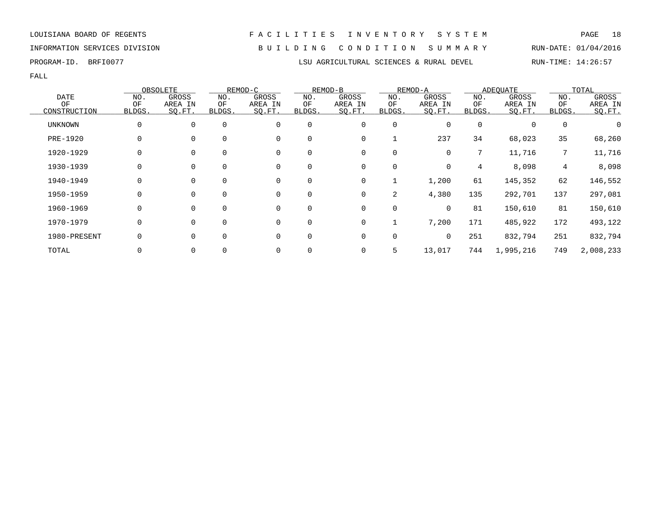INFORMATION SERVICES DIVISION B U I L D I N G C O N D I T I O N S U M M A R Y RUN-DATE: 01/04/2016

FALL

|                |          | OBSOLETE |             | REMOD-C     |          | REMOD-B     |             | REMOD-A |             | <b>ADEOUATE</b> |                 | TOTAL     |
|----------------|----------|----------|-------------|-------------|----------|-------------|-------------|---------|-------------|-----------------|-----------------|-----------|
| <b>DATE</b>    | NO.      | GROSS    | NO.         | GROSS       | NO.      | GROSS       | NO.         | GROSS   | NO.         | GROSS           | NO.             | GROSS     |
| ΟF             | ΟF       | AREA IN  | ΟF          | AREA IN     | ΟF       | AREA IN     | ΟF          | AREA IN | ΟF          | AREA IN         | ΟF              | AREA IN   |
| CONSTRUCTION   | BLDGS.   | SQ.FT.   | BLDGS.      | SQ.FT.      | BLDGS.   | SQ.FT.      | BLDGS.      | SO.FT.  | BLDGS.      | SQ.FT.          | BLDGS.          | SQ.FT.    |
| <b>UNKNOWN</b> | 0        | $\Omega$ | $\Omega$    | $\mathbf 0$ | 0        | 0           | 0           | 0       | $\Omega$    |                 | $\mathbf 0$     |           |
| PRE-1920       | $\Omega$ | $\Omega$ | $\Omega$    | $\mathbf 0$ | $\Omega$ | $\mathbf 0$ |             | 237     | 34          | 68,023          | 35              | 68,260    |
| 1920-1929      | $\Omega$ |          | $\Omega$    | $\mathbf 0$ | $\Omega$ | 0           | 0           | 0       | $7^{\circ}$ | 11,716          | $7\overline{ }$ | 11,716    |
| 1930-1939      | $\Omega$ | $\Omega$ | $\Omega$    | 0           | 0        | 0           | 0           | 0       | 4           | 8,098           | 4               | 8,098     |
| 1940-1949      | 0        | 0        | 0           | 0           | 0        | 0           | 1           | 1,200   | 61          | 145,352         | 62              | 146,552   |
| 1950-1959      | $\Omega$ | 0        | $\mathbf 0$ | $\mathbf 0$ | 0        | 0           | 2           | 4,380   | 135         | 292,701         | 137             | 297,081   |
| 1960-1969      | $\Omega$ | $\Omega$ | $\Omega$    | $\mathbf 0$ | 0        | 0           | 0           | 0       | 81          | 150,610         | 81              | 150,610   |
| 1970-1979      | 0        | $\Omega$ | $\Omega$    | 0           | 0        | 0           |             | 7,200   | 171         | 485,922         | 172             | 493,122   |
| 1980-PRESENT   | 0        | $\Omega$ | $\Omega$    | $\mathbf 0$ | $\Omega$ | 0           | $\mathbf 0$ | 0       | 251         | 832,794         | 251             | 832,794   |
| TOTAL          |          |          | $\Omega$    | $\Omega$    | 0        | 0           | 5           | 13,017  | 744         | 1,995,216       | 749             | 2,008,233 |

PROGRAM-ID. BRFI0077 **LSU AGRICULTURAL SCIENCES & RURAL DEVEL** RUN-TIME: 14:26:57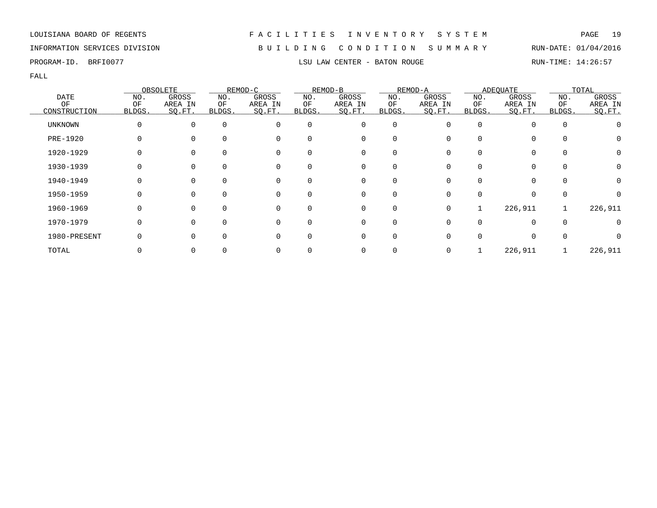# INFORMATION SERVICES DIVISION B U I L D I N G C O N D I T I O N S U M M A R Y RUN-DATE: 01/04/2016

PROGRAM-ID. BRFI0077 **LSU LAW CENTER - BATON ROUGE** RUN-TIME: 14:26:57

|                |              | OBSOLETE |              | REMOD-C     |          | REMOD-B        |          | REMOD-A |              | ADEQUATE |          | TOTAL            |
|----------------|--------------|----------|--------------|-------------|----------|----------------|----------|---------|--------------|----------|----------|------------------|
| <b>DATE</b>    | NO.          | GROSS    | NO.          | GROSS       | NO.      | GROSS          | NO.      | GROSS   | NO.          | GROSS    | NO.      | GROSS            |
| OF             | OF           | AREA IN  | ОF           | AREA IN     | ΟF       | AREA IN        | OF       | AREA IN | ΟF           | AREA IN  | OF       | AREA IN          |
| CONSTRUCTION   | <b>BLDGS</b> | SO.FT.   | <b>BLDGS</b> | SQ.FT.      | BLDGS.   | SO.FT.         | BLDGS.   | SO.FT.  | <b>BLDGS</b> | SQ.FT.   | BLDGS.   | SQ.FT.           |
| <b>UNKNOWN</b> | 0            | $\Omega$ | 0            | $\Omega$    | 0        | 0              | 0        |         | <sup>0</sup> |          | $\Omega$ |                  |
| PRE-1920       | 0            |          | $\Omega$     | $\Omega$    | O        | 0              |          |         | U            |          | $\Omega$ | 0                |
| 1920-1929      |              |          | $\Omega$     | 0           |          | 0              |          |         |              |          |          | $\left( \right)$ |
| 1930-1939      |              |          | 0            | 0           | 0        | 0              | 0        |         |              |          | 0        |                  |
| 1940-1949      | 0            | $\Omega$ | $\mathbf 0$  | 0           | 0        | $\overline{0}$ | $\Omega$ |         | <sup>0</sup> | 0        | $\Omega$ | O                |
| 1950-1959      | O            | $\Omega$ | $\Omega$     | $\Omega$    |          | $\Omega$       | $\Omega$ |         | U            |          | $\cap$   |                  |
| 1960-1969      | 0            | ∩        | $\Omega$     | $\mathbf 0$ | $\Omega$ | 0              | $\Omega$ | 0       |              | 226,911  |          | 226,911          |
| 1970-1979      | 0            |          | $\Omega$     | $\Omega$    |          | 0              | $\Omega$ |         |              |          | $\Omega$ |                  |
| 1980-PRESENT   |              |          | $\Omega$     | 0           |          | 0              |          |         |              |          |          |                  |
| TOTAL          |              |          |              |             |          | 0              |          |         |              | 226,911  |          | 226,911          |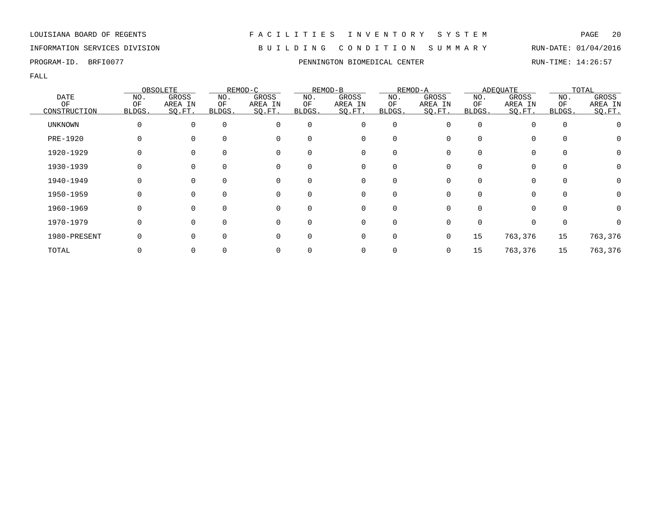# INFORMATION SERVICES DIVISION B U I L D I N G C O N D I T I O N S U M M A R Y RUN-DATE: 01/04/2016

FALL

|              |          | OBSOLETE |             | REMOD-C  |              | REMOD-B  |          | REMOD-A |              | <b>ADEQUATE</b> |             | TOTAL        |
|--------------|----------|----------|-------------|----------|--------------|----------|----------|---------|--------------|-----------------|-------------|--------------|
| <b>DATE</b>  | NO.      | GROSS    | NO.         | GROSS    | NO.          | GROSS    | NO.      | GROSS   | NO.          | GROSS           | NO.         | <b>GROSS</b> |
| ΟF           | ΟF       | AREA IN  | ΟF          | AREA IN  | ΟF           | AREA IN  | ΟF       | AREA IN | ΟF           | AREA IN         | ΟF          | AREA IN      |
| CONSTRUCTION | BLDGS.   | SO.FT.   | BLDGS.      | SQ.FT.   | <b>BLDGS</b> | SQ.FT.   | BLDGS.   | SQ.FT.  | <b>BLDGS</b> | SQ.FT.          | BLDGS.      | SQ.FT.       |
| UNKNOWN      | 0        | $\Omega$ | $\mathbf 0$ | 0        | $\mathbf 0$  | 0        | 0        |         | $\Omega$     | 0               | $\mathbf 0$ |              |
| PRE-1920     |          |          | $\Omega$    | 0        |              | 0        | 0        |         |              | 0               | $\Omega$    | O            |
| 1920-1929    |          | $\Omega$ | 0           | 0        | 0            | 0        | 0        |         |              | 0               | 0           | 0            |
| 1930-1939    |          | 0        | 0           | 0        | 0            | 0        | 0        |         |              | 0               | 0           | 0            |
| 1940-1949    |          | $\Omega$ | $\Omega$    | $\Omega$ | $\Omega$     | $\Omega$ | $\Omega$ |         | 0            | $\Omega$        | $\Omega$    | 0            |
| 1950-1959    | $\Omega$ | $\Omega$ | $\Omega$    | $\Omega$ | $\Omega$     | $\Omega$ | $\Omega$ |         |              | $\Omega$        | $\Omega$    | 0            |
| 1960-1969    |          | $\Omega$ | $\Omega$    | 0        | $\Omega$     | $\Omega$ | $\Omega$ |         |              | $\Omega$        | $\Omega$    | O            |
| 1970-1979    |          | $\Omega$ | $\Omega$    | $\Omega$ | $\Omega$     | 0        | 0        |         |              | $\Omega$        | 0           |              |
| 1980-PRESENT |          | $\Omega$ | $\Omega$    | 0        | $\Omega$     | 0        | 0        | 0       | 15           | 763,376         | 15          | 763,376      |
| TOTAL        |          |          |             | 0        |              | 0        |          |         | 15           | 763,376         | 15          | 763,376      |

PROGRAM-ID. BRFI0077 **PENNINGTON BIOMEDICAL CENTER** RUN-TIME: 14:26:57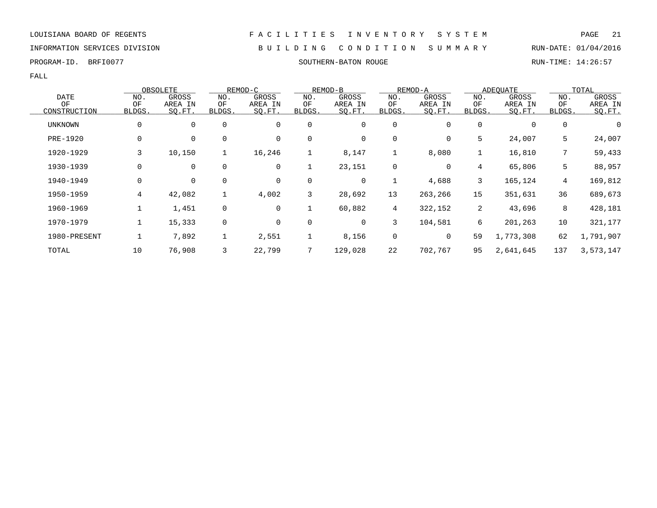### INFORMATION SERVICES DIVISION B U I L D I N G C O N D I T I O N S U M M A R Y RUN-DATE: 01/04/2016

PROGRAM-ID. BRFI0077 SOUTHERN-BATON ROUGE RUN-TIME: 14:26:57

|              |              | OBSOLETE    |             | REMOD-C     |              | REMOD-B |                | REMOD-A |                | <b>ADEOUATE</b> |                 | TOTAL     |
|--------------|--------------|-------------|-------------|-------------|--------------|---------|----------------|---------|----------------|-----------------|-----------------|-----------|
| <b>DATE</b>  | NO.          | GROSS       | NO.         | GROSS       | NO.          | GROSS   | NO.            | GROSS   | NO.            | GROSS           | NO.             | GROSS     |
| OF           | OF           | AREA IN     | ΟF          | AREA IN     | ΟF           | AREA IN | ΟF             | AREA IN | ΟF             | AREA IN         | ΟF              | AREA IN   |
| CONSTRUCTION | <b>BLDGS</b> | SQ.FT.      | BLDGS.      | SQ.FT.      | <b>BLDGS</b> | SQ.FT.  | BLDGS.         | SQ.FT.  | BLDGS.         | SO.FT.          | BLDGS.          | SQ.FT.    |
| UNKNOWN      | 0            | $\mathbf 0$ | 0           | $\mathbf 0$ | $\mathbf 0$  | 0       | 0              | 0       | 0              | $\mathbf 0$     | $\mathbf 0$     | 0         |
| PRE-1920     | 0            | $\mathbf 0$ | 0           | $\mathbf 0$ | $\mathbf 0$  | 0       | 0              | 0       | 5              | 24,007          | 5               | 24,007    |
| 1920-1929    | 3            | 10,150      | 1           | 16,246      |              | 8,147   |                | 8,080   |                | 16,810          | $7\overline{ }$ | 59,433    |
| 1930-1939    | 0            | $\mathbf 0$ | $\mathbf 0$ | 0           |              | 23,151  | $\mathbf 0$    | 0       | 4              | 65,806          | 5               | 88,957    |
| 1940-1949    | 0            | $\mathbf 0$ | 0           | 0           | 0            | 0       | 1              | 4,688   | 3              | 165,124         | 4               | 169,812   |
| 1950-1959    | 4            | 42,082      | 1           | 4,002       | 3            | 28,692  | 13             | 263,266 | 15             | 351,631         | 36              | 689,673   |
| 1960-1969    |              | 1,451       | 0           | $\mathbf 0$ | $\mathbf{1}$ | 60,882  | $\overline{4}$ | 322,152 | $\overline{2}$ | 43,696          | 8               | 428,181   |
| 1970-1979    |              | 15,333      | 0           | $\mathbf 0$ | $\mathbf 0$  | 0       | 3              | 104,581 | 6              | 201,263         | 10              | 321,177   |
| 1980-PRESENT |              | 7,892       | 1           | 2,551       |              | 8,156   | $\mathbf 0$    | 0       | 59             | 1,773,308       | 62              | 1,791,907 |
| TOTAL        | 10           | 76,908      | 3           | 22,799      | 7            | 129,028 | 22             | 702,767 | 95             | 2,641,645       | 137             | 3,573,147 |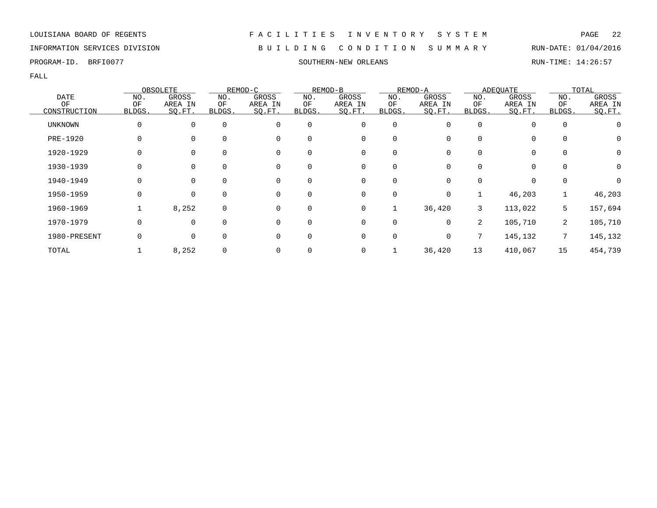INFORMATION SERVICES DIVISION B U I L D I N G C O N D I T I O N S U M M A R Y RUN-DATE: 01/04/2016

PROGRAM-ID. BRFI0077 SOUTHERN-NEW ORLEANS RUN-TIME: 14:26:57

|                |          | OBSOLETE    |             | REMOD-C  |             | REMOD-B     |             | REMOD-A  |                | <b>ADEQUATE</b> |             | TOTAL            |
|----------------|----------|-------------|-------------|----------|-------------|-------------|-------------|----------|----------------|-----------------|-------------|------------------|
| <b>DATE</b>    | NO.      | GROSS       | NO.         | GROSS    | NO.         | GROSS       | NO.         | GROSS    | NO.            | GROSS           | NO.         | GROSS            |
| ΟF             | ΟF       | AREA IN     | ΟF          | AREA IN  | ΟF          | AREA IN     | ΟF          | AREA IN  | ΟF             | AREA IN         | ΟF          | AREA IN          |
| CONSTRUCTION   | BLDGS.   | SQ.FT.      | BLDGS.      | SQ.FT.   | BLDGS.      | SQ.FT.      | BLDGS.      | SO.FT.   | BLDGS.         | SQ.FT.          | BLDGS.      | SQ.FT.           |
| <b>UNKNOWN</b> | 0        | $\mathbf 0$ | $\mathbf 0$ | 0        | $\mathbf 0$ | 0           | $\mathbf 0$ | 0        | 0              | $\Omega$        | 0           | $\left( \right)$ |
| PRE-1920       |          | $\Omega$    | $\Omega$    | 0        | $\Omega$    | 0           | 0           |          |                | 0               | $\Omega$    | 0                |
| 1920-1929      |          | 0           | 0           | 0        | 0           | 0           | 0           |          |                | 0               | 0           | 0                |
| 1930-1939      |          | 0           | 0           | 0        | $\mathbf 0$ | 0           | 0           | 0        |                | 0               | $\mathbf 0$ | 0                |
| 1940-1949      | 0        | $\Omega$    | $\Omega$    | $\Omega$ | $\Omega$    | $\Omega$    | $\Omega$    | 0        | $\Omega$       | $\Omega$        | $\Omega$    | 0                |
| 1950-1959      | $\Omega$ | $\Omega$    | $\Omega$    | $\Omega$ | $\Omega$    | $\Omega$    | $\Omega$    | 0        |                | 46,203          |             | 46,203           |
| 1960-1969      |          | 8,252       | $\mathbf 0$ | $\Omega$ | $\Omega$    | $\mathbf 0$ |             | 36,420   | 3              | 113,022         | 5           | 157,694          |
| 1970-1979      | 0        | $\Omega$    | $\mathbf 0$ | $\Omega$ | $\Omega$    | $\mathbf 0$ | $\mathbf 0$ | $\Omega$ | $\overline{2}$ | 105,710         | 2           | 105,710          |
| 1980-PRESENT   |          | 0           | $\mathbf 0$ | $\Omega$ | $\mathbf 0$ | 0           | 0           | $\Omega$ |                | 145,132         | 7           | 145,132          |
| TOTAL          |          | 8,252       | $\mathbf 0$ | 0        |             | 0           |             | 36,420   | 13             | 410,067         | 15          | 454,739          |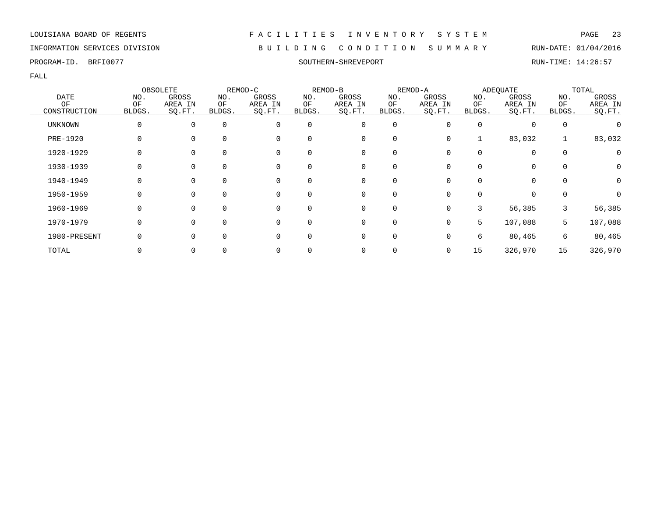# INFORMATION SERVICES DIVISION B U I L D I N G C O N D I T I O N S U M M A R Y RUN-DATE: 01/04/2016

PROGRAM-ID. BRFI0077 SOUTHERN-SHREVEPORT RUN-TIME: 14:26:57

|              |        | OBSOLETE    |          | REMOD-C  |          | REMOD-B |          | REMOD-A  |        | <b>ADEQUATE</b> |              | TOTAL        |
|--------------|--------|-------------|----------|----------|----------|---------|----------|----------|--------|-----------------|--------------|--------------|
| DATE         | NO.    | GROSS       | NO.      | GROSS    | NO.      | GROSS   | NO.      | GROSS    | NO.    | GROSS           | NO.          | <b>GROSS</b> |
| OF           | OF     | AREA IN     | OF       | AREA IN  | ΟF       | AREA IN | OF       | AREA IN  | ΟF     | AREA IN         | OF           | AREA IN      |
| CONSTRUCTION | BLDGS. | SQ.FT.      | BLDGS.   | SQ.FT.   | BLDGS.   | SQ.FT.  | BLDGS.   | SQ.FT.   | BLDGS. | SQ.FT.          | <b>BLDGS</b> | SQ.FT.       |
| UNKNOWN      |        | $\mathbf 0$ | $\Omega$ | 0        | $\Omega$ | 0       | 0        |          |        |                 | $\mathbf 0$  |              |
| PRE-1920     |        | 0           |          | 0        |          | 0       | 0        |          |        | 83,032          |              | 83,032       |
| 1920-1929    |        | 0           |          | 0        |          | 0       |          |          |        | $\Omega$        | $\mathbf 0$  |              |
| 1930-1939    |        | 0           | $\Omega$ | 0        |          | 0       | 0        |          |        | 0               | 0            | 0            |
| 1940-1949    |        | 0           | $\Omega$ | 0        |          | 0       | $\Omega$ |          |        | 0               | $\Omega$     | $\Omega$     |
| 1950-1959    |        | $\mathbf 0$ | $\Omega$ | $\Omega$ |          | 0       | $\Omega$ |          |        | $\Omega$        |              |              |
| 1960-1969    |        | $\mathbf 0$ | $\Omega$ | $\Omega$ |          | 0       | $\Omega$ | $\Omega$ |        | 56,385          | 3            | 56,385       |
| 1970-1979    |        | $\mathbf 0$ | $\Omega$ | $\Omega$ |          | 0       | 0        | $\Omega$ | 5      | 107,088         | 5            | 107,088      |
| 1980-PRESENT |        | 0           |          | 0        |          | 0       | 0        |          | 6      | 80,465          | 6            | 80,465       |
| TOTAL        |        |             |          | 0        |          | 0       |          |          | 15     | 326,970         | 15           | 326,970      |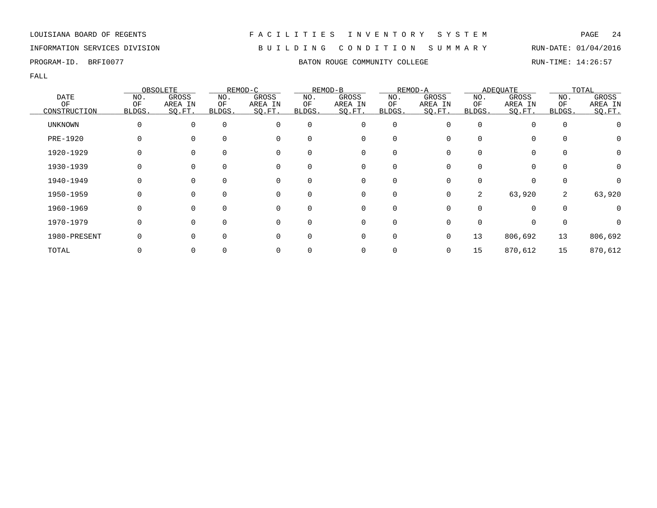# INFORMATION SERVICES DIVISION B U I L D I N G C O N D I T I O N S U M M A R Y RUN-DATE: 01/04/2016

|                 |        | OBSOLETE |             | REMOD-C  |             | REMOD-B  |             | REMOD-A      |          | <b>ADEOUATE</b> |             | TOTAL            |
|-----------------|--------|----------|-------------|----------|-------------|----------|-------------|--------------|----------|-----------------|-------------|------------------|
| <b>DATE</b>     | NO.    | GROSS    | NO.         | GROSS    | NO.         | GROSS    | NO.         | GROSS        | NO.      | GROSS           | NO.         | GROSS            |
| OF              | OF     | AREA IN  | ΟF          | AREA IN  | ΟF          | AREA IN  | OF          | AREA IN      | ΟF       | AREA IN         | OF          | AREA IN          |
| CONSTRUCTION    | BLDGS. | SO.FT.   | BLDGS.      | SQ.FT.   | BLDGS.      | SQ.FT.   | BLDGS.      | SO.FT.       | BLDGS.   | SQ.FT.          | BLDGS.      | SQ.FT.           |
| UNKNOWN         | 0      | $\Omega$ | $\mathbf 0$ | $\Omega$ | $\mathbf 0$ | 0        | $\mathbf 0$ | 0            | $\Omega$ |                 | $\mathbf 0$ |                  |
| <b>PRE-1920</b> |        |          | $\Omega$    | 0        | $\Omega$    | 0        | $\Omega$    |              |          | 0               | $\Omega$    | $\left( \right)$ |
| 1920-1929       |        | $\Omega$ | $\Omega$    | 0        | 0           | 0        | 0           |              |          | 0               | 0           |                  |
| 1930-1939       |        | $\Omega$ | 0           | 0        | 0           | 0        | 0           |              |          |                 | $\Omega$    |                  |
| 1940-1949       | 0      | $\Omega$ | $\Omega$    | 0        | 0           | $\Omega$ | 0           | 0            | $\Omega$ | $\Omega$        | $\Omega$    | 0                |
| 1950-1959       | O      | $\Omega$ | $\Omega$    | $\Omega$ | $\Omega$    | $\Omega$ | $\Omega$    | 0            | 2        | 63,920          | 2           | 63,920           |
| 1960-1969       | 0      | $\Omega$ | $\Omega$    | $\Omega$ | $\Omega$    | $\Omega$ | 0           | <sup>n</sup> | $\Omega$ | $\Omega$        | $\Omega$    |                  |
| 1970-1979       |        | $\Omega$ | $\Omega$    | 0        | $\Omega$    | 0        | $\mathbf 0$ |              |          |                 | $\Omega$    |                  |
| 1980-PRESENT    |        |          | $\Omega$    | 0        | O           | 0        | $\Omega$    | 0            | 13       | 806,692         | 13          | 806,692          |
| TOTAL           |        |          |             | 0        |             | 0        |             | 0            | 15       | 870,612         | 15          | 870,612          |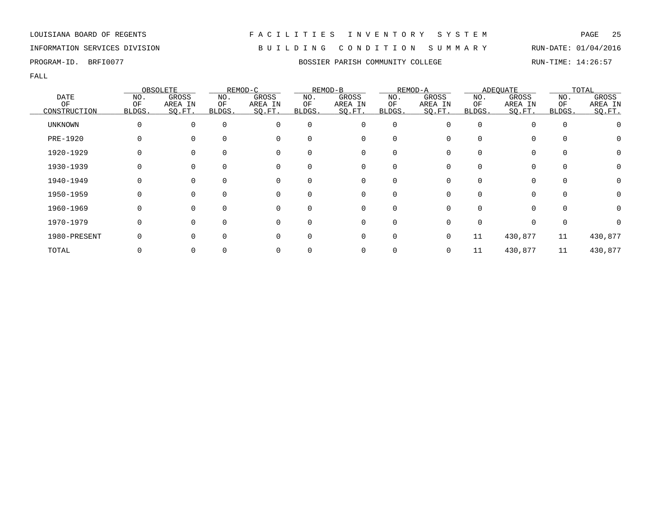# INFORMATION SERVICES DIVISION B U I L D I N G C O N D I T I O N S U M M A R Y RUN-DATE: 01/04/2016

FALL

|                 |              | OBSOLETE    |          | REMOD-C  |             | REMOD-B  |             | REMOD-A |              | ADEQUATE |              | TOTAL   |
|-----------------|--------------|-------------|----------|----------|-------------|----------|-------------|---------|--------------|----------|--------------|---------|
| <b>DATE</b>     | NO.          | GROSS       | NO.      | GROSS    | NO.         | GROSS    | NO.         | GROSS   | NO.          | GROSS    | NO.          | GROSS   |
| OF              | OF           | AREA IN     | ΟF       | AREA IN  | ΟF          | AREA IN  | ΟF          | AREA IN | OF           | AREA IN  | OF           | AREA IN |
| CONSTRUCTION    | <b>BLDGS</b> | SQ.FT.      | BLDGS.   | SQ.FT.   | BLDGS.      | SO.FT.   | BLDGS.      | SO.FT.  | <b>BLDGS</b> | SQ.FT.   | <b>BLDGS</b> | SQ.FT.  |
| <b>UNKNOWN</b>  | 0            | 0           | 0        | $\Omega$ | 0           | 0        | 0           | O       | $\Omega$     | $\Omega$ | 0            |         |
| <b>PRE-1920</b> |              |             | $\Omega$ | 0        | $\Omega$    | 0        | $\Omega$    |         |              | $\Omega$ | $\Omega$     | O       |
| 1920-1929       |              |             |          | 0        |             | 0        | 0           |         |              | $\Omega$ | 0            | 0       |
| 1930-1939       |              | 0           | 0        | 0        | 0           | 0        | 0           |         |              | 0        | 0            | 0       |
| 1940-1949       | 0            | $\mathbf 0$ | 0        | 0        | $\mathbf 0$ | 0        | 0           | O       | $\Omega$     | 0        | $\mathbf 0$  | 0       |
| 1950-1959       | 0            | $\Omega$    | $\Omega$ | $\Omega$ | $\Omega$    | $\Omega$ | $\Omega$    |         |              | $\Omega$ | $\Omega$     | 0       |
| 1960-1969       | 0            | $\Omega$    | $\Omega$ | $\Omega$ | $\Omega$    | $\Omega$ | 0           |         |              | $\Omega$ | $\Omega$     | 0       |
| 1970-1979       |              | $\Omega$    | $\Omega$ | $\Omega$ | $\Omega$    | 0        | $\mathbf 0$ |         |              | 0        | $\mathbf 0$  |         |
| 1980-PRESENT    |              |             | $\Omega$ | 0        | 0           | $\Omega$ | 0           | 0       | 11           | 430,877  | 11           | 430,877 |
| TOTAL           |              |             |          |          |             | 0        |             | 0       | 11           | 430,877  | 11           | 430,877 |

PROGRAM-ID. BRFI0077 **BOSSIER PARISH COMMUNITY COLLEGE** RUN-TIME: 14:26:57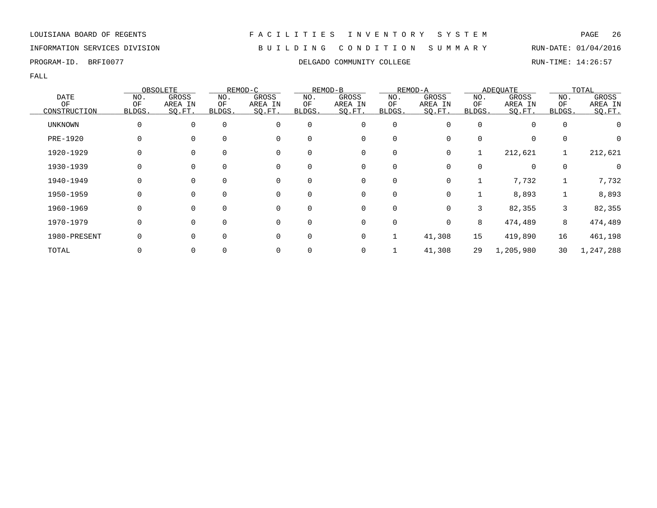# INFORMATION SERVICES DIVISION B U I L D I N G C O N D I T I O N S U M M A R Y RUN-DATE: 01/04/2016

PROGRAM-ID. BRFI0077 COLLEGADO COMMUNITY COLLEGE RUN-TIME: 14:26:57

|                |              | OBSOLETE    |          | REMOD-C |          | REMOD-B      |        | REMOD-A |        | <b>ADEQUATE</b> |          | TOTAL     |
|----------------|--------------|-------------|----------|---------|----------|--------------|--------|---------|--------|-----------------|----------|-----------|
| <b>DATE</b>    | NO.          | GROSS       | NO.      | GROSS   | NO.      | GROSS        | NO.    | GROSS   | NO.    | GROSS           | NO.      | GROSS     |
| OF             | OF           | AREA IN     | ΟF       | AREA IN | ΟF       | AREA IN      | ΟF     | AREA IN | ΟF     | AREA IN         | OF       | AREA IN   |
| CONSTRUCTION   | BLDGS.       | SQ.FT.      | BLDGS.   | SQ.FT.  | BLDGS.   | SQ.FT.       | BLDGS. | SQ.FT.  | BLDGS. | SQ.FT.          | BLDGS.   | SO.FT.    |
| <b>UNKNOWN</b> |              | 0           | $\Omega$ | 0       | 0        | 0            | 0      | O       | 0      | 0               | $\Omega$ |           |
| PRE-1920       |              | $\Omega$    | $\Omega$ | 0       | 0        | 0            | 0      | 0       | 0      | 0               | $\Omega$ |           |
| 1920-1929      |              | 0           | 0        | 0       | 0        | 0            | 0      | 0       |        | 212,621         |          | 212,621   |
| 1930-1939      |              | 0           | 0        | 0       | 0        | 0            | 0      | 0       |        | 0               | $\Omega$ |           |
| 1940-1949      | 0            | $\mathbf 0$ | $\Omega$ | 0       | 0        | 0            | 0      | 0       |        | 7,732           |          | 7,732     |
| 1950-1959      | <sup>0</sup> | $\Omega$    | $\Omega$ | 0       | $\Omega$ | $\mathbf{0}$ | 0      | 0       |        | 8,893           |          | 8,893     |
| 1960-1969      | 0            | $\Omega$    | $\Omega$ | 0       | $\Omega$ | 0            | 0      | 0       | 3      | 82,355          | 3        | 82,355    |
| 1970-1979      | 0            | $\Omega$    | $\Omega$ | 0       | 0        | 0            | 0      | 0       | 8      | 474,489         | 8        | 474,489   |
| 1980-PRESENT   |              | $\Omega$    | $\Omega$ | 0       | 0        | 0            |        | 41,308  | 15     | 419,890         | 16       | 461,198   |
| TOTAL          |              | 0           |          | 0       |          | 0            |        | 41,308  | 29     | 1,205,980       | 30       | 1,247,288 |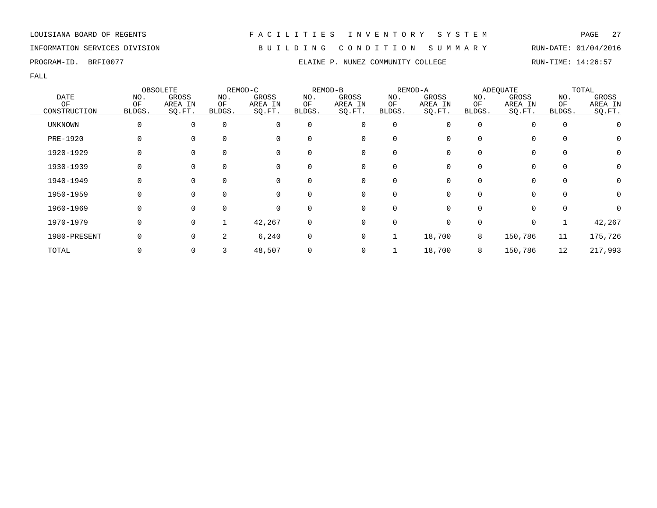INFORMATION SERVICES DIVISION B U I L D I N G C O N D I T I O N S U M M A R Y RUN-DATE: 01/04/2016

FALL

|              |        | OBSOLETE |          | REMOD-C     |          | REMOD-B     |             | REMOD-A      |          | <b>ADEQUATE</b> |          | TOTAL        |
|--------------|--------|----------|----------|-------------|----------|-------------|-------------|--------------|----------|-----------------|----------|--------------|
| DATE         | NO.    | GROSS    | NO.      | GROSS       | NO.      | GROSS       | NO.         | GROSS        | NO.      | GROSS           | NO.      | GROSS        |
| ΟF           | OF     | AREA IN  | ΟF       | AREA IN     | ΟF       | AREA IN     | OF          | AREA IN      | ΟF       | AREA IN         | OF       | AREA IN      |
| CONSTRUCTION | BLDGS. | SQ.FT.   | BLDGS.   | SQ.FT.      | BLDGS.   | SQ.FT.      | BLDGS.      | SO.FT.       | BLDGS.   | SQ.FT.          | BLDGS.   | SQ.FT.       |
| UNKNOWN      |        | $\Omega$ | $\Omega$ | $\mathbf 0$ | $\Omega$ | 0           | $\mathbf 0$ |              | $\Omega$ | $\Omega$        | $\Omega$ |              |
| PRE-1920     |        |          | $\Omega$ | 0           |          | 0           | $\Omega$    |              |          | 0               |          | $\Omega$     |
| 1920-1929    |        |          | 0        | 0           | 0        | 0           | 0           |              |          | $\mathbf 0$     | $\Omega$ | 0            |
| 1930-1939    |        |          | $\Omega$ | 0           | $\Omega$ | 0           | $\Omega$    |              |          | $\Omega$        |          | $\Omega$     |
| 1940-1949    |        | $\Omega$ | $\Omega$ | 0           | $\Omega$ | 0           | $\Omega$    | 0            |          | $\Omega$        |          | $\Omega$     |
| 1950-1959    |        | $\Omega$ | $\Omega$ | $\Omega$    | $\Omega$ | $\mathbf 0$ | $\Omega$    | <sup>n</sup> |          | $\Omega$        | $\Omega$ | $\Omega$     |
| 1960-1969    |        | $\Omega$ | $\Omega$ | $\Omega$    | $\Omega$ | $\mathbf 0$ | $\Omega$    |              |          | $\Omega$        | $\Omega$ | <sup>n</sup> |
| 1970-1979    |        | $\Omega$ |          | 42,267      | 0        | 0           | 0           |              |          | 0               |          | 42,267       |
| 1980-PRESENT |        |          | 2        | 6,240       | 0        | 0           |             | 18,700       | 8        | 150,786         | 11       | 175,726      |
| TOTAL        |        |          | 3        | 48,507      |          | 0           |             | 18,700       | 8        | 150,786         | 12       | 217,993      |

### LOUISIANA BOARD OF REGENTS F A C I L I T I E S I N V E N T O R Y S Y S T E M PAGE 27

PROGRAM-ID. BRFI0077 **ELAINE P. NUNEZ COMMUNITY COLLEGE** RUN-TIME: 14:26:57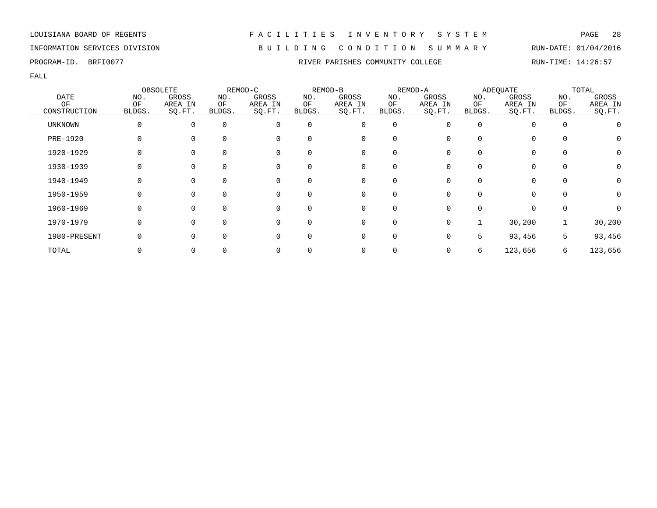# INFORMATION SERVICES DIVISION B U I L D I N G C O N D I T I O N S U M M A R Y RUN-DATE: 01/04/2016

|                 |              | OBSOLETE    |             | REMOD-C  |          | REMOD-B  |             | REMOD-A |              | ADEQUATE |              | TOTAL   |
|-----------------|--------------|-------------|-------------|----------|----------|----------|-------------|---------|--------------|----------|--------------|---------|
| <b>DATE</b>     | NO.          | GROSS       | NO.         | GROSS    | NO.      | GROSS    | NO.         | GROSS   | NO.          | GROSS    | NO.          | GROSS   |
| OF              | OF           | AREA IN     | ΟF          | AREA IN  | ΟF       | AREA IN  | ΟF          | AREA IN | OF           | AREA IN  | OF           | AREA IN |
| CONSTRUCTION    | <b>BLDGS</b> | SQ.FT.      | BLDGS.      | SQ.FT.   | BLDGS.   | SO.FT.   | BLDGS.      | SO.FT.  | <b>BLDGS</b> | SQ.FT.   | <b>BLDGS</b> | SQ.FT.  |
| <b>UNKNOWN</b>  | 0            | 0           | 0           | $\Omega$ | 0        | 0        | 0           | O       | $\Omega$     | $\Omega$ | 0            |         |
| <b>PRE-1920</b> |              |             | $\Omega$    | 0        | $\Omega$ | 0        | $\Omega$    |         |              | $\Omega$ | $\Omega$     | Ü       |
| 1920-1929       |              |             | $\Omega$    | 0        |          | 0        | 0           |         |              | $\Omega$ | 0            | 0       |
| 1930-1939       |              | 0           | 0           | 0        | 0        | 0        | 0           |         |              | 0        | $\mathbf 0$  | 0       |
| 1940-1949       | 0            | $\mathbf 0$ | $\mathbf 0$ | 0        | 0        | 0        | 0           | 0       | $\Omega$     | 0        | $\mathbf 0$  | 0       |
| 1950-1959       | 0            | $\Omega$    | $\Omega$    | $\Omega$ | $\Omega$ | $\Omega$ | $\Omega$    |         |              | $\Omega$ | $\Omega$     | 0       |
| 1960-1969       | 0            | $\Omega$    | $\Omega$    | $\Omega$ | $\Omega$ | $\Omega$ | $\mathbf 0$ |         |              | $\Omega$ | 0            |         |
| 1970-1979       |              | $\Omega$    | $\Omega$    | $\Omega$ | $\Omega$ | 0        | $\mathbf 0$ | 0       |              | 30,200   |              | 30,200  |
| 1980-PRESENT    |              |             | $\Omega$    | 0        | 0        | $\Omega$ | 0           |         | 5.           | 93,456   | 5            | 93,456  |
| TOTAL           |              |             |             |          |          | 0        |             | 0       | 6            | 123,656  | 6            | 123,656 |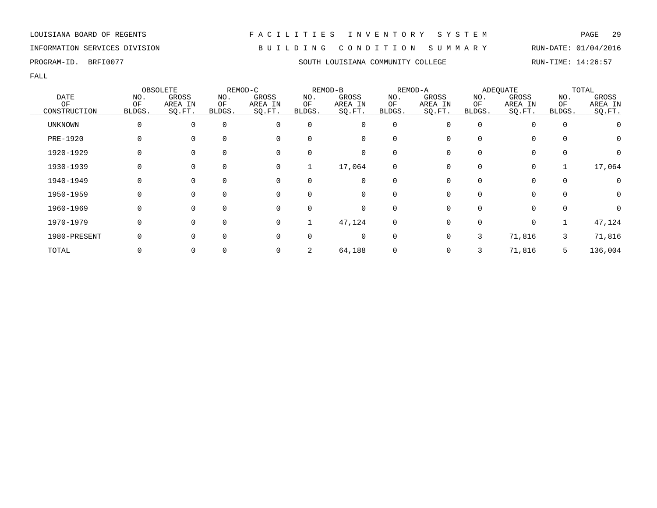LOUISIANA BOARD OF REGENTS F A C I L I T I E S I N V E N T O R Y S Y S T E M PAGE 29 INFORMATION SERVICES DIVISION B U I L D I N G C O N D I T I O N S U M M A R Y RUN-DATE: 01/04/2016

### PROGRAM-ID. BRFI0077 SOUTH LOUISIANA COMMUNITY COLLEGE RUN-TIME: 14:26:57

|                 |        | OBSOLETE |             | REMOD-C  |          | REMOD-B     |             | REMOD-A |          | <b>ADEQUATE</b> |             | TOTAL   |
|-----------------|--------|----------|-------------|----------|----------|-------------|-------------|---------|----------|-----------------|-------------|---------|
| DATE            | NO.    | GROSS    | NO.         | GROSS    | NO.      | GROSS       | NO.         | GROSS   | NO.      | GROSS           | NO.         | GROSS   |
| OF              | OF     | AREA IN  | ОF          | AREA IN  | ΟF       | AREA IN     | ΟF          | AREA IN | ΟF       | AREA IN         | ΟF          | AREA IN |
| CONSTRUCTION    | BLDGS. | SQ.FT.   | BLDGS.      | SQ.FT.   | BLDGS.   | SO.FT.      | BLDGS.      | SO.FT.  | BLDGS.   | SQ.FT.          | BLDGS.      | SO.FT.  |
| <b>UNKNOWN</b>  | 0      | 0        | $\mathbf 0$ | 0        | 0        | $\mathbf 0$ | $\mathbf 0$ | U       | $\Omega$ | $\Omega$        | $\mathbf 0$ |         |
| <b>PRE-1920</b> | 0      |          | $\Omega$    | 0        | 0        | 0           | 0           |         |          | 0               | 0           | 0       |
| 1920-1929       |        | 0        | 0           | 0        | 0        | 0           | 0           |         |          | $\mathbf 0$     | $\mathbf 0$ | 0       |
| 1930-1939       |        | $\Omega$ | $\Omega$    | 0        |          | 17,064      | 0           |         |          | 0               |             | 17,064  |
| 1940-1949       | 0      | $\Omega$ | $\Omega$    | 0        | $\Omega$ | 0           | $\Omega$    |         |          | $\Omega$        | $\Omega$    |         |
| 1950-1959       | 0      | $\Omega$ | $\Omega$    | 0        | $\Omega$ | 0           | $\Omega$    | ∩       |          | $\Omega$        | $\Omega$    | 0       |
| 1960-1969       | 0      | $\Omega$ | $\Omega$    | $\Omega$ | 0        | 0           | $\Omega$    |         |          | $\Omega$        | $\mathbf 0$ |         |
| 1970-1979       | 0      | $\Omega$ | $\mathbf 0$ | 0        |          | 47,124      | 0           |         |          | 0               |             | 47,124  |
| 1980-PRESENT    |        |          |             | 0        |          | 0           | $\Omega$    | 0       | 3        | 71,816          | 3           | 71,816  |
| TOTAL           |        | 0        |             | 0        | 2        | 64,188      | 0           |         |          | 71,816          |             | 136,004 |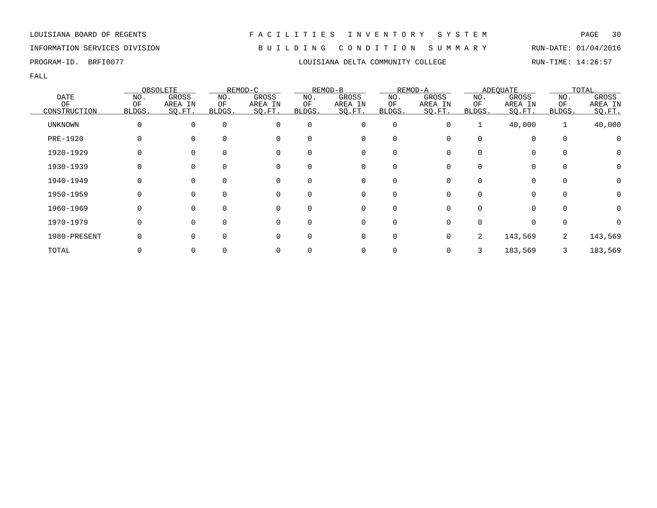INFORMATION SERVICES DIVISION B U I L D I N G C O N D I T I O N S U M M A R Y RUN-DATE: 01/04/2016

FALL

|              |          | OBSOLETE |             | REMOD-C  |          | REMOD-B  |             | REMOD-A |        | <b>ADEOUATE</b> |              | TOTAL    |
|--------------|----------|----------|-------------|----------|----------|----------|-------------|---------|--------|-----------------|--------------|----------|
| <b>DATE</b>  | NO.      | GROSS    | NO.         | GROSS    | NO.      | GROSS    | NO.         | GROSS   | NO.    | GROSS           | NO.          | GROSS    |
| ΟF           | OF       | AREA IN  | ΟF          | AREA IN  | ΟF       | AREA IN  | ΟF          | AREA IN | ΟF     | AREA IN         | ΟF           | AREA IN  |
| CONSTRUCTION | BLDGS.   | SO.FT.   | BLDGS.      | SQ.FT.   | BLDGS.   | SQ.FT.   | BLDGS.      | SO.FT.  | BLDGS. | SQ.FT.          | BLDGS.       | SQ.FT.   |
| UNKNOWN      | O        | $\Omega$ | $\mathbf 0$ | 0        | $\Omega$ | 0        | $\mathbf 0$ | O       |        | 40,000          | 1            | 40,000   |
| PRE-1920     |          |          | 0           | 0        | 0        | 0        | 0           |         |        | $\mathbf 0$     | $\mathbf 0$  | 0        |
| 1920-1929    |          |          | 0           | 0        | 0        | 0        | 0           |         |        | 0               | $\Omega$     |          |
| 1930-1939    |          | $\Omega$ | $\Omega$    | 0        | 0        | 0        | $\Omega$    |         |        | 0               |              | $\Omega$ |
| 1940-1949    | O        | $\Omega$ | $\Omega$    | $\Omega$ | 0        | $\Omega$ | $\Omega$    |         |        | $\Omega$        | <sup>0</sup> | $\Omega$ |
| 1950-1959    | 0        | $\Omega$ | $\Omega$    | 0        | $\Omega$ | 0        | 0           |         |        | $\Omega$        | $\Omega$     |          |
| 1960-1969    |          |          | $\Omega$    | $\Omega$ | 0        | 0        | $\Omega$    |         |        | $\Omega$        |              |          |
| 1970-1979    | $\Omega$ |          | $\Omega$    | $\Omega$ | $\Omega$ | 0        | 0           |         |        | $\mathbf 0$     | $\Omega$     |          |
| 1980-PRESENT |          |          | $\Omega$    | 0        | 0        | 0        | $\Omega$    |         | 2      | 143,569         | 2            | 143,569  |
| TOTAL        |          |          | 0           | 0        |          | 0        |             |         |        | 183,569         |              | 183,569  |

PROGRAM-ID. BRFI0077 LOUISIANA DELTA COMMUNITY COLLEGE RUN-TIME: 14:26:57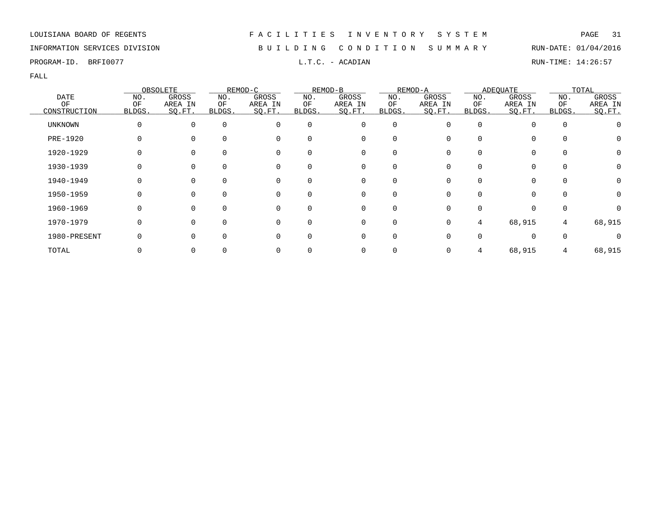# INFORMATION SERVICES DIVISION B U I L D I N G C O N D I T I O N S U M M A R Y RUN-DATE: 01/04/2016

PROGRAM-ID. BRFI0077 **EXAM-ID.** BRFI0077 **RUN-TIME:** 14:26:57

|                |          | OBSOLETE     |              | REMOD-C     |              | REMOD-B  |             | REMOD-A |              | <b>ADEQUATE</b> |          | TOTAL            |
|----------------|----------|--------------|--------------|-------------|--------------|----------|-------------|---------|--------------|-----------------|----------|------------------|
| <b>DATE</b>    | NO.      | GROSS        | NO.          | GROSS       | NO.          | GROSS    | NO.         | GROSS   | NO.          | GROSS           | NO.      | GROSS            |
| ΟF             | ΟF       | AREA IN      | ΟF           | AREA IN     | ΟF           | AREA IN  | ΟF          | AREA IN | ΟF           | AREA IN         | ΟF       | AREA IN          |
| CONSTRUCTION   | BLDGS.   | SO.FT.       | <b>BLDGS</b> | SQ.FT.      | BLDGS.       | SO.FT.   | BLDGS.      | SQ.FT.  | BLDGS.       | SQ.FT.          | BLDGS.   | SO.FT.           |
| <b>UNKNOWN</b> | $\Omega$ | $\Omega$     | $\Omega$     | $\Omega$    | $\Omega$     | 0        | $\mathbf 0$ |         | 0            |                 | $\Omega$ |                  |
| PRE-1920       |          |              | $\Omega$     | $\mathbf 0$ | <sup>0</sup> | 0        | 0           |         | 0            | 0               | $\Omega$ | O                |
| 1920-1929      |          |              | $\Omega$     | $\Omega$    | <sup>0</sup> | 0        |             |         |              |                 |          | $\left( \right)$ |
| 1930-1939      |          |              |              | 0           | $\Omega$     | 0        | 0           |         |              |                 | $\Omega$ |                  |
| 1940-1949      |          | $\Omega$     | $\Omega$     | 0           | $\Omega$     | 0        | 0           |         | 0            | $\Omega$        | $\Omega$ |                  |
| 1950-1959      | O        | $\Omega$     | $\Omega$     | 0           | $\Omega$     | 0        | $\Omega$    |         | <sup>n</sup> | $\Omega$        | $\Omega$ | $\left( \right)$ |
| 1960-1969      |          | <sup>n</sup> | $\Omega$     | $\Omega$    | $\Omega$     | $\Omega$ |             |         | <sup>n</sup> |                 | ∩        |                  |
| 1970-1979      | $\Omega$ |              | $\Omega$     | $\mathbf 0$ | $\Omega$     | 0        | 0           | U       | 4            | 68,915          | 4        | 68,915           |
| 1980-PRESENT   |          |              | $\Omega$     | $\Omega$    | <sup>0</sup> | 0        | 0           |         |              | $\Omega$        | $\Omega$ |                  |
| TOTAL          |          |              |              |             |              | 0        |             |         | 4            | 68,915          |          | 68,915           |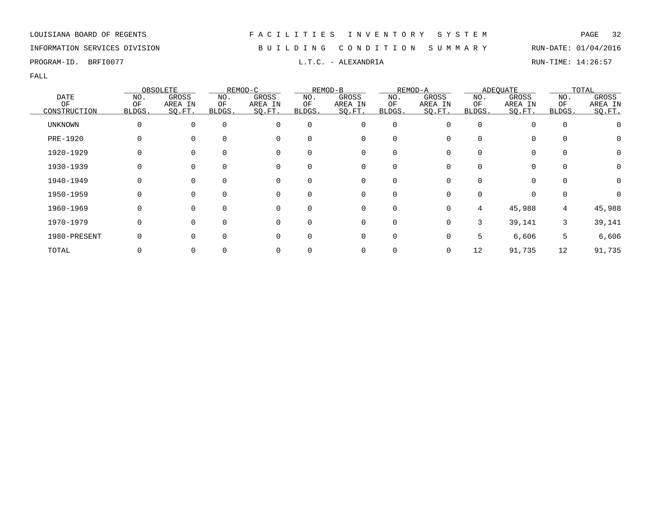# INFORMATION SERVICES DIVISION B U I L D I N G C O N D I T I O N S U M M A R Y RUN-DATE: 01/04/2016

PROGRAM-ID. BRFI0077 **EXELLET ALEXANDRIA** L.T.C. - ALEXANDRIA RUN-TIME: 14:26:57

|                    |              | OBSOLETE          |              | REMOD-C           |              | REMOD-B           |              | REMOD-A           |              | <b>ADEOUATE</b>   |              | TOTAL             |
|--------------------|--------------|-------------------|--------------|-------------------|--------------|-------------------|--------------|-------------------|--------------|-------------------|--------------|-------------------|
| <b>DATE</b>        | NO.          | GROSS             | NO.          | GROSS             | NO.          | GROSS             | NO.          | GROSS             | NO.          | GROSS             | NO.          | GROSS             |
| ΟF<br>CONSTRUCTION | ΟF<br>BLDGS. | AREA IN<br>SQ.FT. | ΟF<br>BLDGS. | AREA IN<br>SQ.FT. | ΟF<br>BLDGS. | AREA IN<br>SQ.FT. | ΟF<br>BLDGS. | AREA IN<br>SO.FT. | ΟF<br>BLDGS. | AREA IN<br>SQ.FT. | ΟF<br>BLDGS. | AREA IN<br>SQ.FT. |
| <b>UNKNOWN</b>     | 0            | $\mathbf 0$       | $\mathbf 0$  | 0                 | $\mathbf 0$  | 0                 | 0            | 0                 | $\Omega$     | 0                 | $\mathbf 0$  |                   |
| PRE-1920           |              | $\Omega$          | $\Omega$     | 0                 | 0            | 0                 | $\Omega$     |                   |              | 0                 | 0            | 0                 |
| 1920-1929          |              | 0                 | $\Omega$     | 0                 | 0            | 0                 | 0            |                   |              | 0                 | 0            | 0                 |
| 1930-1939          |              | 0                 | $\Omega$     | 0                 | 0            | 0                 | 0            |                   |              | 0                 | $\mathbf 0$  | 0                 |
| 1940-1949          |              | 0                 | $\Omega$     | 0                 | $\Omega$     | 0                 | $\Omega$     |                   |              | 0                 | $\Omega$     | 0                 |
| 1950-1959          |              | $\Omega$          | $\Omega$     | 0                 | $\Omega$     | $\Omega$          | $\Omega$     | <sup>n</sup>      |              | $\Omega$          | $\mathbf 0$  | O                 |
| 1960-1969          |              | $\Omega$          | $\Omega$     | $\Omega$          | 0            | $\Omega$          | $\Omega$     | 0                 | 4            | 45,988            | 4            | 45,988            |
| 1970-1979          |              | $\Omega$          | $\Omega$     | $\Omega$          | 0            | 0                 | 0            | 0                 | 3            | 39,141            | 3            | 39,141            |
| 1980-PRESENT       |              | 0                 | $\Omega$     | 0                 | 0            | 0                 | $\mathbf 0$  |                   | 5            | 6,606             | 5            | 6,606             |
| TOTAL              |              | 0                 |              |                   |              |                   |              | 0                 | 12           | 91,735            | 12           | 91,735            |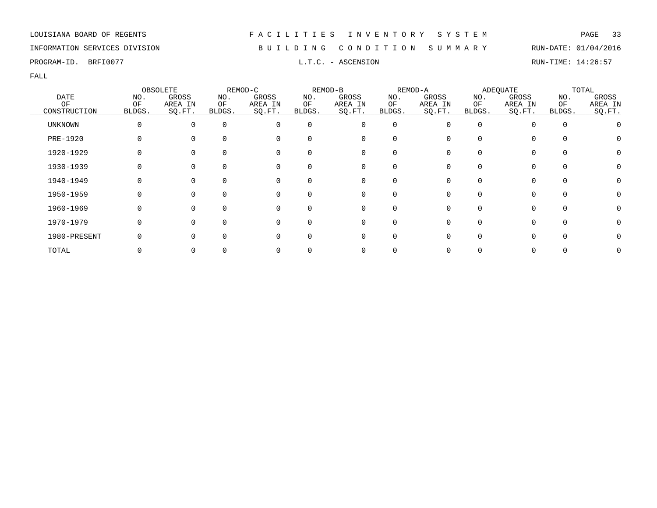# INFORMATION SERVICES DIVISION B U I L D I N G C O N D I T I O N S U M M A R Y RUN-DATE: 01/04/2016

PROGRAM-ID. BRFI0077 **EXECUTE:** 14:26:57 L.T.C. - ASCENSION RUN-TIME: 14:26:57

|                 |        | OBSOLETE |          | REMOD-C     |          | REMOD-B      |          | REMOD-A |              | <b>ADEQUATE</b> |          | TOTAL   |
|-----------------|--------|----------|----------|-------------|----------|--------------|----------|---------|--------------|-----------------|----------|---------|
| <b>DATE</b>     | NO.    | GROSS    | NO.      | GROSS       | NO.      | GROSS        | NO.      | GROSS   | NO.          | GROSS           | NO.      | GROSS   |
| OF              | ΟF     | AREA IN  | ΟF       | AREA IN     | ΟF       | AREA IN      | ΟF       | AREA IN | ΟF           | AREA IN         | OF       | AREA IN |
| CONSTRUCTION    | BLDGS. | SQ.FT.   | BLDGS.   | SQ.FT.      | BLDGS.   | SQ.FT.       | BLDGS.   | SO.FT.  | BLDGS.       | SQ.FT.          | BLDGS.   | SO.FT.  |
| <b>UNKNOWN</b>  | 0      | $\Omega$ | $\Omega$ | $\Omega$    | $\Omega$ | 0            | 0        |         | <sup>0</sup> |                 | $\Omega$ |         |
| <b>PRE-1920</b> | 0      |          | $\Omega$ | $\mathbf 0$ |          | 0            |          |         | <sup>0</sup> | 0               | $\Omega$ |         |
| 1920-1929       |        |          | $\Omega$ | 0           |          | 0            |          |         |              |                 |          |         |
| 1930-1939       |        |          | $\Omega$ | 0           |          | 0            |          |         |              |                 | $\Omega$ |         |
| 1940-1949       |        | 0        | $\Omega$ | 0           | 0        | 0            | $\Omega$ |         | <sup>0</sup> | 0               | $\Omega$ |         |
| 1950-1959       | O      | $\Omega$ | $\Omega$ | 0           | $\Omega$ | $\mathbf{0}$ | $\Omega$ |         | U            | 0               | $\Omega$ |         |
| 1960-1969       | O      | $\Omega$ | $\Omega$ | $\Omega$    |          | $\Omega$     |          |         | U            |                 | $\cap$   |         |
| 1970-1979       | 0      | ∩        | $\Omega$ | $\Omega$    | $\Omega$ | 0            | $\Omega$ |         |              | 0               | $\Omega$ |         |
| 1980-PRESENT    |        |          | $\Omega$ | $\Omega$    |          | 0            | $\Omega$ |         |              |                 |          |         |
| TOTAL           |        |          |          |             |          | 0            |          |         |              |                 |          |         |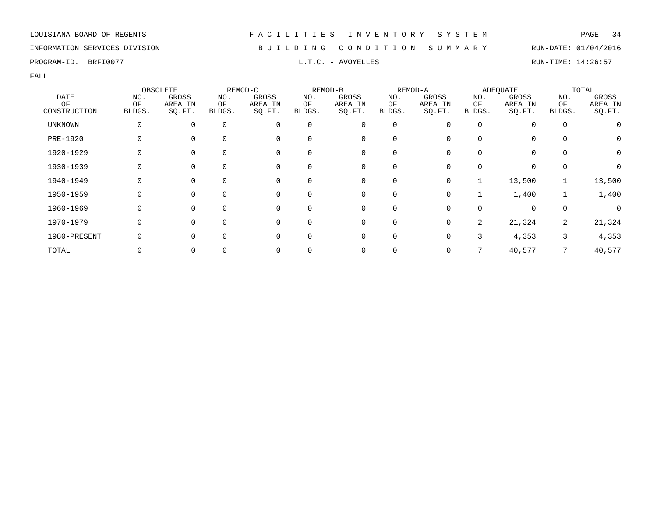# INFORMATION SERVICES DIVISION B U I L D I N G C O N D I T I O N S U M M A R Y RUN-DATE: 01/04/2016

PROGRAM-ID. BRFI0077 **EXAM-ID.** BRFI0077 **RUN-TIME:** 14:26:57

|                 |        | OBSOLETE |             | REMOD-C  |          | REMOD-B      |             | REMOD-A |                | <b>ADEQUATE</b> |                | TOTAL   |
|-----------------|--------|----------|-------------|----------|----------|--------------|-------------|---------|----------------|-----------------|----------------|---------|
| <b>DATE</b>     | NO.    | GROSS    | NO.         | GROSS    | NO.      | GROSS        | NO.         | GROSS   | NO.            | GROSS           | NO.            | GROSS   |
| OF              | OF     | AREA IN  | ОF          | AREA IN  | ΟF       | AREA IN      | ΟF          | AREA IN | ΟF             | AREA IN         | OF             | AREA IN |
| CONSTRUCTION    | BLDGS. | SO.FT.   | BLDGS.      | SQ.FT.   | BLDGS.   | SQ.FT.       | BLDGS.      | SO.FT.  | BLDGS.         | SQ.FT.          | BLDGS.         | SQ.FT.  |
| <b>UNKNOWN</b>  | 0      | $\Omega$ | $\mathbf 0$ | $\Omega$ | 0        | 0            | $\mathbf 0$ |         | <sup>0</sup>   |                 | $\overline{0}$ |         |
| <b>PRE-1920</b> | 0      |          | $\Omega$    | 0        |          | 0            | $\Omega$    |         | 0              | 0               | $\Omega$       | O       |
| 1920-1929       |        | $\Omega$ | 0           | 0        | 0        | 0            | 0           |         |                | 0               | 0              | O       |
| 1930-1939       |        |          | 0           | 0        | 0        | 0            | 0           |         |                |                 | 0              |         |
| 1940-1949       | 0      | $\Omega$ | $\mathbf 0$ | 0        | 0        | 0            | 0           | 0       |                | 13,500          |                | 13,500  |
| 1950-1959       | 0      | $\Omega$ | $\Omega$    | $\Omega$ | $\Omega$ | $\mathbf{0}$ | $\Omega$    | O       |                | 1,400           |                | 1,400   |
| 1960-1969       | 0      | $\Omega$ | $\Omega$    | 0        | $\Omega$ | 0            | $\Omega$    |         | <sup>0</sup>   | $\Omega$        | 0              |         |
| 1970-1979       | 0      | $\Omega$ | $\Omega$    | $\Omega$ | 0        | 0            | 0           |         | $\overline{2}$ | 21,324          | 2              | 21,324  |
| 1980-PRESENT    |        |          | $\Omega$    | 0        |          | 0            | $\Omega$    |         | 3              | 4,353           | 3              | 4,353   |
| TOTAL           |        |          |             |          |          | 0            |             |         |                | 40,577          |                | 40,577  |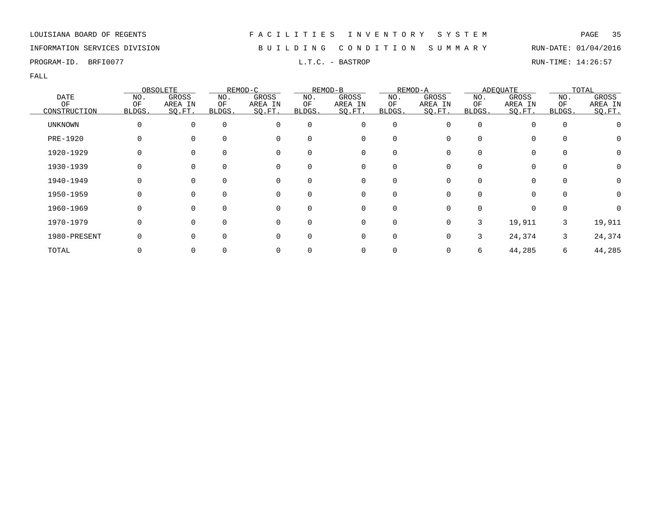# INFORMATION SERVICES DIVISION B U I L D I N G C O N D I T I O N S U M M A R Y RUN-DATE: 01/04/2016

PROGRAM-ID. BRFI0077 L.T.C. - BASTROP RUN-TIME: 14:26:57

|                   |              | OBSOLETE         |               | REMOD-C          |           | REMOD-B          |             | REMOD-A          |           | <b>ADEOUATE</b>  |             | TOTAL            |
|-------------------|--------------|------------------|---------------|------------------|-----------|------------------|-------------|------------------|-----------|------------------|-------------|------------------|
| <b>DATE</b><br>OF | NO.<br>OF    | GROSS<br>AREA IN | NO.<br>ΟF     | GROSS<br>AREA IN | NO.<br>ΟF | GROSS<br>AREA IN | NO.<br>OF   | GROSS<br>AREA IN | NO.<br>ΟF | GROSS<br>AREA IN | NO.<br>OF   | GROSS<br>AREA IN |
| CONSTRUCTION      | BLDGS.       | SO.FT.           | <b>BLDGS.</b> | SQ.FT.           | BLDGS.    | SQ.FT.           | BLDGS.      | SO.FT.           | BLDGS.    | SQ.FT.           | BLDGS.      | SQ.FT.           |
| UNKNOWN           | $\Omega$     | $\Omega$         | $\mathbf 0$   | 0                | 0         | 0                | $\mathbf 0$ |                  | 0         | $\Omega$         | $\mathbf 0$ |                  |
| PRE-1920          |              |                  | $\Omega$      | 0                |           | 0                | O           |                  |           |                  | 0           | $\mathbf{0}$     |
| 1920-1929         |              |                  | 0             | 0                | 0         | 0                | 0           |                  |           | $\Omega$         | 0           | 0                |
| 1930-1939         |              | 0                | 0             | 0                | 0         | 0                | 0           |                  |           | $\Omega$         | $\mathbf 0$ |                  |
| 1940-1949         | 0            | $\Omega$         | $\Omega$      | 0                | $\Omega$  | 0                | $\Omega$    |                  |           | 0                | $\Omega$    | 0                |
| 1950-1959         | <sup>0</sup> | $\Omega$         | $\Omega$      | $\Omega$         |           | $\mathbf 0$      | $\Omega$    |                  |           | $\cap$           | $\Omega$    | O                |
| 1960-1969         | $\Omega$     | $\Omega$         | $\Omega$      | $\Omega$         | $\Omega$  | $\mathbf 0$      | $\Omega$    |                  |           | $\Omega$         | $\Omega$    |                  |
| 1970-1979         | $\Omega$     |                  | $\Omega$      | $\Omega$         | $\Omega$  | 0                | 0           |                  | 3         | 19,911           | 3           | 19,911           |
| 1980-PRESENT      |              |                  | $\Omega$      | 0                | 0         | 0                | $\Omega$    |                  | 3         | 24,374           | 3           | 24,374           |
| TOTAL             |              |                  | 0             |                  |           | 0                |             |                  | 6         | 44,285           | 6           | 44,285           |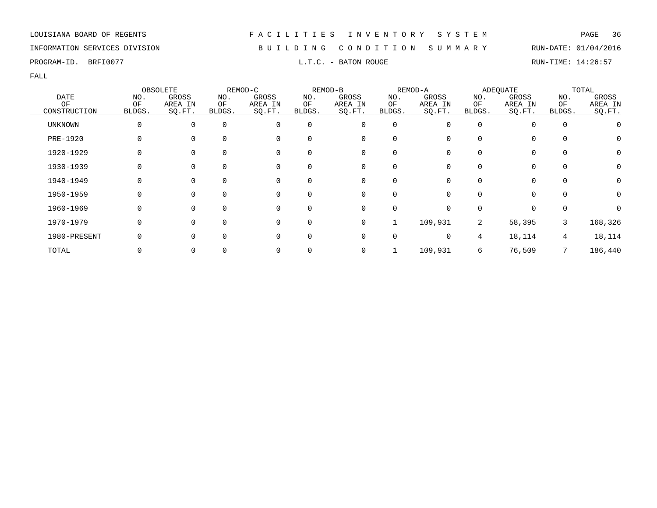# INFORMATION SERVICES DIVISION B U I L D I N G C O N D I T I O N S U M M A R Y RUN-DATE: 01/04/2016

PROGRAM-ID. BRFI0077 **EXECUTE:** 14:26:57 L.T.C. - BATON ROUGE RUN-TIME: 14:26:57

|                |        | OBSOLETE |          | REMOD-C     |          | REMOD-B      |             | REMOD-A |                | <b>ADEQUATE</b> |             | TOTAL            |
|----------------|--------|----------|----------|-------------|----------|--------------|-------------|---------|----------------|-----------------|-------------|------------------|
| <b>DATE</b>    | NO.    | GROSS    | NO.      | GROSS       | NO.      | GROSS        | NO.         | GROSS   | NO.            | GROSS           | NO.         | GROSS            |
| OF             | ΟF     | AREA IN  | ΟF       | AREA IN     | ΟF       | AREA IN      | ΟF          | AREA IN | ΟF             | AREA IN         | ΟF          | AREA IN          |
| CONSTRUCTION   | BLDGS. | SO.FT.   | BLDGS.   | SQ.FT.      | BLDGS.   | SO.FT.       | BLDGS.      | SQ.FT.  | BLDGS.         | SQ.FT.          | BLDGS.      | SO.FT.           |
| <b>UNKNOWN</b> | 0      | $\Omega$ | $\Omega$ | $\Omega$    | 0        | 0            | $\mathbf 0$ |         | <sup>0</sup>   |                 | $\mathbf 0$ |                  |
| PRE-1920       | 0      |          | $\Omega$ | 0           | $\Omega$ | 0            | $\Omega$    |         | <sup>0</sup>   | 0               | $\Omega$    | O                |
| 1920-1929      | U      |          | $\Omega$ | 0           |          | 0            |             |         |                | 0               | 0           | O                |
| 1930-1939      |        |          | 0        | 0           | 0        | 0            |             |         |                |                 | 0           |                  |
| 1940-1949      | O      | $\Omega$ | $\Omega$ | 0           | 0        | 0            | $\Omega$    |         | <sup>0</sup>   | 0               | $\Omega$    | $\left( \right)$ |
| 1950-1959      | 0      | $\Omega$ | $\Omega$ | 0           | $\Omega$ | $\mathbf{0}$ | $\Omega$    |         | 0              | 0               | $\Omega$    | O                |
| 1960-1969      | O      | $\Omega$ | $\Omega$ | $\Omega$    |          | $\mathbf 0$  | $\Omega$    |         | U              |                 | $\cap$      |                  |
| 1970-1979      | 0      | $\Omega$ | $\Omega$ | $\mathbf 0$ | 0        | 0            |             | 109,931 | $\overline{2}$ | 58,395          | 3           | 168,326          |
| 1980-PRESENT   |        |          | $\Omega$ | $\Omega$    | 0        | 0            | 0           |         | 4              | 18,114          | 4           | 18,114           |
| TOTAL          |        |          |          | 0           |          | 0            |             | 109,931 | 6              | 76,509          |             | 186,440          |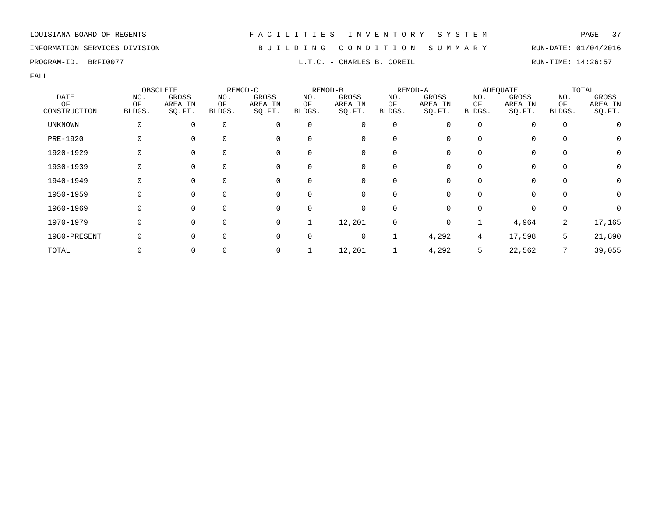| LOUISIANA BOARD OF REGENTS |  |  |  |
|----------------------------|--|--|--|
|----------------------------|--|--|--|

FACILITIES INVENTORY SYSTEM PAGE 37

INFORMATION SERVICES DIVISION B U I L D I N G C O N D I T I O N S U M M A R Y RUN-DATE: 01/04/2016

PROGRAM-ID. BRFI0077 **EXECUTE:** 14:26:57 L.T.C. - CHARLES B. COREIL RUN-TIME: 14:26:57

|              |          | OBSOLETE |          | REMOD-C     |          | REMOD-B     |             | REMOD-A  |              | <b>ADEOUATE</b> |          | TOTAL            |
|--------------|----------|----------|----------|-------------|----------|-------------|-------------|----------|--------------|-----------------|----------|------------------|
| <b>DATE</b>  | NO.      | GROSS    | NO.      | GROSS       | NO.      | GROSS       | NO.         | GROSS    | NO.          | GROSS           | NO.      | GROSS            |
| ΟF           | OF       | AREA IN  | ΟF       | AREA IN     | ΟF       | AREA IN     | ΟF          | AREA IN  | ΟF           | AREA IN         | ΟF       | AREA IN          |
| CONSTRUCTION | BLDGS.   | SQ.FT.   | BLDGS.   | SQ.FT.      | BLDGS.   | SQ.FT.      | BLDGS.      | SO.FT.   | BLDGS.       | SQ.FT.          | BLDGS.   | SQ.FT.           |
| UNKNOWN      | 0        | 0        | $\Omega$ | 0           | $\Omega$ | $\mathbf 0$ | $\mathbf 0$ | $\Omega$ | 0            | 0               | 0        |                  |
| PRE-1920     | 0        |          |          | 0           |          | 0           | $\Omega$    |          | <sup>0</sup> | 0               |          | $\left( \right)$ |
| 1920-1929    | 0        |          |          | $\mathbf 0$ |          | 0           | 0           |          | <sup>0</sup> | 0               |          | 0                |
| 1930-1939    | 0        | 0        |          | 0           |          | 0           | 0           |          | 0            | 0               | 0        |                  |
| 1940-1949    | 0        | $\Omega$ |          | $\mathbf 0$ | $\Omega$ | 0           | 0           | $\Omega$ | $\Omega$     | 0               | $\Omega$ | 0                |
| 1950-1959    | $\Omega$ | $\Omega$ |          | 0           | $\Omega$ | 0           | $\Omega$    | $\Omega$ | 0            | $\Omega$        |          | O                |
| 1960-1969    | 0        | ∩        |          | $\mathbf 0$ | $\Omega$ | $\mathbf 0$ | $\Omega$    | $\Omega$ | <sup>0</sup> | $\Omega$        | $\Omega$ |                  |
| 1970-1979    | 0        | $\Omega$ |          | 0           |          | 12,201      | 0           | $\Omega$ |              | 4,964           | 2        | 17,165           |
| 1980-PRESENT | 0        |          |          | 0           |          | 0           | 1           | 4,292    | 4            | 17,598          | 5        | 21,890           |
| TOTAL        |          |          |          | 0           |          | 12,201      |             | 4,292    | 5            | 22,562          |          | 39,055           |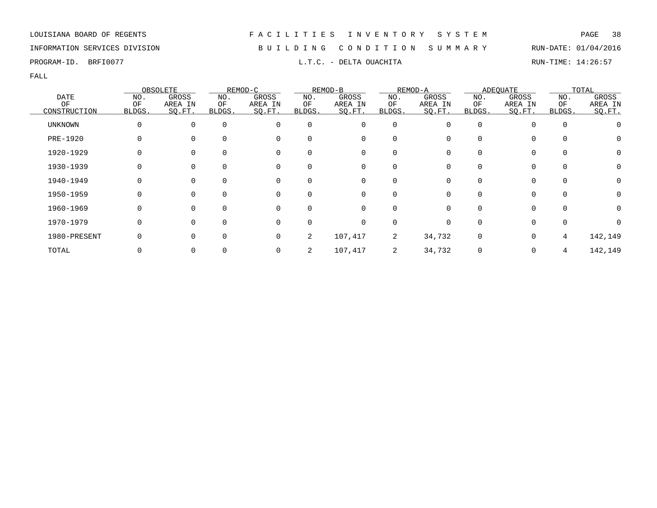### INFORMATION SERVICES DIVISION B U I L D I N G C O N D I T I O N S U M M A R Y RUN-DATE: 01/04/2016

PROGRAM-ID. BRFI0077 **EXAM-ID.** BRFI0077 **RUN-TIME: 14:26:57** 

|                 |        | OBSOLETE       |          | REMOD-C  |              | REMOD-B  |                | REMOD-A      |              | <b>ADEQUATE</b> |             | TOTAL   |
|-----------------|--------|----------------|----------|----------|--------------|----------|----------------|--------------|--------------|-----------------|-------------|---------|
| <b>DATE</b>     | NO.    | GROSS          | NO.      | GROSS    | NO.          | GROSS    | NO.            | GROSS        | NO.          | GROSS           | NO.         | GROSS   |
| OF              | OF     | AREA IN        | ΟF       | AREA IN  | ΟF           | AREA IN  | ΟF             | AREA IN      | ΟF           | AREA IN         | ΟF          | AREA IN |
| CONSTRUCTION    | BLDGS. | SQ.FT.         | BLDGS.   | SQ.FT.   | BLDGS.       | SO.FT.   | BLDGS.         | SO.FT.       | <b>BLDGS</b> | SQ.FT.          | BLDGS.      | SQ.FT.  |
| <b>UNKNOWN</b>  |        | 0              | $\Omega$ | 0        | $\Omega$     | 0        | $\overline{0}$ | 0            | $\Omega$     | 0               | $\mathbf 0$ |         |
| <b>PRE-1920</b> |        | $\Omega$       | $\Omega$ | 0        | 0            | 0        | $\Omega$       |              |              | 0               | 0           | 0       |
| 1920-1929       |        | 0              |          | 0        | <sup>0</sup> | 0        | 0              |              |              | 0               | 0           | 0       |
| 1930-1939       |        | 0              | $\Omega$ | 0        | 0            | 0        | 0              |              |              | 0               | 0           | 0       |
| 1940-1949       | O      | $\overline{0}$ | $\Omega$ | 0        | $\Omega$     | 0        | $\Omega$       | 0            |              | $\Omega$        | 0           | 0       |
| 1950-1959       | U      | $\Omega$       | $\Omega$ | $\Omega$ | 0            | $\Omega$ | $\Omega$       | <sup>n</sup> |              | $\Omega$        | $\Omega$    |         |
| 1960-1969       | U      | $\Omega$       | $\Omega$ | 0        | 0            | $\Omega$ | $\Omega$       |              |              | $\Omega$        | $\Omega$    | 0       |
| 1970-1979       |        | 0              | $\Omega$ | 0        | <sup>0</sup> | 0        | 0              |              |              | $\Omega$        | 0           |         |
| 1980-PRESENT    |        | $\Omega$       | $\Omega$ | 0        | 2            | 107,417  | 2              | 34,732       | $\Omega$     | 0               | 4           | 142,149 |
| TOTAL           |        | 0              |          |          | 2            | 107,417  | 2              | 34,732       |              | 0               | 4           | 142,149 |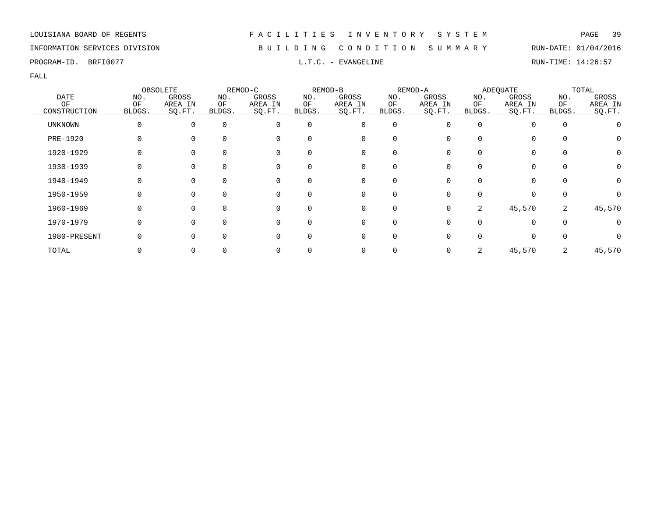### INFORMATION SERVICES DIVISION B U I L D I N G C O N D I T I O N S U M M A R Y RUN-DATE: 01/04/2016

PROGRAM-ID. BRFI0077 **EXAMGELINE L.T.C. - EVANGELINE RUN-TIME: 14:26:57** 

|                   | OBSOLETE     |                  |               | REMOD-C          |           | REMOD-B          |             | REMOD-A          |           | <b>ADEOUATE</b>  |             | TOTAL            |  |
|-------------------|--------------|------------------|---------------|------------------|-----------|------------------|-------------|------------------|-----------|------------------|-------------|------------------|--|
| <b>DATE</b><br>OF | NO.<br>OF    | GROSS<br>AREA IN | NO.<br>ΟF     | GROSS<br>AREA IN | NO.<br>ΟF | GROSS<br>AREA IN | NO.<br>OF   | GROSS<br>AREA IN | NO.<br>ΟF | GROSS<br>AREA IN | NO.<br>OF   | GROSS<br>AREA IN |  |
| CONSTRUCTION      | BLDGS.       | SO.FT.           | <b>BLDGS.</b> | SQ.FT.           | BLDGS.    | SQ.FT.           | BLDGS.      | SO.FT.           | BLDGS.    | SQ.FT.           | BLDGS.      | SQ.FT.           |  |
| UNKNOWN           | $\Omega$     | $\Omega$         | $\mathbf 0$   | 0                | 0         | 0                | $\mathbf 0$ |                  | 0         |                  | $\mathbf 0$ |                  |  |
| PRE-1920          |              |                  | $\Omega$      | 0                |           | 0                |             |                  |           |                  | $\Omega$    |                  |  |
| 1920-1929         |              |                  | 0             | 0                | 0         | 0                | 0           |                  |           |                  | 0           | 0                |  |
| 1930-1939         |              |                  | 0             | 0                | 0         | 0                | 0           |                  |           | 0                | $\mathbf 0$ |                  |  |
| 1940-1949         | <sup>0</sup> | $\Omega$         | $\Omega$      | 0                | $\Omega$  | 0                | $\Omega$    |                  |           | 0                | $\Omega$    | 0                |  |
| 1950-1959         | <sup>0</sup> | <sup>n</sup>     | $\Omega$      | $\Omega$         |           | 0                | 0           |                  |           | <sup>n</sup>     | $\Omega$    |                  |  |
| 1960-1969         | $\Omega$     | $\Omega$         | $\Omega$      | $\Omega$         | $\Omega$  | $\mathbf 0$      | $\Omega$    | 0                | 2         | 45,570           | 2           | 45,570           |  |
| 1970-1979         |              |                  | $\Omega$      | $\Omega$         | $\Omega$  | 0                | $\Omega$    |                  |           |                  | $\Omega$    |                  |  |
| 1980-PRESENT      |              |                  | $\Omega$      | $\Omega$         |           | 0                | O           |                  |           |                  |             |                  |  |
| TOTAL             |              |                  |               |                  |           | 0                |             |                  | 2         | 45,570           | 2           | 45,570           |  |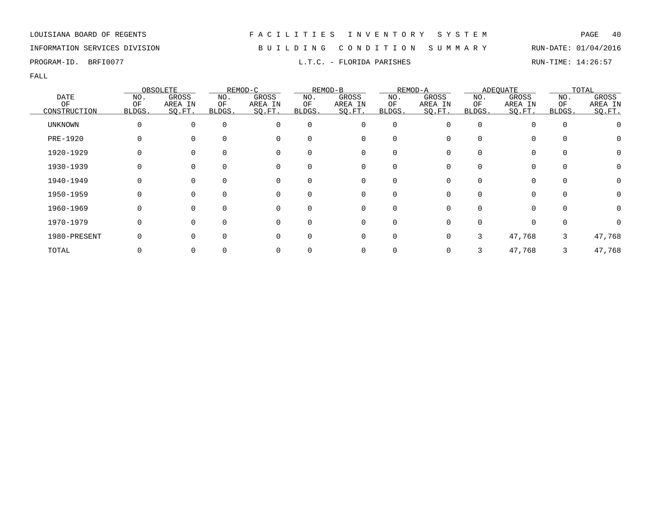### INFORMATION SERVICES DIVISION B U I L D I N G C O N D I T I O N S U M M A R Y RUN-DATE: 01/04/2016

PROGRAM-ID. BRFI0077 **EXECUTE:** 14:26:57 L.T.C. - FLORIDA PARISHES

|                |        | OBSOLETE |          | REMOD-C  |          | REMOD-B  |             | REMOD-A |          | <b>ADEQUATE</b> |             | TOTAL        |
|----------------|--------|----------|----------|----------|----------|----------|-------------|---------|----------|-----------------|-------------|--------------|
| <b>DATE</b>    | NO.    | GROSS    | NO.      | GROSS    | NO.      | GROSS    | NO.         | GROSS   | NO.      | GROSS           | NO.         | GROSS        |
| ΟF             | OF     | AREA IN  | ΟF       | AREA IN  | ΟF       | AREA IN  | ΟF          | AREA IN | OF       | AREA IN         | OF          | AREA IN      |
| CONSTRUCTION   | BLDGS. | SO.FT.   | BLDGS.   | SQ.FT.   | BLDGS.   | SQ.FT.   | BLDGS.      | SO.FT.  | BLDGS.   | SQ.FT.          | BLDGS.      | SQ.FT.       |
| <b>UNKNOWN</b> |        | $\Omega$ | $\Omega$ | 0        | $\Omega$ | 0        | $\mathbf 0$ | 0       | $\Omega$ | $\Omega$        | $\mathbf 0$ |              |
| PRE-1920       |        | $\Omega$ |          |          | U        | $\Omega$ | O           |         |          | $\Omega$        | $\Omega$    | $\mathbf{0}$ |
| 1920-1929      |        | $\Omega$ |          | 0        | 0        | 0        | 0           |         |          | 0               | 0           | 0            |
| 1930-1939      |        | 0        | $\Omega$ | 0        | $\Omega$ | 0        | 0           |         |          | 0               | 0           | 0            |
| 1940-1949      | O      | $\Omega$ | $\Omega$ | 0        | $\Omega$ | $\Omega$ | $\Omega$    | 0       |          | $\Omega$        | $\Omega$    | 0            |
| 1950-1959      |        | $\Omega$ | $\cap$   | $\Omega$ | 0        | $\Omega$ | $\Omega$    |         |          | $\Omega$        | $\Omega$    |              |
| 1960-1969      |        | $\Omega$ | $\Omega$ | $\Omega$ | 0        | 0        | $\Omega$    |         | $\Omega$ | $\Omega$        | $\Omega$    | 0            |
| 1970-1979      |        | $\Omega$ | $\Omega$ | $\Omega$ | $\Omega$ | 0        | 0           |         |          | 0               | $\mathbf 0$ |              |
| 1980-PRESENT   |        | $\Omega$ |          |          | U        | $\Omega$ | $\Omega$    |         | 3        | 47,768          | 3           | 47,768       |
| TOTAL          |        | $\Omega$ |          |          |          |          |             | 0       |          | 47,768          |             | 47,768       |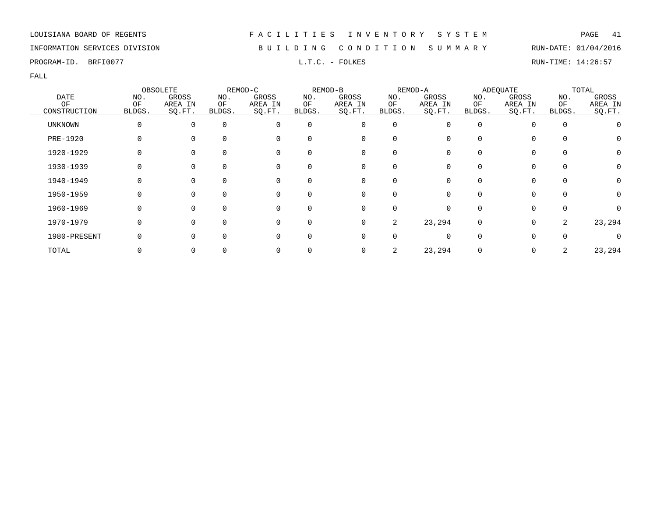| LOUISIANA BOARD OF REGENTS |  |  |  |
|----------------------------|--|--|--|
|----------------------------|--|--|--|

FACILITIES INVENTORY SYSTEM PAGE 41

### INFORMATION SERVICES DIVISION B U I L D I N G C O N D I T I O N S U M M A R Y RUN-DATE: 01/04/2016

PROGRAM-ID. BRFI0077 **EXAM-ID.** BRFI0077 **RUN-TIME:** 14:26:57

|                 |        | OBSOLETE |             | REMOD-C  |          | REMOD-B  |             | REMOD-A |          | <b>ADEOUATE</b> |             | TOTAL   |
|-----------------|--------|----------|-------------|----------|----------|----------|-------------|---------|----------|-----------------|-------------|---------|
| <b>DATE</b>     | NO.    | GROSS    | NO.         | GROSS    | NO.      | GROSS    | NO.         | GROSS   | NO.      | GROSS           | NO.         | GROSS   |
| OF              | OF     | AREA IN  | ОF          | AREA IN  | ΟF       | AREA IN  | OF          | AREA IN | ΟF       | AREA IN         | OF          | AREA IN |
| CONSTRUCTION    | BLDGS. | SO.FT.   | BLDGS.      | SQ.FT.   | BLDGS.   | SQ.FT.   | BLDGS.      | SO.FT.  | BLDGS.   | SQ.FT.          | BLDGS.      | SQ.FT.  |
| UNKNOWN         | 0      | $\Omega$ | $\mathbf 0$ | 0        | 0        | 0        | $\mathbf 0$ |         | $\Omega$ |                 | $\mathbf 0$ |         |
| <b>PRE-1920</b> |        |          |             | 0        | 0        | 0        | O           |         |          | <sup>0</sup>    | $\Omega$    |         |
| 1920-1929       |        |          |             | 0        | 0        | 0        | 0           |         |          | $\Omega$        | 0           | 0       |
| 1930-1939       |        | 0        | 0           | 0        | 0        | 0        | 0           |         |          | $\Omega$        | $\mathbf 0$ |         |
| 1940-1949       | O      | $\Omega$ | $\Omega$    | 0        | $\Omega$ | 0        | $\Omega$    |         |          | 0               | $\Omega$    | 0       |
| 1950-1959       | O      | $\Omega$ |             | $\Omega$ | 0        | $\Omega$ | $\Omega$    |         |          | $\Omega$        | $\Omega$    | 0       |
| 1960-1969       | O      | $\Omega$ | 0           | $\Omega$ | 0        | 0        | $\Omega$    | U       |          | 0               | $\Omega$    |         |
| 1970-1979       |        | $\Omega$ | $\Omega$    | $\Omega$ | $\Omega$ | 0        | 2           | 23,294  | $\Omega$ | $\Omega$        | 2           | 23,294  |
| 1980-PRESENT    |        |          | $\Omega$    | 0        | 0        | 0        | O           |         |          | U               | $\Omega$    |         |
| TOTAL           |        |          |             |          |          | 0        | 2           | 23,294  |          | 0               | 2           | 23,294  |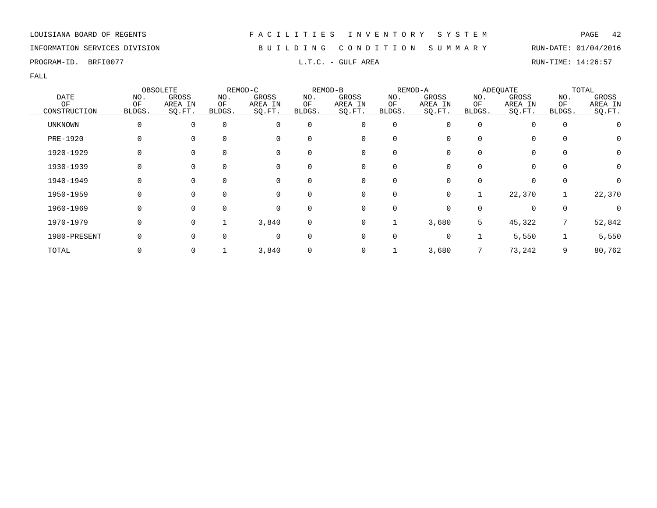### INFORMATION SERVICES DIVISION B U I L D I N G C O N D I T I O N S U M M A R Y RUN-DATE: 01/04/2016

PROGRAM-ID. BRFI0077 **EXECUTE:** 14:26:57 L.T.C. - GULF AREA RUN-TIME: 14:26:57

|                |        | OBSOLETE |             | REMOD-C  |          | REMOD-B     |             | REMOD-A |              | <b>ADEQUATE</b> |             | TOTAL   |
|----------------|--------|----------|-------------|----------|----------|-------------|-------------|---------|--------------|-----------------|-------------|---------|
| <b>DATE</b>    | NO.    | GROSS    | NO.         | GROSS    | NO.      | GROSS       | NO.         | GROSS   | NO.          | GROSS           | NO.         | GROSS   |
| OF             | ΟF     | AREA IN  | ΟF          | AREA IN  | ΟF       | AREA IN     | ΟF          | AREA IN | ΟF           | AREA IN         | ΟF          | AREA IN |
| CONSTRUCTION   | BLDGS. | SQ.FT.   | BLDGS.      | SO.FT.   | BLDGS.   | SQ.FT.      | BLDGS.      | SQ.FT.  | BLDGS.       | SQ.FT.          | BLDGS.      | SO.FT.  |
| <b>UNKNOWN</b> | 0      | 0        | $\mathbf 0$ | 0        | 0        | 0           | $\mathbf 0$ |         | $\Omega$     |                 | $\mathbf 0$ |         |
| PRE-1920       | 0      |          | 0           | 0        | 0        | 0           | 0           |         | 0            | 0               | 0           | O       |
| 1920-1929      | 0      | $\Omega$ | 0           | 0        | 0        | 0           | 0           |         | 0            | 0               | 0           | O       |
| 1930-1939      |        | 0        | 0           | 0        | 0        | 0           | 0           |         |              | 0               | 0           | Ω       |
| 1940-1949      | O      | $\Omega$ | $\Omega$    | 0        | $\Omega$ | 0           | $\Omega$    |         | <sup>0</sup> | 0               | $\Omega$    |         |
| 1950-1959      | O      | $\Omega$ | $\Omega$    | $\Omega$ | $\Omega$ | 0           | $\Omega$    | O       |              | 22,370          |             | 22,370  |
| 1960-1969      | O      | $\Omega$ | $\Omega$    | $\Omega$ | $\Omega$ | $\mathbf 0$ | $\Omega$    |         | U            | $\Omega$        | $\Omega$    |         |
| 1970-1979      | 0      | $\Omega$ |             | 3,840    | 0        | 0           |             | 3,680   | 5            | 45,322          | 7           | 52,842  |
| 1980-PRESENT   |        |          | 0           | 0        | 0        | 0           | 0           | O       |              | 5,550           |             | 5,550   |
| TOTAL          |        |          |             | 3,840    |          | 0           |             | 3,680   |              | 73,242          | 9           | 80,762  |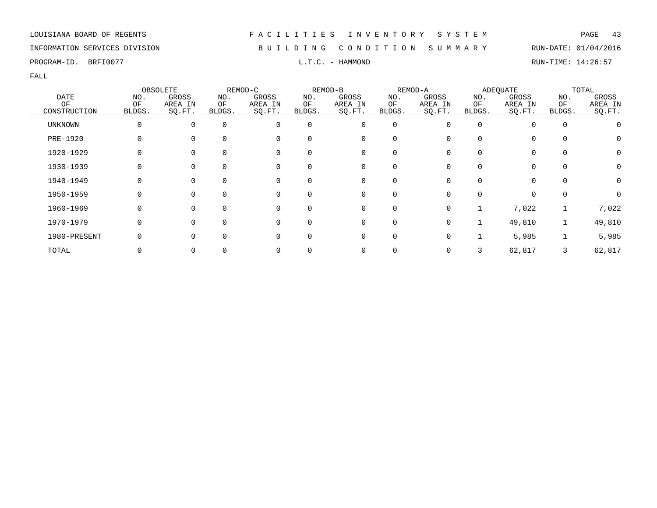### INFORMATION SERVICES DIVISION B U I L D I N G C O N D I T I O N S U M M A R Y RUN-DATE: 01/04/2016

PROGRAM-ID. BRFI0077 **EXAMPLE SECULIARY SECULIARY SECULIARY SECULIARY SECULIARY SECULIARY SECULIARY SECULIARY SECULIARY SECULIARY SECULIARY SECULIARY SECULIARY SECULIARY SECULIARY SECULIARY SECULIARY SECULIARY SECULIARY SE** 

|                |              | OBSOLETE |          | REMOD-C     |          | REMOD-B     |             | REMOD-A |          | <b>ADEQUATE</b> |             | TOTAL        |
|----------------|--------------|----------|----------|-------------|----------|-------------|-------------|---------|----------|-----------------|-------------|--------------|
| <b>DATE</b>    | NO.          | GROSS    | NO.      | GROSS       | NO.      | GROSS       | NO.         | GROSS   | NO.      | GROSS           | NO.         | GROSS        |
| ΟF             | ΟF           | AREA IN  | ΟF       | AREA IN     | ΟF       | AREA IN     | ΟF          | AREA IN | ΟF       | AREA IN         | ΟF          | AREA IN      |
| CONSTRUCTION   | BLDGS.       | SO.FT.   | BLDGS.   | SQ.FT.      | BLDGS.   | SO.FT.      | BLDGS.      | SQ.FT.  | BLDGS.   | SQ.FT.          | BLDGS.      | SO.FT.       |
| <b>UNKNOWN</b> | $\Omega$     | $\Omega$ | $\Omega$ | $\Omega$    | 0        | 0           | $\mathbf 0$ |         | $\Omega$ |                 | $\mathbf 0$ |              |
| PRE-1920       | $\Omega$     |          | $\Omega$ | 0           | $\Omega$ | 0           | $\Omega$    |         | $\Omega$ | $\Omega$        | 0           | Ü            |
| 1920-1929      |              |          | $\Omega$ | 0           |          | 0           | 0           |         |          | $\Omega$        | 0           | 0            |
| 1930-1939      |              |          | $\Omega$ | 0           | 0        | 0           |             |         |          |                 | 0           | 0            |
| 1940-1949      | 0            | $\Omega$ | $\Omega$ | 0           | 0        | 0           | $\Omega$    |         |          | $\Omega$        | $\Omega$    | 0            |
| 1950-1959      | 0            | $\Omega$ | $\Omega$ | 0           | $\Omega$ | $\mathbf 0$ | $\Omega$    |         | $\Omega$ | $\Omega$        | 0           | <sup>0</sup> |
| 1960-1969      | <sup>0</sup> | $\Omega$ | $\Omega$ | $\Omega$    |          | $\mathbf 0$ | $\Omega$    |         |          | 7,022           |             | 7,022        |
| 1970-1979      | 0            |          | $\Omega$ | $\mathbf 0$ | $\Omega$ | 0           | 0           |         |          | 49,810          |             | 49,810       |
| 1980-PRESENT   |              |          | $\Omega$ | $\Omega$    | 0        | 0           | $\mathbf 0$ |         |          | 5,985           |             | 5,985        |
| TOTAL          |              |          |          | 0           |          | 0           |             |         |          | 62,817          |             | 62,817       |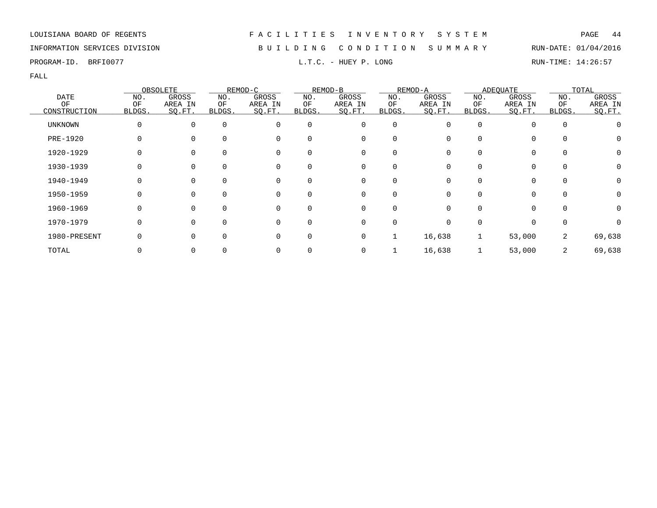| LOUISIANA BOARD OF REGENTS |  |  |  |
|----------------------------|--|--|--|
|----------------------------|--|--|--|

FACILITIES INVENTORY SYSTEM PAGE 44

INFORMATION SERVICES DIVISION B U I L D I N G C O N D I T I O N S U M M A R Y RUN-DATE: 01/04/2016

PROGRAM-ID. BRFI0077 **EXAM-ID.** BRFI0077 **RUN-TIME:** 14:26:57

|                    |              | OBSOLETE          |              | REMOD-C           |              | REMOD-B           |              | REMOD-A           |              | <b>ADEOUATE</b>   |              | TOTAL             |
|--------------------|--------------|-------------------|--------------|-------------------|--------------|-------------------|--------------|-------------------|--------------|-------------------|--------------|-------------------|
| <b>DATE</b>        | NO.          | GROSS             | NO.          | GROSS             | NO.          | GROSS             | NO.          | GROSS             | NO.          | GROSS             | NO.          | GROSS             |
| ΟF<br>CONSTRUCTION | ΟF<br>BLDGS. | AREA IN<br>SQ.FT. | ОF<br>BLDGS. | AREA IN<br>SQ.FT. | ΟF<br>BLDGS. | AREA IN<br>SQ.FT. | ΟF<br>BLDGS. | AREA IN<br>SQ.FT. | ΟF<br>BLDGS. | AREA IN<br>SQ.FT. | ΟF<br>BLDGS. | AREA IN<br>SQ.FT. |
| <b>UNKNOWN</b>     | 0            | 0                 | $\mathbf 0$  | 0                 | 0            | 0                 | $\mathbf 0$  | U                 | $\Omega$     | $\Omega$          | $\mathbf 0$  |                   |
| <b>PRE-1920</b>    | 0            |                   | $\Omega$     | 0                 | 0            | 0                 | $\Omega$     |                   |              | $\Omega$          | $\Omega$     | O                 |
| 1920-1929          |              |                   |              | 0                 | 0            | 0                 | $\Omega$     |                   |              | $\Omega$          | 0            | 0                 |
| 1930-1939          |              | 0                 | 0            | 0                 | 0            | 0                 | 0            |                   |              | 0                 | $\mathbf 0$  | 0                 |
| 1940-1949          | 0            | $\Omega$          | $\Omega$     | 0                 | $\Omega$     | 0                 | $\Omega$     | O                 |              | $\Omega$          | $\mathbf 0$  | 0                 |
| 1950-1959          | 0            | $\Omega$          | $\Omega$     | 0                 | $\Omega$     | $\mathbf 0$       | $\Omega$     | <sup>n</sup>      |              | $\Omega$          | $\Omega$     | 0                 |
| 1960-1969          | O            | $\Omega$          | $\Omega$     | $\Omega$          | $\Omega$     | 0                 | $\Omega$     | U                 |              | $\Omega$          | 0            | 0                 |
| 1970-1979          | 0            | $\Omega$          | $\Omega$     | $\Omega$          | 0            | 0                 | 0            |                   | O            | $\Omega$          | $\mathbf 0$  |                   |
| 1980-PRESENT       |              | $\Omega$          | $\Omega$     | 0                 | 0            | 0                 |              | 16,638            |              | 53,000            | 2            | 69,638            |
| TOTAL              |              |                   |              | 0                 |              | 0                 |              | 16,638            |              | 53,000            | 2            | 69,638            |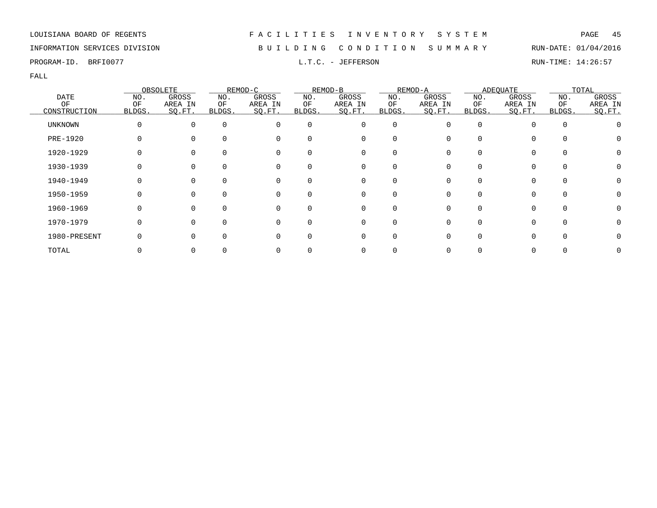### INFORMATION SERVICES DIVISION B U I L D I N G C O N D I T I O N S U M M A R Y RUN-DATE: 01/04/2016

PROGRAM-ID. BRFI0077 L.T.C. - JEFFERSON RUN-TIME: 14:26:57

|                 |        | OBSOLETE |          | REMOD-C  |          | REMOD-B      |          | REMOD-A |              | <b>ADEQUATE</b> |          | TOTAL   |
|-----------------|--------|----------|----------|----------|----------|--------------|----------|---------|--------------|-----------------|----------|---------|
| <b>DATE</b>     | NO.    | GROSS    | NO.      | GROSS    | NO.      | GROSS        | NO.      | GROSS   | NO.          | GROSS           | NO.      | GROSS   |
| OF              | ΟF     | AREA IN  | ΟF       | AREA IN  | ΟF       | AREA IN      | ΟF       | AREA IN | ΟF           | AREA IN         | OF       | AREA IN |
| CONSTRUCTION    | BLDGS. | SQ.FT.   | BLDGS.   | SQ.FT.   | BLDGS.   | SQ.FT.       | BLDGS.   | SO.FT.  | BLDGS.       | SQ.FT.          | BLDGS.   | SO.FT.  |
| <b>UNKNOWN</b>  | 0      | $\Omega$ | $\Omega$ | $\Omega$ | $\Omega$ | 0            | 0        |         | <sup>0</sup> |                 | $\Omega$ |         |
| <b>PRE-1920</b> | 0      |          | $\Omega$ | 0        |          | 0            |          |         | <sup>0</sup> |                 | $\Omega$ |         |
| 1920-1929       |        |          | $\Omega$ | 0        |          | 0            |          |         |              |                 |          |         |
| 1930-1939       |        |          | $\Omega$ | 0        |          | 0            |          |         |              |                 | $\Omega$ |         |
| 1940-1949       |        | 0        | $\Omega$ | 0        | 0        | 0            | $\Omega$ |         | <sup>0</sup> | 0               | $\Omega$ |         |
| 1950-1959       | O      | $\Omega$ | $\Omega$ | 0        | $\Omega$ | $\mathbf{0}$ | $\Omega$ |         | U            | 0               | $\Omega$ |         |
| 1960-1969       | O      | $\Omega$ | $\Omega$ | $\Omega$ |          | $\Omega$     |          |         | U            |                 | $\cap$   |         |
| 1970-1979       | 0      | ∩        | $\Omega$ | $\Omega$ | $\Omega$ | 0            | $\Omega$ |         |              | 0               | $\Omega$ |         |
| 1980-PRESENT    |        |          | $\Omega$ | $\Omega$ |          | 0            | $\Omega$ |         |              |                 |          |         |
| TOTAL           |        |          |          |          |          | 0            |          |         |              |                 |          |         |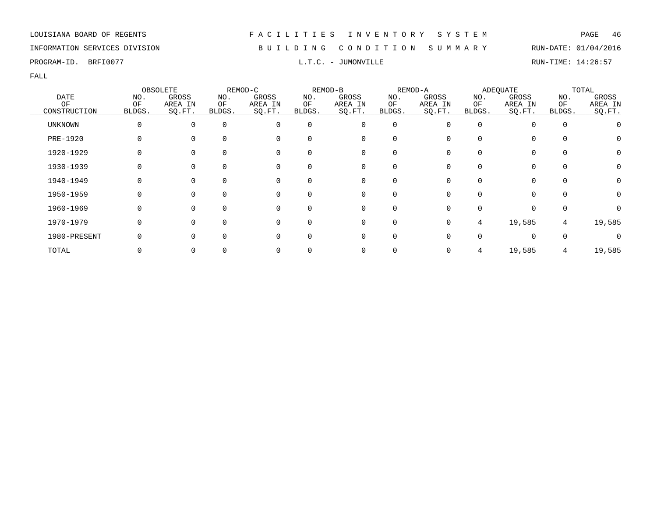### INFORMATION SERVICES DIVISION B U I L D I N G C O N D I T I O N S U M M A R Y RUN-DATE: 01/04/2016

PROGRAM-ID. BRFI0077 **EXAM-ID.** BRFI0077 **RUN-TIME: 14:26:57** 

FALL

|                    |              | OBSOLETE          |              | REMOD-C           |              | REMOD-B           |              | REMOD-A           |              | <b>ADEOUATE</b>   |              | TOTAL             |
|--------------------|--------------|-------------------|--------------|-------------------|--------------|-------------------|--------------|-------------------|--------------|-------------------|--------------|-------------------|
| <b>DATE</b>        | NO.          | GROSS             | NO.          | GROSS             | NO.          | GROSS             | NO.          | GROSS             | NO.          | GROSS             | NO.          | GROSS             |
| ΟF<br>CONSTRUCTION | ΟF<br>BLDGS. | AREA IN<br>SQ.FT. | ОF<br>BLDGS. | AREA IN<br>SQ.FT. | ΟF<br>BLDGS. | AREA IN<br>SQ.FT. | ΟF<br>BLDGS. | AREA IN<br>SQ.FT. | ΟF<br>BLDGS. | AREA IN<br>SQ.FT. | ΟF<br>BLDGS. | AREA IN<br>SQ.FT. |
| <b>UNKNOWN</b>     | 0            | 0                 | $\mathbf 0$  | 0                 | 0            | 0                 | $\mathbf 0$  |                   | $\Omega$     | $\Omega$          | $\mathbf 0$  |                   |
| <b>PRE-1920</b>    | O            |                   | $\Omega$     | 0                 | 0            | 0                 | $\Omega$     |                   |              | $\Omega$          | $\Omega$     | O                 |
| 1920-1929          |              |                   |              | 0                 | 0            | 0                 | O            |                   |              | $\Omega$          | 0            | 0                 |
| 1930-1939          |              |                   | 0            | 0                 | 0            | 0                 | 0            |                   |              | 0                 | $\mathbf 0$  | 0                 |
| 1940-1949          | 0            | $\Omega$          | $\Omega$     | 0                 | $\Omega$     | 0                 | $\Omega$     | O                 |              | $\Omega$          | $\mathbf 0$  | 0                 |
| 1950-1959          | 0            | $\Omega$          | $\Omega$     | 0                 | $\Omega$     | $\mathbf 0$       | $\Omega$     | <sup>n</sup>      |              | $\Omega$          | $\Omega$     | 0                 |
| 1960-1969          | O            | $\Omega$          | $\Omega$     | $\Omega$          | 0            | 0                 | $\Omega$     |                   |              | $\Omega$          | 0            |                   |
| 1970-1979          | 0            | $\Omega$          | $\Omega$     | $\Omega$          | 0            | 0                 | $\mathbf 0$  | 0                 | 4            | 19,585            | 4            | 19,585            |
| 1980-PRESENT       |              | $\Omega$          | $\Omega$     | $\Omega$          | $\Omega$     | 0                 | $\mathbf 0$  |                   |              | $\Omega$          | $\mathbf 0$  |                   |
| TOTAL              |              |                   |              | 0                 |              | 0                 |              |                   |              | 19,585            |              | 19,585            |

# LOUISIANA BOARD OF REGENTS F A C I L I T I E S I N V E N T O R Y S Y S T E M PAGE 46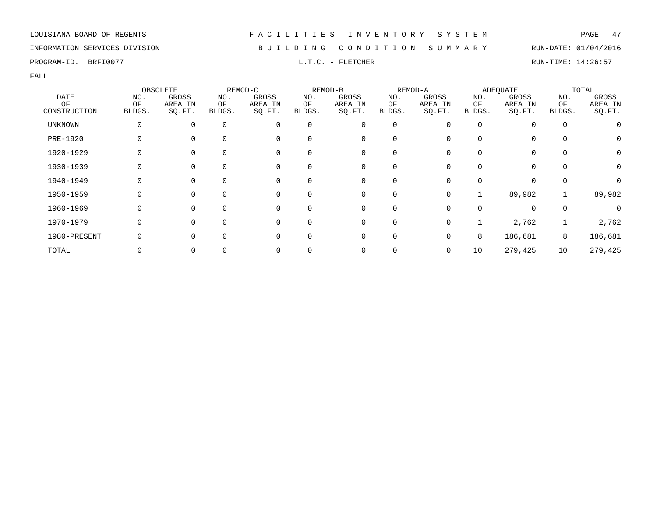### INFORMATION SERVICES DIVISION B U I L D I N G C O N D I T I O N S U M M A R Y RUN-DATE: 01/04/2016

PROGRAM-ID. BRFI0077 **EXELLET STARF IN EXECUTA CONSUMING THE CONSUMING CONSUMINGLE PROGRAM-ID.** BRUN-TIME: 14:26:57

|                   |           | OBSOLETE          |                     | REMOD-C           |              | REMOD-B           |              | REMOD-A           |              | <b>ADEOUATE</b>   |             | TOTAL            |
|-------------------|-----------|-------------------|---------------------|-------------------|--------------|-------------------|--------------|-------------------|--------------|-------------------|-------------|------------------|
| <b>DATE</b><br>OF | NO.<br>OF | GROSS             | NO.                 | GROSS             | NO.          | GROSS             | NO.          | GROSS             | NO.          | GROSS             | NO.<br>OF   | GROSS<br>AREA IN |
| CONSTRUCTION      | BLDGS.    | AREA IN<br>SO.FT. | ΟF<br><b>BLDGS.</b> | AREA IN<br>SQ.FT. | ΟF<br>BLDGS. | AREA IN<br>SQ.FT. | ΟF<br>BLDGS. | AREA IN<br>SO.FT. | ΟF<br>BLDGS. | AREA IN<br>SQ.FT. | BLDGS.      | SQ.FT.           |
| UNKNOWN           | $\Omega$  | $\Omega$          | $\Omega$            | 0                 | 0            | 0                 | 0            |                   | $\Omega$     |                   | $\mathbf 0$ |                  |
| PRE-1920          |           |                   | $\Omega$            | $\Omega$          | <sup>0</sup> | 0                 |              |                   |              |                   | $\Omega$    | $\left( \right)$ |
| 1920-1929         |           |                   | $\Omega$            | 0                 | 0            | 0                 | 0            |                   | 0            |                   | 0           |                  |
| 1930-1939         |           |                   | 0                   | 0                 | 0            | 0                 | 0            |                   |              | 0                 | 0           |                  |
| 1940-1949         | O         | $\Omega$          | $\Omega$            | 0                 | $\Omega$     | 0                 | $\Omega$     |                   | 0            | $\Omega$          | $\Omega$    | 0                |
| 1950-1959         | O         | $\Omega$          | $\Omega$            | $\Omega$          | $\Omega$     | 0                 | $\Omega$     | 0                 |              | 89,982            |             | 89,982           |
| 1960-1969         | $\Omega$  | $\Omega$          | $\Omega$            | $\Omega$          | $\Omega$     | $\mathbf 0$       | $\Omega$     |                   | 0            | $\Omega$          | $\Omega$    |                  |
| 1970-1979         |           |                   | $\Omega$            | $\Omega$          | $\Omega$     | 0                 | $\mathbf 0$  |                   |              | 2,762             |             | 2,762            |
| 1980-PRESENT      |           |                   | $\Omega$            | $\Omega$          | <sup>0</sup> | 0                 | 0            |                   | 8            | 186,681           | 8           | 186,681          |
| TOTAL             |           |                   |                     |                   |              | 0                 |              | 0                 | 10           | 279,425           | 10          | 279,425          |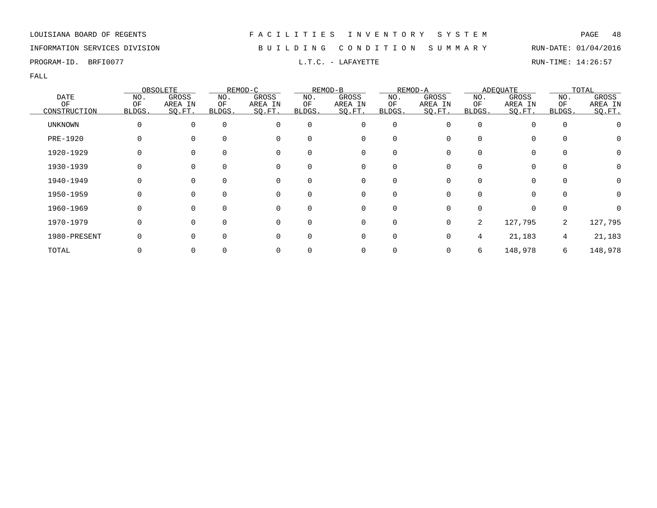### INFORMATION SERVICES DIVISION B U I L D I N G C O N D I T I O N S U M M A R Y RUN-DATE: 01/04/2016

PROGRAM-ID. BRFI0077 **EXECUTE SECUTE SECUTE A LATALLY EXECUTE** L.T.C. - LAFAYETTE RUN-TIME: 14:26:57

|                 |        | OBSOLETE |          | REMOD-C  |          | REMOD-B  |             | REMOD-A      |        | <b>ADEQUATE</b> |             | TOTAL   |
|-----------------|--------|----------|----------|----------|----------|----------|-------------|--------------|--------|-----------------|-------------|---------|
| <b>DATE</b>     | NO.    | GROSS    | NO.      | GROSS    | NO.      | GROSS    | NO.         | GROSS        | NO.    | GROSS           | NO.         | GROSS   |
| OF              | ΟF     | AREA IN  | ОF       | AREA IN  | ΟF       | AREA IN  | ΟF          | AREA IN      | ΟF     | AREA IN         | ΟF          | AREA IN |
| CONSTRUCTION    | BLDGS. | SO.FT.   | BLDGS.   | SQ.FT.   | BLDGS.   | SO.FT.   | BLDGS.      | SQ.FT.       | BLDGS. | SQ.FT.          | BLDGS.      | SO.FT.  |
| <b>UNKNOWN</b>  | 0      | $\Omega$ | $\Omega$ | 0        | $\Omega$ | 0        | $\mathbf 0$ |              |        |                 | $\mathbf 0$ |         |
| <b>PRE-1920</b> | 0      |          | $\Omega$ | 0        | 0        | 0        | $\Omega$    |              |        | $\Omega$        | $\Omega$    | O       |
| 1920-1929       |        |          |          | 0        | 0        | 0        | $\Omega$    |              |        | $\Omega$        | 0           | 0       |
| 1930-1939       |        |          |          | 0        | 0        | 0        |             |              |        |                 | 0           | 0       |
| 1940-1949       |        | $\Omega$ | $\Omega$ | 0        | $\Omega$ | 0        | $\Omega$    |              |        | 0               | 0           | 0       |
| 1950-1959       | 0      | $\Omega$ | $\Omega$ | 0        | $\Omega$ | 0        | $\Omega$    | <sup>n</sup> |        | $\Omega$        | $\Omega$    | 0       |
| 1960-1969       | O      | $\Omega$ |          | $\Omega$ | 0        | $\Omega$ | $\Omega$    |              |        | <sup>n</sup>    | $\Omega$    |         |
| 1970-1979       | 0      | $\Omega$ | $\Omega$ | 0        | 0        | 0        | 0           | 0            | 2      | 127,795         | 2           | 127,795 |
| 1980-PRESENT    |        | $\Omega$ | $\Omega$ | $\Omega$ | 0        | 0        | $\mathbf 0$ |              | 4      | 21,183          | 4           | 21,183  |
| TOTAL           |        |          |          | 0        |          | 0        |             |              | 6      | 148,978         | 6           | 148,978 |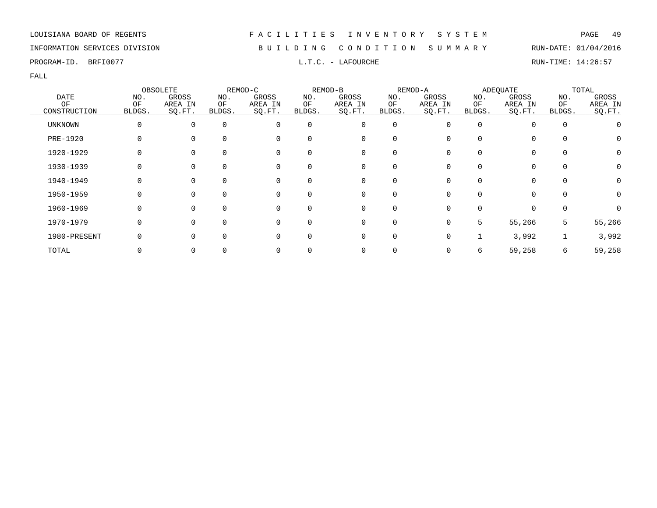### INFORMATION SERVICES DIVISION B U I L D I N G C O N D I T I O N S U M M A R Y RUN-DATE: 01/04/2016

PROGRAM-ID. BRFI0077 **EXECUTE EXECUTE A LAREOURCHE L.T.C. - LAFOURCHE RUN-TIME: 14:26:57** 

|                   |              | OBSOLETE         |               | REMOD-C          |           | REMOD-B          |             | REMOD-A          |           | <b>ADEOUATE</b>  |             | TOTAL            |
|-------------------|--------------|------------------|---------------|------------------|-----------|------------------|-------------|------------------|-----------|------------------|-------------|------------------|
| <b>DATE</b><br>OF | NO.<br>OF    | GROSS<br>AREA IN | NO.<br>ΟF     | GROSS<br>AREA IN | NO.<br>ΟF | GROSS<br>AREA IN | NO.<br>OF   | GROSS<br>AREA IN | NO.<br>ΟF | GROSS<br>AREA IN | NO.<br>OF   | GROSS<br>AREA IN |
| CONSTRUCTION      | BLDGS.       | SO.FT.           | <b>BLDGS.</b> | SQ.FT.           | BLDGS.    | SQ.FT.           | BLDGS.      | SO.FT.           | BLDGS.    | SQ.FT.           | BLDGS.      | SQ.FT.           |
| UNKNOWN           | 0            | $\Omega$         | $\mathbf 0$   | 0                | 0         | 0                | $\mathbf 0$ |                  | 0         | $\Omega$         | $\mathbf 0$ |                  |
| PRE-1920          |              |                  | $\Omega$      | 0                |           | 0                | O           |                  |           |                  | 0           |                  |
| 1920-1929         |              |                  | 0             | 0                | 0         | 0                | 0           |                  |           | $\Omega$         | 0           | 0                |
| 1930-1939         |              | 0                | 0             | 0                | 0         | 0                | 0           |                  |           | $\Omega$         | $\mathbf 0$ |                  |
| 1940-1949         | <sup>0</sup> | $\Omega$         | $\Omega$      | 0                | $\Omega$  | 0                | $\Omega$    |                  |           | 0                | $\Omega$    | 0                |
| 1950-1959         | <sup>0</sup> | $\Omega$         | $\Omega$      | $\Omega$         |           | $\mathbf 0$      | $\Omega$    |                  |           | $\cap$           | $\Omega$    | O                |
| 1960-1969         | $\Omega$     | $\Omega$         | $\Omega$      | $\Omega$         | $\Omega$  | $\mathbf 0$      | $\Omega$    |                  |           | $\Omega$         | $\Omega$    |                  |
| 1970-1979         | $\Omega$     |                  | $\Omega$      | $\Omega$         | $\Omega$  | 0                | 0           |                  | 5         | 55,266           | 5           | 55,266           |
| 1980-PRESENT      |              |                  | $\Omega$      | 0                | 0         | 0                | $\Omega$    |                  |           | 3,992            |             | 3,992            |
| TOTAL             |              |                  | 0             |                  |           | 0                |             |                  | 6         | 59,258           | 6           | 59,258           |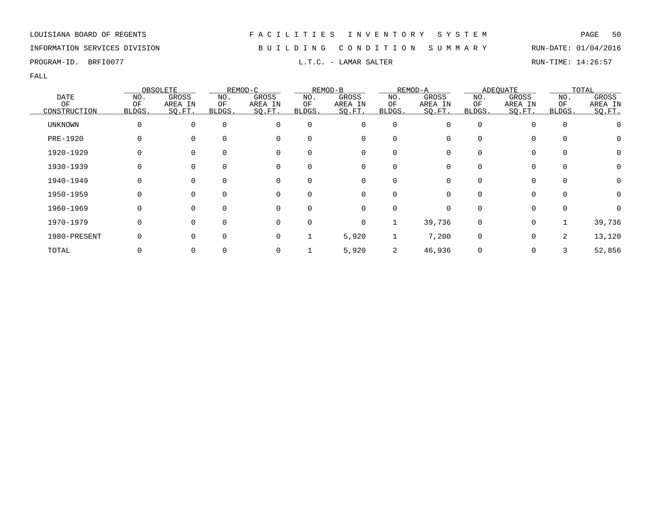### INFORMATION SERVICES DIVISION B U I L D I N G C O N D I T I O N S U M M A R Y RUN-DATE: 01/04/2016

PROGRAM-ID. BRFI0077 **EXAMPLE 14:26:57** L.T.C. - LAMAR SALTER RUN-TIME: 14:26:57

|                |        | OBSOLETE |             | REMOD-C  |          | REMOD-B  |             | REMOD-A      |              | <b>ADEQUATE</b> |             | TOTAL   |
|----------------|--------|----------|-------------|----------|----------|----------|-------------|--------------|--------------|-----------------|-------------|---------|
| <b>DATE</b>    | NO.    | GROSS    | NO.         | GROSS    | NO.      | GROSS    | NO.         | GROSS        | NO.          | GROSS           | NO.         | GROSS   |
| OF             | ΟF     | AREA IN  | ОF          | AREA IN  | ΟF       | AREA IN  | ΟF          | AREA IN      | ΟF           | AREA IN         | ΟF          | AREA IN |
| CONSTRUCTION   | BLDGS. | SO.FT.   | BLDGS.      | SQ.FT.   | BLDGS.   | SO.FT.   | BLDGS.      | SQ.FT.       | <b>BLDGS</b> | SQ.FT.          | BLDGS.      | SO.FT.  |
| <b>UNKNOWN</b> | 0      | $\Omega$ | $\Omega$    | 0        | $\Omega$ | 0        | $\mathbf 0$ |              |              |                 | $\mathbf 0$ |         |
| PRE-1920       | 0      | $\Omega$ | $\Omega$    | 0        | 0        | 0        | 0           |              |              | $\Omega$        | 0           | O       |
| 1920-1929      |        |          |             | 0        | 0        | 0        | $\Omega$    |              |              | $\Omega$        | 0           | 0       |
| 1930-1939      |        |          |             | 0        | 0        | 0        |             |              |              |                 | 0           | 0       |
| 1940-1949      | O      | $\Omega$ | $\Omega$    | 0        | $\Omega$ | 0        | $\Omega$    |              |              | $\Omega$        | 0           | 0       |
| 1950-1959      | 0      | $\Omega$ | $\Omega$    | 0        | $\Omega$ | 0        | $\Omega$    | 0            | $\Omega$     | $\Omega$        | $\Omega$    | 0       |
| 1960-1969      | O      | $\Omega$ |             | $\Omega$ | 0        | $\Omega$ | $\Omega$    | <sup>n</sup> |              | $\Omega$        | $\Omega$    |         |
| 1970-1979      | 0      | $\Omega$ | $\Omega$    | 0        | $\Omega$ | 0        |             | 39,736       | $\Omega$     | $\mathbf 0$     |             | 39,736  |
| 1980-PRESENT   |        | $\Omega$ | $\mathbf 0$ | 0        |          | 5,920    |             | 7,200        | $\Omega$     | $\mathbf 0$     | 2           | 13,120  |
| TOTAL          |        |          |             | 0        |          | 5,920    | 2           | 46,936       |              | 0               |             | 52,856  |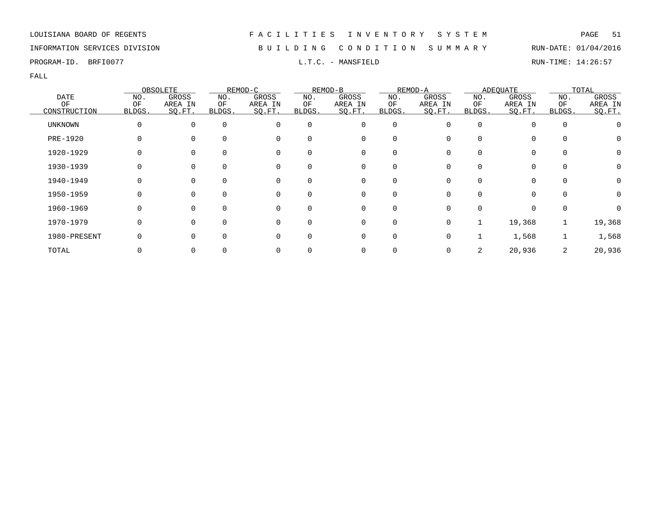### INFORMATION SERVICES DIVISION B U I L D I N G C O N D I T I O N S U M M A R Y RUN-DATE: 01/04/2016

PROGRAM-ID. BRFI0077 **EXAMIC SOLUTE:** 14:26:57 L.T.C. - MANSFIELD RUN-TIME: 14:26:57

|                |              | OBSOLETE |          | REMOD-C     |          | REMOD-B     |             | REMOD-A |          | <b>ADEQUATE</b> |             | TOTAL   |
|----------------|--------------|----------|----------|-------------|----------|-------------|-------------|---------|----------|-----------------|-------------|---------|
| <b>DATE</b>    | NO.          | GROSS    | NO.      | GROSS       | NO.      | GROSS       | NO.         | GROSS   | NO.      | GROSS           | NO.         | GROSS   |
| ΟF             | ΟF           | AREA IN  | ΟF       | AREA IN     | ΟF       | AREA IN     | ΟF          | AREA IN | ΟF       | AREA IN         | ΟF          | AREA IN |
| CONSTRUCTION   | BLDGS.       | SO.FT.   | BLDGS.   | SQ.FT.      | BLDGS.   | SO.FT.      | BLDGS.      | SQ.FT.  | BLDGS.   | SQ.FT.          | BLDGS.      | SO.FT.  |
| <b>UNKNOWN</b> | $\Omega$     | $\Omega$ | $\Omega$ | $\Omega$    | 0        | 0           | $\mathbf 0$ |         | $\Omega$ |                 | $\mathbf 0$ |         |
| PRE-1920       | 0            |          | $\Omega$ | 0           | 0        | 0           | $\Omega$    |         | O        | $\Omega$        | $\Omega$    | O       |
| 1920-1929      |              |          | $\Omega$ | 0           |          | 0           | O           |         |          | 0               | 0           | 0       |
| 1930-1939      |              |          | $\Omega$ | 0           | 0        | 0           |             |         |          |                 | 0           | 0       |
| 1940-1949      | 0            | $\Omega$ | $\Omega$ | 0           | 0        | 0           | $\Omega$    |         |          | $\Omega$        | 0           | 0       |
| 1950-1959      | $\Omega$     | $\Omega$ | $\Omega$ | 0           | $\Omega$ | $\mathbf 0$ | $\Omega$    |         | ∩        | $\Omega$        | $\Omega$    | 0       |
| 1960-1969      | <sup>0</sup> | $\Omega$ | $\Omega$ | $\Omega$    |          | $\mathbf 0$ | $\Omega$    |         |          |                 | $\Omega$    |         |
| 1970-1979      | 0            |          | $\Omega$ | $\mathbf 0$ | $\Omega$ | 0           | 0           |         |          | 19,368          |             | 19,368  |
| 1980-PRESENT   |              |          | $\Omega$ | $\Omega$    | 0        | 0           | 0           |         |          | 1,568           |             | 1,568   |
| TOTAL          |              |          |          | 0           |          | 0           |             |         | 2        | 20,936          | 2           | 20,936  |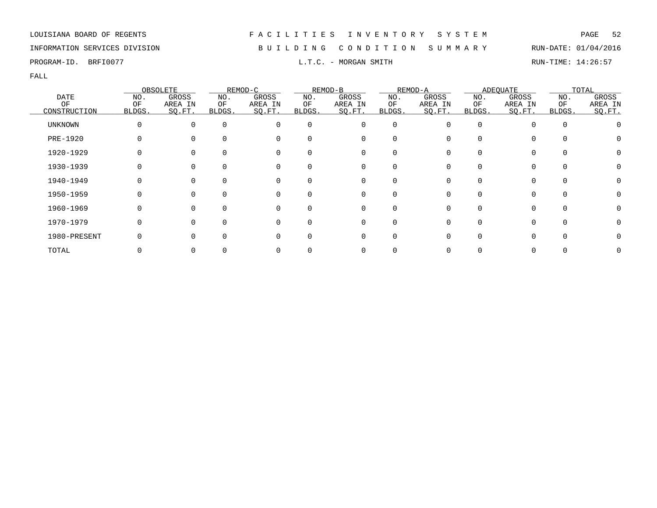### INFORMATION SERVICES DIVISION B U I L D I N G C O N D I T I O N S U M M A R Y RUN-DATE: 01/04/2016

PROGRAM-ID. BRFI0077 **EXAM**-ID. BRFI0077 **RUN-TIME:** 14:26:57

|                |        | OBSOLETE |          | REMOD-C  |          | REMOD-B  |                  | REMOD-A |        | ADEQUATE     |          | TOTAL   |
|----------------|--------|----------|----------|----------|----------|----------|------------------|---------|--------|--------------|----------|---------|
| <b>DATE</b>    | NO.    | GROSS    | NO.      | GROSS    | NO.      | GROSS    | NO.              | GROSS   | NO.    | GROSS        | NO.      | GROSS   |
| OF             | OF     | AREA IN  | ΟF       | AREA IN  | ΟF       | AREA IN  | ΟF               | AREA IN | ΟF     | AREA IN      | ΟF       | AREA IN |
| CONSTRUCTION   | BLDGS. | SO.FT.   | BLDGS.   | SQ.FT.   | BLDGS.   | SQ.FT.   | BLDGS.           | SQ.FT.  | BLDGS. | SQ.FT.       | BLDGS.   | SO.FT.  |
| <b>UNKNOWN</b> |        | $\Omega$ | $\Omega$ | 0        | $\Omega$ | 0        | 0                |         | O      |              | $\Omega$ |         |
| PRE-1920       |        | $\Omega$ |          | 0        | 0        | 0        | 0                |         |        | 0            |          |         |
| 1920-1929      |        |          |          | 0        | 0        | 0        |                  |         |        |              |          |         |
| 1930-1939      |        |          |          | 0        | 0        | 0        |                  |         |        |              | $\Omega$ |         |
| 1940-1949      |        | $\Omega$ | $\Omega$ | 0        | $\Omega$ | 0        | $\left( \right)$ |         |        |              | $\Omega$ |         |
| 1950-1959      |        | $\Omega$ | $\Omega$ | 0        | $\Omega$ | 0        | $\Omega$         |         | U      | 0            | $\Omega$ |         |
| 1960-1969      |        | $\Omega$ |          | $\Omega$ | 0        | $\Omega$ |                  |         |        |              | $\cap$   |         |
| 1970-1979      |        | $\Omega$ | ∩        | $\Omega$ | 0        | 0        | O                |         |        | <sup>n</sup> | $\Omega$ |         |
| 1980-PRESENT   |        | $\Omega$ | $\Omega$ | O        | 0        | 0        | O                |         |        |              |          |         |
| TOTAL          |        |          |          |          |          | 0        |                  |         |        |              |          |         |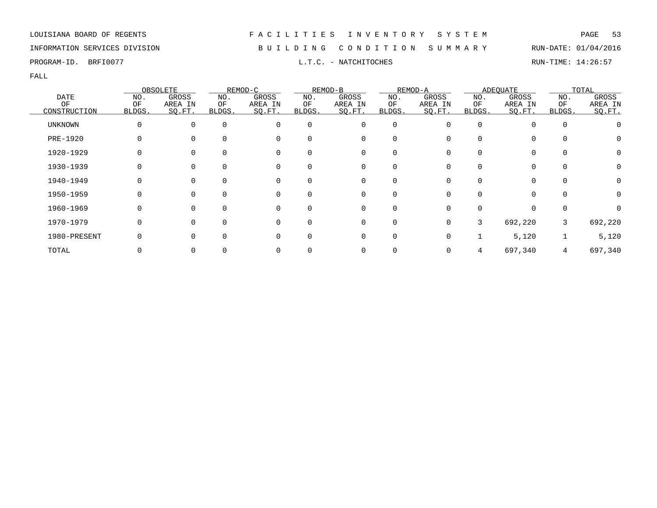### INFORMATION SERVICES DIVISION B U I L D I N G C O N D I T I O N S U M M A R Y RUN-DATE: 01/04/2016

PROGRAM-ID. BRFI0077 **EXECUTER SERVICE SCIENCISE EXECUTED** L.T.C. - NATCHITOCHES **RUN-TIME: 14:26:57** 

|                |        | OBSOLETE |          | REMOD-C  |          | REMOD-B  |          | REMOD-A      |        | <b>ADEQUATE</b> |             | TOTAL   |
|----------------|--------|----------|----------|----------|----------|----------|----------|--------------|--------|-----------------|-------------|---------|
| <b>DATE</b>    | NO.    | GROSS    | NO.      | GROSS    | NO.      | GROSS    | NO.      | GROSS        | NO.    | GROSS           | NO.         | GROSS   |
| OF             | ΟF     | AREA IN  | ОF       | AREA IN  | ΟF       | AREA IN  | ΟF       | AREA IN      | ΟF     | AREA IN         | ΟF          | AREA IN |
| CONSTRUCTION   | BLDGS. | SO.FT.   | BLDGS.   | SQ.FT.   | BLDGS.   | SO.FT.   | BLDGS.   | SQ.FT.       | BLDGS. | SQ.FT.          | BLDGS.      | SO.FT.  |
| <b>UNKNOWN</b> | 0      | $\Omega$ | $\Omega$ | $\Omega$ | $\Omega$ | 0        | 0        |              |        |                 | $\mathbf 0$ |         |
| PRE-1920       | 0      |          | $\Omega$ | 0        | 0        | 0        | $\Omega$ |              |        | $\Omega$        | $\Omega$    | O       |
| 1920-1929      |        |          |          | 0        | 0        | 0        | $\Omega$ |              |        | 0               | 0           | 0       |
| 1930-1939      |        |          |          | 0        | 0        | 0        |          |              |        |                 | 0           | 0       |
| 1940-1949      |        | $\Omega$ | $\Omega$ | 0        | $\Omega$ | 0        | $\Omega$ |              |        | 0               | $\Omega$    | 0       |
| 1950-1959      | 0      | $\Omega$ | $\Omega$ | 0        | $\Omega$ | 0        | $\Omega$ | <sup>n</sup> |        | $\Omega$        | $\Omega$    | 0       |
| 1960-1969      | O      | $\Omega$ |          | $\Omega$ | 0        | $\Omega$ | $\Omega$ |              |        | <sup>n</sup>    | $\Omega$    |         |
| 1970-1979      | 0      | $\Omega$ | 0        | 0        | 0        | 0        | 0        | <sup>n</sup> | 3      | 692,220         | 3           | 692,220 |
| 1980-PRESENT   |        | $\Omega$ | $\Omega$ | $\Omega$ | 0        | 0        | 0        |              |        | 5,120           |             | 5,120   |
| TOTAL          |        |          |          | 0        |          | 0        |          |              |        | 697,340         | 4           | 697,340 |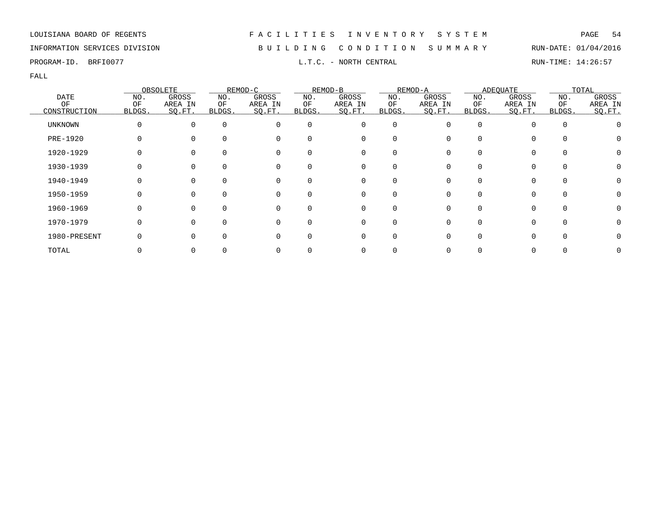### INFORMATION SERVICES DIVISION B U I L D I N G C O N D I T I O N S U M M A R Y RUN-DATE: 01/04/2016

PROGRAM-ID. BRFI0077 **EXAM-ID.** BRFI0077 **RUN-TIME:** 14:26:57

|                |        | OBSOLETE |          | REMOD-C  |          | REMOD-B      |          | REMOD-A |              | <b>ADEQUATE</b> |          | TOTAL   |
|----------------|--------|----------|----------|----------|----------|--------------|----------|---------|--------------|-----------------|----------|---------|
| <b>DATE</b>    | NO.    | GROSS    | NO.      | GROSS    | NO.      | GROSS        | NO.      | GROSS   | NO.          | GROSS           | NO.      | GROSS   |
| OF             | ΟF     | AREA IN  | ΟF       | AREA IN  | ΟF       | AREA IN      | ΟF       | AREA IN | ΟF           | AREA IN         | OF       | AREA IN |
| CONSTRUCTION   | BLDGS. | SQ.FT.   | BLDGS.   | SQ.FT.   | BLDGS.   | SQ.FT.       | BLDGS.   | SO.FT.  | BLDGS.       | SQ.FT.          | BLDGS.   | SO.FT.  |
| <b>UNKNOWN</b> | 0      | $\Omega$ | $\Omega$ | $\Omega$ | $\Omega$ | 0            | 0        |         | <sup>0</sup> |                 | $\Omega$ |         |
| PRE-1920       | 0      |          | $\Omega$ | 0        |          | 0            |          |         | <sup>0</sup> |                 | $\Omega$ |         |
| 1920-1929      |        |          | $\Omega$ | 0        |          | 0            |          |         |              |                 |          |         |
| 1930-1939      |        |          | $\Omega$ | 0        |          | 0            |          |         |              |                 | $\Omega$ |         |
| 1940-1949      |        | 0        | $\Omega$ | 0        | 0        | 0            | $\Omega$ |         | <sup>0</sup> | 0               | $\Omega$ |         |
| 1950-1959      | O      | $\Omega$ | $\Omega$ | 0        | $\Omega$ | $\mathbf{0}$ | $\Omega$ |         | U            | 0               | $\Omega$ |         |
| 1960-1969      | O      | $\Omega$ | $\Omega$ | $\Omega$ |          | $\Omega$     |          |         | U            |                 | $\cap$   |         |
| 1970-1979      | 0      | ∩        | $\Omega$ | $\Omega$ | $\Omega$ | 0            | $\Omega$ |         |              | 0               | $\Omega$ |         |
| 1980-PRESENT   |        |          | $\Omega$ | $\Omega$ |          | 0            | $\Omega$ |         |              |                 |          |         |
| TOTAL          |        |          |          |          |          | 0            |          |         |              |                 |          |         |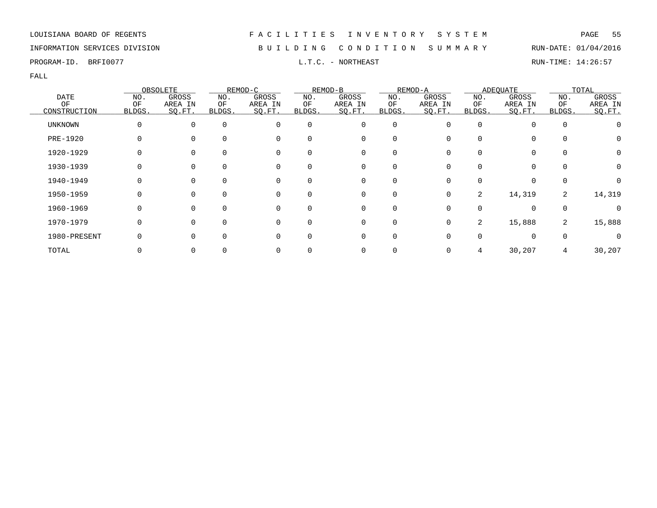### INFORMATION SERVICES DIVISION B U I L D I N G C O N D I T I O N S U M M A R Y RUN-DATE: 01/04/2016

PROGRAM-ID. BRFI0077 L.T.C. - NORTHEAST RUN-TIME: 14:26:57

|                   |           | OBSOLETE         |           | REMOD-C          |             | REMOD-B          |              | REMOD-A          |           | <b>ADEOUATE</b>  |                | TOTAL            |
|-------------------|-----------|------------------|-----------|------------------|-------------|------------------|--------------|------------------|-----------|------------------|----------------|------------------|
| <b>DATE</b><br>OF | NO.<br>OF | GROSS<br>AREA IN | NO.<br>ΟF | GROSS<br>AREA IN | NO.<br>ΟF   | GROSS<br>AREA IN | NO.<br>ОF    | GROSS<br>AREA IN | NO.<br>ΟF | GROSS<br>AREA IN | NO.<br>OF      | GROSS<br>AREA IN |
| CONSTRUCTION      | BLDGS.    | SQ.FT.           | BLDGS.    | SQ.FT.           | BLDGS.      | SQ.FT.           | <b>BLDGS</b> | SO.FT.           | BLDGS.    | SQ.FT.           | BLDGS.         | SO.FT.           |
| UNKNOWN           | $\Omega$  | $\Omega$         | $\Omega$  | $\Omega$         | $\mathbf 0$ | 0                | 0            | $\Omega$         |           | 0                | 0              |                  |
| PRE-1920          |           |                  |           | $\Omega$         | $\Omega$    | 0                | 0            |                  |           | 0                |                |                  |
| 1920-1929         |           |                  | $\Omega$  | $\Omega$         | 0           | 0                | 0            |                  |           | 0                | $\Omega$       | $\left( \right)$ |
| 1930-1939         |           |                  | $\Omega$  | 0                | 0           | 0                | 0            |                  |           | 0                |                |                  |
| 1940-1949         | O         |                  | $\Omega$  | $\Omega$         | $\Omega$    | 0                | 0            | O                |           | $\Omega$         | $\Omega$       |                  |
| 1950-1959         |           |                  | $\Omega$  | $\Omega$         | $\Omega$    | $\Omega$         | $\Omega$     | 0                | 2         | 14,319           | $\overline{2}$ | 14,319           |
| 1960-1969         |           |                  | $\Omega$  | $\Omega$         | $\Omega$    | $\mathbf 0$      | $\mathbf 0$  |                  |           | $\Omega$         | $\Omega$       |                  |
| 1970-1979         |           |                  | $\Omega$  | $\Omega$         | $\Omega$    | $\mathbf 0$      | $\mathbf 0$  | $\Omega$         | 2         | 15,888           | 2              | 15,888           |
| 1980-PRESENT      |           |                  |           | $\Omega$         | $\Omega$    | 0                | 0            |                  |           | $\Omega$         | $\Omega$       |                  |
| TOTAL             |           |                  |           |                  |             | 0                | 0            |                  |           | 30,207           |                | 30,207           |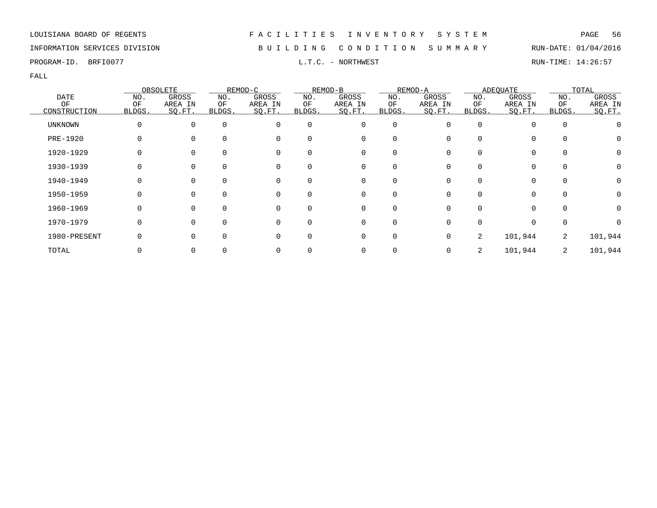### INFORMATION SERVICES DIVISION B U I L D I N G C O N D I T I O N S U M M A R Y RUN-DATE: 01/04/2016

FALL

|                |              | OBSOLETE     |          | REMOD-C     |          | REMOD-B     |             | REMOD-A |          | <b>ADEQUATE</b> |             | TOTAL   |
|----------------|--------------|--------------|----------|-------------|----------|-------------|-------------|---------|----------|-----------------|-------------|---------|
| <b>DATE</b>    | NO.          | GROSS        | NO.      | GROSS       | NO.      | GROSS       | NO.         | GROSS   | NO.      | GROSS           | NO.         | GROSS   |
| ΟF             | ΟF           | AREA IN      | ΟF       | AREA IN     | ΟF       | AREA IN     | ΟF          | AREA IN | ΟF       | AREA IN         | ΟF          | AREA IN |
| CONSTRUCTION   | BLDGS.       | SO.FT.       | BLDGS.   | SQ.FT.      | BLDGS.   | SO.FT.      | BLDGS.      | SQ.FT.  | BLDGS.   | SQ.FT.          | BLDGS.      | SO.FT.  |
| <b>UNKNOWN</b> | $\Omega$     | $\Omega$     | $\Omega$ | $\Omega$    | $\Omega$ | 0           | $\mathbf 0$ |         | $\Omega$ |                 | $\mathbf 0$ |         |
| PRE-1920       |              |              | $\Omega$ | 0           | 0        | 0           | $\Omega$    |         |          | $\Omega$        | $\Omega$    | O       |
| 1920-1929      |              |              | $\Omega$ | 0           |          | 0           | O           |         |          | 0               | 0           | 0       |
| 1930-1939      |              |              | $\Omega$ | 0           | 0        | 0           |             |         |          |                 | 0           |         |
| 1940-1949      | 0            | $\Omega$     | $\Omega$ | 0           | 0        | 0           | $\Omega$    |         |          | <sup>0</sup>    | $\Omega$    | 0       |
| 1950-1959      | 0            | $\Omega$     | $\Omega$ | 0           | $\Omega$ | $\mathbf 0$ | $\Omega$    |         | ∩        | $\Omega$        | $\Omega$    | 0       |
| 1960-1969      | <sup>0</sup> | <sup>n</sup> | $\Omega$ | $\Omega$    |          | $\Omega$    | U           |         |          | <sup>n</sup>    | $\Omega$    |         |
| 1970-1979      | 0            |              | $\Omega$ | $\mathbf 0$ | $\Omega$ | 0           | O           |         |          | $\Omega$        | 0           |         |
| 1980-PRESENT   |              |              | $\Omega$ | $\Omega$    | 0        | 0           | $\Omega$    |         | 2        | 101,944         | 2           | 101,944 |
| TOTAL          |              |              |          | 0           |          | 0           |             |         | 2        | 101,944         | 2           | 101,944 |

## LOUISIANA BOARD OF REGENTS F A C I L I T I E S I N V E N T O R Y S Y S T E M PAGE 56

PROGRAM-ID. BRFI0077 L.T.C. - NORTHWEST RUN-TIME: 14:26:57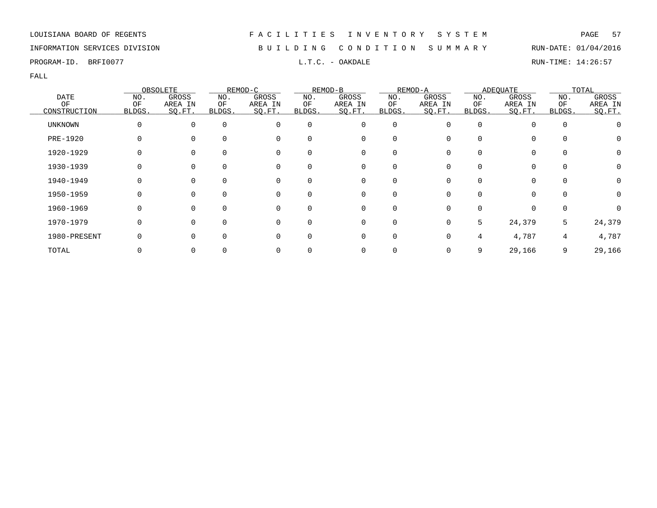### INFORMATION SERVICES DIVISION B U I L D I N G C O N D I T I O N S U M M A R Y RUN-DATE: 01/04/2016

PROGRAM-ID. BRFI0077 **EXECUTE:** L.T.C. - OAKDALE **EXECUTE:** RUN-TIME: 14:26:57

|                |              | OBSOLETE     |          | REMOD-C     |          | REMOD-B     |          | REMOD-A |          | <b>ADEQUATE</b> |          | TOTAL   |
|----------------|--------------|--------------|----------|-------------|----------|-------------|----------|---------|----------|-----------------|----------|---------|
| <b>DATE</b>    | NO.          | GROSS        | NO.      | GROSS       | NO.      | GROSS       | NO.      | GROSS   | NO.      | GROSS           | NO.      | GROSS   |
| ΟF             | ΟF           | AREA IN      | ΟF       | AREA IN     | ΟF       | AREA IN     | ΟF       | AREA IN | ΟF       | AREA IN         | ΟF       | AREA IN |
| CONSTRUCTION   | BLDGS.       | SO.FT.       | BLDGS.   | SQ.FT.      | BLDGS.   | SO.FT.      | BLDGS.   | SQ.FT.  | BLDGS.   | SQ.FT.          | BLDGS.   | SO.FT.  |
| <b>UNKNOWN</b> | $\Omega$     | $\Omega$     | $\Omega$ | $\Omega$    | $\Omega$ | 0           | 0        |         | $\Omega$ |                 | 0        |         |
| PRE-1920       |              |              | $\Omega$ | 0           | 0        | 0           | $\Omega$ |         |          | $\Omega$        | $\Omega$ | O       |
| 1920-1929      |              |              | $\Omega$ | 0           |          | 0           | O        |         |          | 0               | $\Omega$ | 0       |
| 1930-1939      |              |              | $\Omega$ | 0           |          | 0           |          |         |          |                 | 0        | 0       |
| 1940-1949      | 0            | $\Omega$     | $\Omega$ | 0           | 0        | 0           | $\Omega$ |         |          | 0               | $\Omega$ | 0       |
| 1950-1959      | 0            | $\Omega$     | $\Omega$ | 0           | $\Omega$ | $\mathbf 0$ | $\Omega$ |         | ∩        | $\Omega$        | $\Omega$ | 0       |
| 1960-1969      | <sup>0</sup> | <sup>n</sup> | $\Omega$ | $\Omega$    |          | $\Omega$    | U        |         |          |                 | $\Omega$ |         |
| 1970-1979      | 0            |              | $\Omega$ | $\mathbf 0$ | $\Omega$ | 0           | $\Omega$ |         | 5        | 24,379          | 5        | 24,379  |
| 1980-PRESENT   |              |              | $\Omega$ | $\Omega$    | 0        | 0           | 0        |         |          | 4,787           | 4        | 4,787   |
| TOTAL          |              |              |          |             |          | 0           |          |         | 9        | 29,166          | 9        | 29,166  |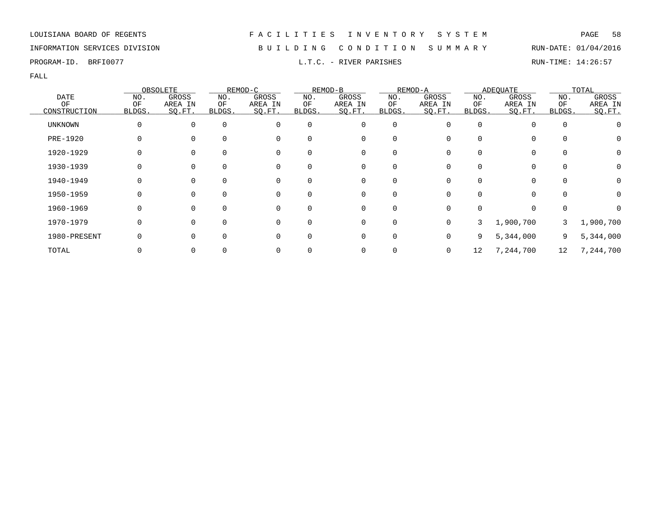### INFORMATION SERVICES DIVISION B U I L D I N G C O N D I T I O N S U M M A R Y RUN-DATE: 01/04/2016

PROGRAM-ID. BRFI0077 **EXECUTE:** 14:26:57

|                |              | OBSOLETE |             | REMOD-C  |          | REMOD-B     |             | REMOD-A |          | <b>ADEQUATE</b> |             | TOTAL     |
|----------------|--------------|----------|-------------|----------|----------|-------------|-------------|---------|----------|-----------------|-------------|-----------|
| <b>DATE</b>    | NO.          | GROSS    | NO.         | GROSS    | NO.      | GROSS       | NO.         | GROSS   | NO.      | GROSS           | NO.         | GROSS     |
| ΟF             | ΟF           | AREA IN  | ОF          | AREA IN  | ΟF       | AREA IN     | ΟF          | AREA IN | ΟF       | AREA IN         | ΟF          | AREA IN   |
| CONSTRUCTION   | <b>BLDGS</b> | SO.FT.   | BLDGS.      | SQ.FT.   | BLDGS.   | SQ.FT.      | BLDGS.      | SO.FT.  | BLDGS.   | SQ.FT.          | BLDGS.      | SO.FT.    |
| <b>UNKNOWN</b> | 0            | $\Omega$ | $\mathbf 0$ | 0        | 0        | $\mathbf 0$ | $\mathbf 0$ |         | $\Omega$ |                 | $\mathbf 0$ |           |
| PRE-1920       | O            |          | $\Omega$    | 0        | 0        | 0           | $\Omega$    |         |          | $\Omega$        | 0           | O         |
| 1920-1929      |              | $\Omega$ |             | 0        | 0        | 0           | $\Omega$    |         |          | $\Omega$        | 0           | 0         |
| 1930-1939      |              | 0        | 0           | 0        | 0        | 0           | 0           |         |          | 0               | 0           |           |
| 1940-1949      |              | $\Omega$ | $\Omega$    | 0        | $\Omega$ | 0           | $\Omega$    |         |          | 0               | $\Omega$    | 0         |
| 1950-1959      | O            | $\Omega$ | $\Omega$    | $\Omega$ | $\Omega$ | $\Omega$    | $\Omega$    |         |          | <sup>0</sup>    | $\Omega$    | 0         |
| 1960-1969      | O            | $\Omega$ | 0           | $\Omega$ | $\Omega$ | $\mathbf 0$ | $\Omega$    | ∩       |          | $\Omega$        | $\Omega$    |           |
| 1970-1979      | 0            | $\Omega$ | ∩           | $\Omega$ | 0        | 0           | 0           | 0       | 3        | 1,900,700       |             | 1,900,700 |
| 1980-PRESENT   |              |          |             | 0        | 0        | 0           | $\Omega$    | U       | 9        | 5,344,000       | 9           | 5,344,000 |
| TOTAL          |              |          |             | 0        |          | 0           |             | 0       | 12       | 7,244,700       | 12          | 7,244,700 |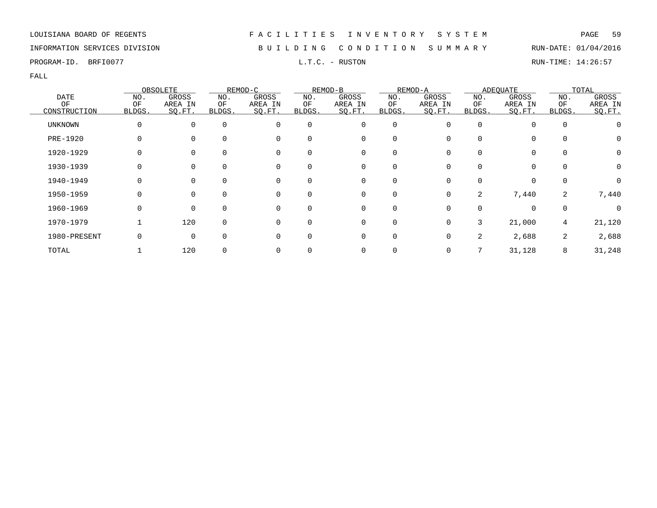### INFORMATION SERVICES DIVISION B U I L D I N G C O N D I T I O N S U M M A R Y RUN-DATE: 01/04/2016

PROGRAM-ID. BRFI0077 L.T.C. - RUSTON RUN-TIME: 14:26:57

|                |          | OBSOLETE |              | REMOD-C     |          | REMOD-B      |             | REMOD-A |          | <b>ADEOUATE</b> |             | TOTAL    |
|----------------|----------|----------|--------------|-------------|----------|--------------|-------------|---------|----------|-----------------|-------------|----------|
| <b>DATE</b>    | NO.      | GROSS    | NO.          | GROSS       | NO.      | GROSS        | NO.         | GROSS   | NO.      | GROSS           | NO.         | GROSS    |
| OF             | OF       | AREA IN  | ΟF           | AREA IN     | ΟF       | AREA IN      | OF          | AREA IN | ΟF       | AREA IN         | OF          | AREA IN  |
| CONSTRUCTION   | BLDGS.   | SQ.FT.   | <b>BLDGS</b> | SQ.FT.      | BLDGS.   | SQ.FT.       | BLDGS.      | SO.FT.  | BLDGS.   | SQ.FT.          | BLDGS.      | SQ.FT.   |
| <b>UNKNOWN</b> | 0        | $\Omega$ | $\mathbf 0$  | $\mathbf 0$ | 0        | 0            | $\mathbf 0$ |         | $\Omega$ | $\Omega$        | $\mathbf 0$ |          |
| PRE-1920       |          |          | $\Omega$     | 0           |          | 0            | 0           |         |          | $\Omega$        | 0           | 0        |
| 1920-1929      | $\Omega$ |          | 0            | 0           | 0        | 0            | 0           |         |          | $\Omega$        | 0           | 0        |
| 1930-1939      | 0        | $\Omega$ | 0            | 0           | 0        | 0            | 0           |         |          | $\Omega$        | $\mathbf 0$ | 0        |
| 1940-1949      | 0        | $\Omega$ | $\Omega$     | 0           | 0        | $\mathbf{0}$ | $\Omega$    | 0       | $\Omega$ | $\Omega$        | $\mathbf 0$ | $\Omega$ |
| 1950-1959      | $\Omega$ | $\Omega$ | $\Omega$     | $\Omega$    | $\Omega$ | 0            | $\Omega$    | 0       | 2        | 7,440           | 2           | 7,440    |
| 1960-1969      | 0        | $\Omega$ | $\Omega$     | $\mathbf 0$ | $\Omega$ | 0            | $\Omega$    |         | $\Omega$ | $\Omega$        | $\mathbf 0$ | 0        |
| 1970-1979      |          | 120      | $\mathbf 0$  | $\Omega$    | 0        | 0            | $\mathbf 0$ |         | 3        | 21,000          | 4           | 21,120   |
| 1980-PRESENT   | 0        | $\Omega$ | $\Omega$     | 0           |          | 0            | $\Omega$    |         | 2        | 2,688           | 2           | 2,688    |
| TOTAL          |          | 120      | 0            | 0           |          | 0            |             |         |          | 31,128          | 8           | 31,248   |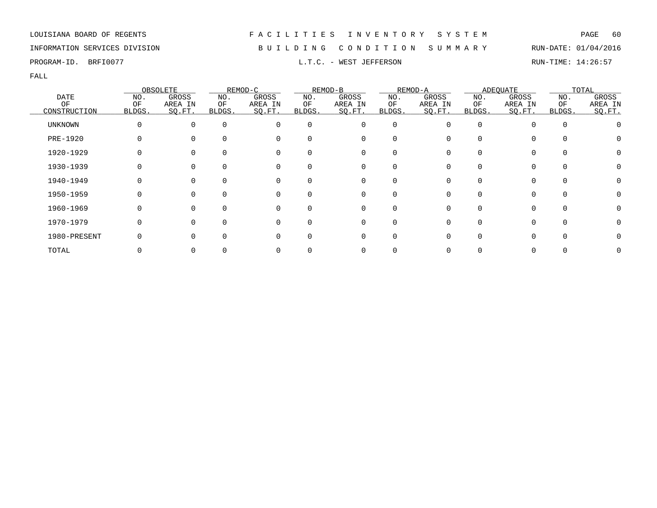### INFORMATION SERVICES DIVISION B U I L D I N G C O N D I T I O N S U M M A R Y RUN-DATE: 01/04/2016

PROGRAM-ID. BRFI0077 **EXECUTE:** 14:26:57 L.T.C. - WEST JEFFERSON RUN-TIME: 14:26:57

|                |        | OBSOLETE     |          | REMOD-C     |              | REMOD-B  |             | REMOD-A |        | <b>ADEQUATE</b> |              | TOTAL   |
|----------------|--------|--------------|----------|-------------|--------------|----------|-------------|---------|--------|-----------------|--------------|---------|
| <b>DATE</b>    | NO.    | GROSS        | NO.      | GROSS       | NO.          | GROSS    | NO.         | GROSS   | NO.    | GROSS           | NO.          | GROSS   |
| OF             | ΟF     | AREA IN      | ΟF       | AREA IN     | ΟF           | AREA IN  | ΟF          | AREA IN | ΟF     | AREA IN         | OF           | AREA IN |
| CONSTRUCTION   | BLDGS. | SQ.FT.       | BLDGS.   | SQ.FT.      | BLDGS.       | SQ.FT.   | BLDGS.      | SQ.FT.  | BLDGS. | SQ.FT.          | BLDGS.       | SO.FT.  |
| <b>UNKNOWN</b> | 0      | $\Omega$     | $\Omega$ | $\Omega$    | $\Omega$     | 0        | $\mathbf 0$ | O       |        | 0               | $\Omega$     |         |
| PRE-1920       |        |              | $\Omega$ | $\mathbf 0$ | <sup>0</sup> | 0        | 0           |         |        | 0               | 0            |         |
| 1920-1929      |        |              | $\Omega$ | 0           |              | 0        | 0           |         |        | 0               |              |         |
| 1930-1939      |        |              | $\Omega$ | 0           | 0            | 0        | 0           |         |        | 0               |              |         |
| 1940-1949      |        | 0            | $\Omega$ | 0           | $\Omega$     | 0        | 0           |         |        | 0               | $\Omega$     |         |
| 1950-1959      | O      | 0            | $\Omega$ | 0           | $\Omega$     | 0        | $\Omega$    | U       |        | 0               | $\Omega$     |         |
| 1960-1969      |        | <sup>n</sup> | $\Omega$ | $\Omega$    | $\Omega$     | $\Omega$ | $\Omega$    |         |        | 0               | <sup>n</sup> |         |
| 1970-1979      | 0      |              | $\Omega$ | $\mathbf 0$ | $\Omega$     | 0        | 0           |         |        | 0               | $\Omega$     |         |
| 1980-PRESENT   |        |              | $\Omega$ | $\Omega$    | <sup>0</sup> | 0        | 0           |         |        | 0               |              |         |
| TOTAL          |        |              |          |             |              | 0        |             |         |        | 0               |              |         |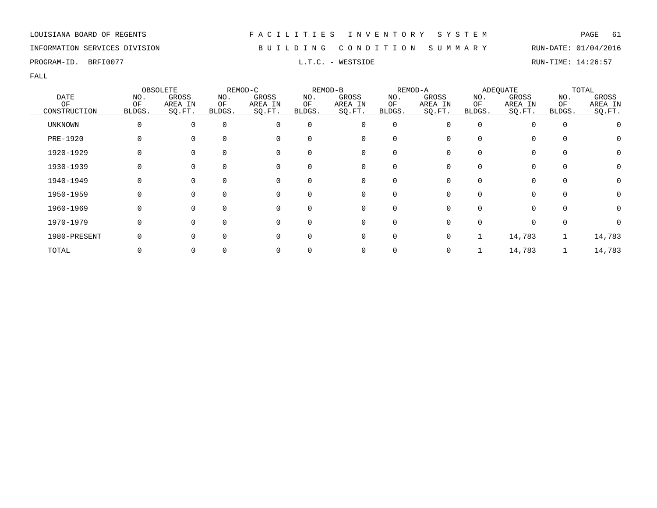### INFORMATION SERVICES DIVISION B U I L D I N G C O N D I T I O N S U M M A R Y RUN-DATE: 01/04/2016

PROGRAM-ID. BRFI0077 **EXAM-ID.** BRFI0077 **RUN-TIME:** 14:26:57

|                   |              | OBSOLETE         |               | REMOD-C          |           | REMOD-B          |             | REMOD-A          |           | <b>ADEOUATE</b>  |             | TOTAL            |
|-------------------|--------------|------------------|---------------|------------------|-----------|------------------|-------------|------------------|-----------|------------------|-------------|------------------|
| <b>DATE</b><br>OF | NO.<br>OF    | GROSS<br>AREA IN | NO.<br>ΟF     | GROSS<br>AREA IN | NO.<br>ΟF | GROSS<br>AREA IN | NO.<br>OF   | GROSS<br>AREA IN | NO.<br>ΟF | GROSS<br>AREA IN | NO.<br>OF   | GROSS<br>AREA IN |
| CONSTRUCTION      | BLDGS.       | SO.FT.           | <b>BLDGS.</b> | SQ.FT.           | BLDGS.    | SQ.FT.           | BLDGS.      | SO.FT.           | BLDGS.    | SQ.FT.           | BLDGS.      | SQ.FT.           |
| UNKNOWN           | $\Omega$     | $\Omega$         | $\mathbf 0$   | 0                | 0         | 0                | $\mathbf 0$ |                  | 0         | $\Omega$         | $\mathbf 0$ |                  |
| PRE-1920          |              |                  | $\Omega$      | 0                |           | 0                | O           |                  |           |                  | $\Omega$    |                  |
| 1920-1929         |              |                  | 0             | 0                | 0         | 0                | 0           |                  |           | $\Omega$         | 0           | 0                |
| 1930-1939         |              | 0                | 0             | 0                | 0         | 0                | 0           |                  |           | $\Omega$         | $\mathbf 0$ |                  |
| 1940-1949         | <sup>0</sup> | $\Omega$         | $\Omega$      | 0                | $\Omega$  | 0                | $\Omega$    |                  |           | <sup>0</sup>     | $\Omega$    | 0                |
| 1950-1959         | <sup>0</sup> | $\Omega$         | $\Omega$      | $\Omega$         |           | $\mathbf 0$      | 0           |                  |           | 0                | $\Omega$    |                  |
| 1960-1969         | $\Omega$     | $\Omega$         | $\Omega$      | $\Omega$         | $\Omega$  | $\mathbf 0$      | $\Omega$    |                  |           | 0                | $\Omega$    | O                |
| 1970-1979         | $\Omega$     |                  | $\Omega$      | $\Omega$         | $\Omega$  | 0                | $\Omega$    |                  |           |                  | 0           |                  |
| 1980-PRESENT      |              |                  | $\Omega$      | 0                |           | 0                | $\Omega$    |                  |           | 14,783           |             | 14,783           |
| TOTAL             |              |                  |               |                  |           | 0                |             |                  |           | 14,783           |             | 14,783           |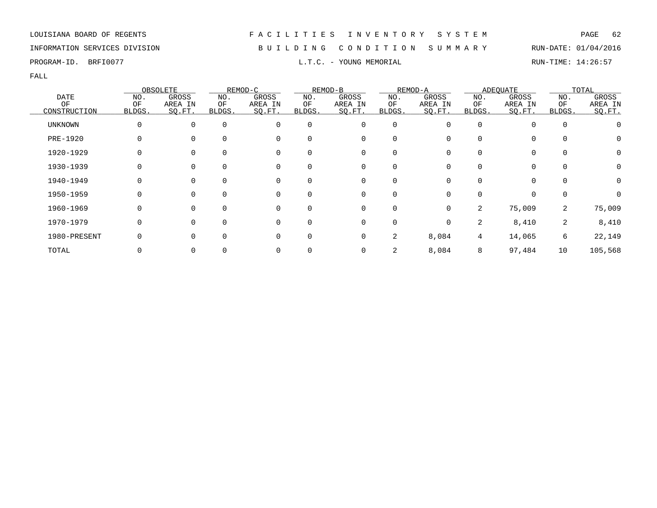### INFORMATION SERVICES DIVISION B U I L D I N G C O N D I T I O N S U M M A R Y RUN-DATE: 01/04/2016

PROGRAM-ID. BRFI0077 **EXAM-ID.** BRFI0077 **RUN-TIME:** 14:26:57

|                |        | OBSOLETE       |          | REMOD-C  |          | REMOD-B  |             | REMOD-A  |              | <b>ADEQUATE</b> |             | TOTAL   |
|----------------|--------|----------------|----------|----------|----------|----------|-------------|----------|--------------|-----------------|-------------|---------|
| <b>DATE</b>    | NO.    | GROSS          | NO.      | GROSS    | NO.      | GROSS    | NO.         | GROSS    | NO.          | GROSS           | NO.         | GROSS   |
| ΟF             | ΟF     | AREA IN        | ΟF       | AREA IN  | ΟF       | AREA IN  | ΟF          | AREA IN  | ΟF           | AREA IN         | ΟF          | AREA IN |
| CONSTRUCTION   | BLDGS. | SO.FT.         | BLDGS.   | SQ.FT.   | BLDGS.   | SQ.FT.   | BLDGS.      | SQ.FT.   | <b>BLDGS</b> | SQ.FT.          | BLDGS.      | SO.FT.  |
| <b>UNKNOWN</b> |        | 0              | $\Omega$ | 0        | $\Omega$ | 0        | 0           | 0        | $\Omega$     | $\Omega$        | $\mathbf 0$ |         |
| PRE-1920       |        | 0              | $\Omega$ | 0        | $\Omega$ | 0        | 0           |          |              | $\mathbf 0$     | 0           | 0       |
| 1920-1929      |        | $\Omega$       | $\Omega$ | 0        | 0        | 0        | 0           |          |              | 0               | 0           | 0       |
| 1930-1939      |        | 0              |          | 0        | 0        | 0        | 0           |          |              | 0               | 0           | 0       |
| 1940-1949      |        | $\overline{0}$ | $\Omega$ | 0        | $\Omega$ | 0        | 0           | 0        |              | $\Omega$        | 0           | 0       |
| 1950-1959      | O      | $\overline{0}$ | $\Omega$ | 0        | $\Omega$ | 0        | $\Omega$    | 0        |              | $\Omega$        | 0           | O       |
| 1960-1969      |        | $\Omega$       | $\Omega$ | $\Omega$ | 0        | $\Omega$ | $\Omega$    | $\Omega$ | 2            | 75,009          | 2           | 75,009  |
| 1970-1979      |        | $\Omega$       | $\Omega$ | 0        | $\Omega$ | 0        | $\mathbf 0$ | $\Omega$ | 2            | 8,410           | 2           | 8,410   |
| 1980-PRESENT   |        | $\mathbf 0$    | $\Omega$ | 0        | $\Omega$ | 0        | 2           | 8,084    | 4            | 14,065          | 6           | 22,149  |
| TOTAL          |        | 0              |          |          |          | 0        | 2           | 8,084    | 8            | 97,484          | 10          | 105,568 |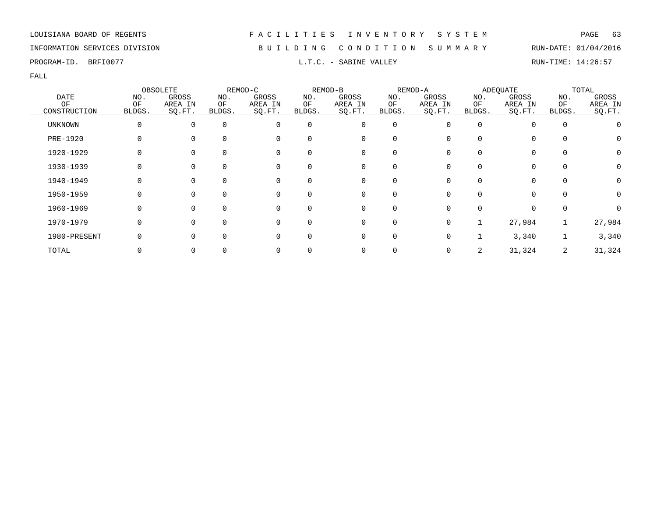### INFORMATION SERVICES DIVISION B U I L D I N G C O N D I T I O N S U M M A R Y RUN-DATE: 01/04/2016

PROGRAM-ID. BRFI0077 **EXABINE SOLUTE:** 14:26:57 L.T.C. - SABINE VALLEY

|                |        | OBSOLETE |          | REMOD-C  |          | REMOD-B  |             | REMOD-A |          | <b>ADEQUATE</b> |             | TOTAL   |
|----------------|--------|----------|----------|----------|----------|----------|-------------|---------|----------|-----------------|-------------|---------|
| <b>DATE</b>    | NO.    | GROSS    | NO.      | GROSS    | NO.      | GROSS    | NO.         | GROSS   | NO.      | GROSS           | NO.         | GROSS   |
| OF             | ΟF     | AREA IN  | ОF       | AREA IN  | ΟF       | AREA IN  | ΟF          | AREA IN | ΟF       | AREA IN         | ΟF          | AREA IN |
| CONSTRUCTION   | BLDGS. | SO.FT.   | BLDGS.   | SQ.FT.   | BLDGS.   | SO.FT.   | BLDGS.      | SQ.FT.  | BLDGS.   | SQ.FT.          | BLDGS.      | SO.FT.  |
| <b>UNKNOWN</b> | 0      | $\Omega$ | $\Omega$ | 0        | $\Omega$ | 0        | $\mathbf 0$ | O       | $\Omega$ |                 | $\mathbf 0$ |         |
| PRE-1920       | 0      | $\Omega$ | $\Omega$ | 0        | 0        | 0        | $\Omega$    |         |          | $\Omega$        | 0           | O       |
| 1920-1929      |        |          |          | 0        | 0        | 0        | $\Omega$    |         |          | $\Omega$        | 0           | 0       |
| 1930-1939      |        |          |          | 0        | 0        | 0        |             |         |          |                 | 0           | 0       |
| 1940-1949      |        | $\Omega$ | $\Omega$ | 0        | $\Omega$ | 0        | $\Omega$    |         |          | $\Omega$        | 0           | 0       |
| 1950-1959      | 0      | $\Omega$ | $\Omega$ | 0        | $\Omega$ | 0        | $\Omega$    | 0       |          | $\Omega$        | $\Omega$    | 0       |
| 1960-1969      | O      | $\Omega$ |          | $\Omega$ | 0        | $\Omega$ | $\Omega$    |         |          | <sup>n</sup>    | $\Omega$    |         |
| 1970-1979      | 0      | $\Omega$ | $\Omega$ | 0        | 0        | 0        | $\mathbf 0$ | 0       |          | 27,984          |             | 27,984  |
| 1980-PRESENT   |        | $\Omega$ | $\Omega$ | $\Omega$ | 0        | 0        | $\mathbf 0$ |         |          | 3,340           |             | 3,340   |
| TOTAL          |        |          |          | 0        |          | 0        |             |         | 2        | 31,324          | 2           | 31,324  |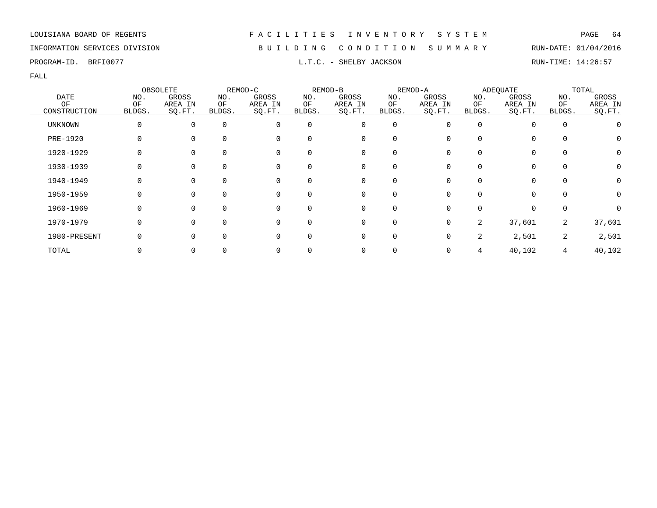### INFORMATION SERVICES DIVISION B U I L D I N G C O N D I T I O N S U M M A R Y RUN-DATE: 01/04/2016

PROGRAM-ID. BRFI0077 **EXELLES** BRFIO077 **RUN-TIME: 14:26:57** 

|                 |              | OBSOLETE |          | REMOD-C  |          | REMOD-B     |             | REMOD-A |          | <b>ADEQUATE</b> |             | TOTAL   |
|-----------------|--------------|----------|----------|----------|----------|-------------|-------------|---------|----------|-----------------|-------------|---------|
| <b>DATE</b>     | NO.          | GROSS    | NO.      | GROSS    | NO.      | GROSS       | NO.         | GROSS   | NO.      | GROSS           | NO.         | GROSS   |
| OF              | OF           | AREA IN  | ОF       | AREA IN  | ΟF       | AREA IN     | ΟF          | AREA IN | ΟF       | AREA IN         | OF          | AREA IN |
| CONSTRUCTION    | <b>BLDGS</b> | SO.FT.   | BLDGS.   | SQ.FT.   | BLDGS.   | SQ.FT.      | BLDGS.      | SO.FT.  | BLDGS.   | SQ.FT.          | BLDGS.      | SQ.FT.  |
| <b>UNKNOWN</b>  | 0            | $\Omega$ | $\Omega$ | 0        | $\Omega$ | 0           | $\mathbf 0$ |         | $\Omega$ |                 | $\mathbf 0$ |         |
| <b>PRE-1920</b> | 0            |          | $\Omega$ | 0        | 0        | 0           | $\Omega$    |         |          | $\Omega$        | 0           | O       |
| 1920-1929       |              | $\Omega$ |          | 0        | 0        | 0           | $\Omega$    |         |          | $\Omega$        | 0           | 0       |
| 1930-1939       |              |          | 0        | 0        | 0        | 0           | $\Omega$    |         |          | 0               | 0           |         |
| 1940-1949       | 0            | $\Omega$ | $\Omega$ | 0        | $\Omega$ | 0           | $\Omega$    | 0       |          | $\Omega$        | 0           | 0       |
| 1950-1959       | 0            | $\Omega$ | $\Omega$ | $\Omega$ | $\Omega$ | $\mathbf 0$ | $\Omega$    | ∩       |          | $\Omega$        | $\Omega$    | 0       |
| 1960-1969       | 0            | $\Omega$ | $\Omega$ | 0        | 0        | 0           | $\Omega$    |         |          | $\Omega$        | 0           |         |
| 1970-1979       | 0            | $\Omega$ | $\Omega$ | $\Omega$ | 0        | 0           | $\mathbf 0$ | U       | 2        | 37,601          | 2           | 37,601  |
| 1980-PRESENT    |              |          |          | 0        | 0        | 0           | $\Omega$    |         | 2        | 2,501           | 2           | 2,501   |
| TOTAL           |              |          |          |          |          | 0           |             |         |          | 40,102          | 4           | 40,102  |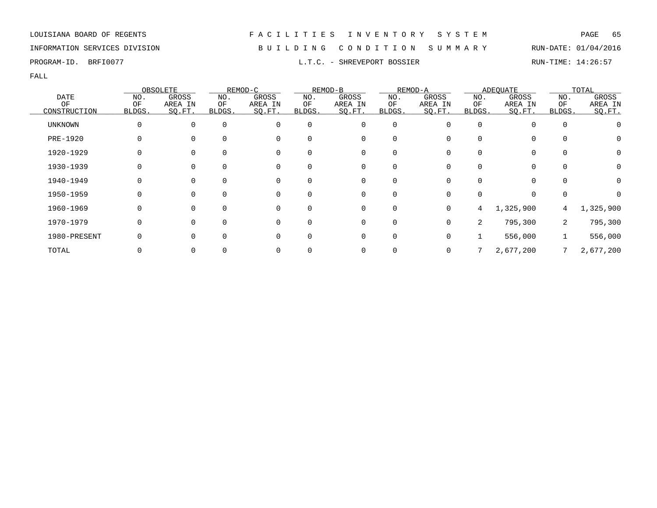### INFORMATION SERVICES DIVISION B U I L D I N G C O N D I T I O N S U M M A R Y RUN-DATE: 01/04/2016

PROGRAM-ID. BRFI0077 **EXECUTE:** 14:26:57 L.T.C. - SHREVEPORT BOSSIER RUN-TIME: 14:26:57

|                |              | OBSOLETE |          | REMOD-C  |          | REMOD-B     |             | REMOD-A      |                | <b>ADEQUATE</b> |             | TOTAL     |
|----------------|--------------|----------|----------|----------|----------|-------------|-------------|--------------|----------------|-----------------|-------------|-----------|
| <b>DATE</b>    | NO.          | GROSS    | NO.      | GROSS    | NO.      | GROSS       | NO.         | GROSS        | NO.            | GROSS           | NO.         | GROSS     |
| OF             | OF           | AREA IN  | ОF       | AREA IN  | ΟF       | AREA IN     | ΟF          | AREA IN      | ΟF             | AREA IN         | ΟF          | AREA IN   |
| CONSTRUCTION   | <b>BLDGS</b> | SO.FT.   | BLDGS.   | SQ.FT.   | BLDGS.   | SQ.FT.      | BLDGS.      | SQ.FT.       | BLDGS.         | SQ.FT.          | BLDGS.      | SQ.FT.    |
| <b>UNKNOWN</b> | 0            | $\Omega$ | $\Omega$ | 0        | $\Omega$ | 0           | $\mathbf 0$ |              | $\Omega$       |                 | $\mathbf 0$ |           |
| PRE-1920       | 0            |          | $\Omega$ | 0        | 0        | 0           | $\Omega$    |              |                | $\Omega$        | 0           | 0         |
| 1920-1929      |              | $\Omega$ |          | 0        | 0        | 0           | $\Omega$    |              |                | 0               | 0           | 0         |
| 1930-1939      |              |          | 0        | 0        | 0        | 0           | $\Omega$    |              |                |                 | 0           | 0         |
| 1940-1949      | 0            | $\Omega$ | $\Omega$ | 0        | $\Omega$ | 0           | $\Omega$    | 0            |                | $\Omega$        | $\Omega$    | 0         |
| 1950-1959      | 0            | $\Omega$ | $\Omega$ | $\Omega$ | $\Omega$ | $\mathbf 0$ | $\Omega$    | <sup>n</sup> |                | $\Omega$        | 0           |           |
| 1960-1969      | 0            | $\Omega$ | $\Omega$ | 0        | 0        | 0           | 0           | 0            | 4              | 1,325,900       | 4           | 1,325,900 |
| 1970-1979      | 0            | $\Omega$ | $\Omega$ | 0        | 0        | 0           | $\mathbf 0$ | 0            | $\overline{2}$ | 795,300         | 2           | 795,300   |
| 1980-PRESENT   |              |          |          | 0        | 0        | 0           | $\Omega$    | U            |                | 556,000         |             | 556,000   |
| TOTAL          |              |          |          | 0        |          | 0           |             |              |                | 2,677,200       |             | 2,677,200 |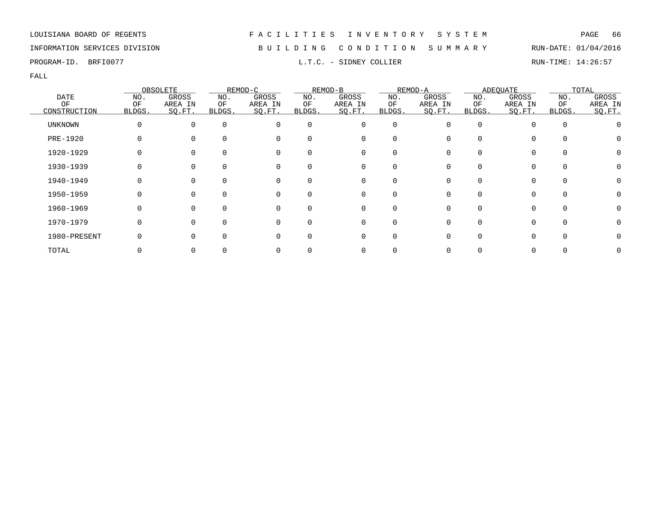### INFORMATION SERVICES DIVISION B U I L D I N G C O N D I T I O N S U M M A R Y RUN-DATE: 01/04/2016

PROGRAM-ID. BRFI0077 **EXAM-ID.** BRFI0077 **RUN-TIME:** 14:26:57

|                |        | OBSOLETE     |             | REMOD-C  |              | REMOD-B     |             | REMOD-A      |        | <b>ADEQUATE</b> |              | TOTAL   |
|----------------|--------|--------------|-------------|----------|--------------|-------------|-------------|--------------|--------|-----------------|--------------|---------|
| <b>DATE</b>    | NO.    | GROSS        | NO.         | GROSS    | NO.          | GROSS       | NO.         | GROSS        | NO.    | GROSS           | NO.          | GROSS   |
| OF             | ΟF     | AREA IN      | ΟF          | AREA IN  | ΟF           | AREA IN     | ΟF          | AREA IN      | ΟF     | AREA IN         | ΟF           | AREA IN |
| CONSTRUCTION   | BLDGS. | SO.FT.       | BLDGS.      | SQ.FT.   | BLDGS.       | SO.FT.      | BLDGS.      | SQ.FT.       | BLDGS. | SQ.FT.          | BLDGS.       | SQ.FT.  |
| <b>UNKNOWN</b> | 0      | $\Omega$     | $\mathbf 0$ | $\Omega$ | $\Omega$     | 0           | $\mathbf 0$ | <sup>0</sup> |        | 0               | $\Omega$     |         |
| PRE-1920       |        |              | $\Omega$    | 0        | <sup>0</sup> | 0           | 0           |              |        | 0               | 0            |         |
| 1920-1929      |        |              | $\Omega$    | 0        |              | 0           | 0           |              |        | 0               |              |         |
| 1930-1939      |        |              | 0           | 0        | 0            | 0           | 0           |              |        | 0               |              |         |
| 1940-1949      | O      | 0            | $\Omega$    | 0        | 0            | 0           | 0           | O            | 0      | 0               | $\Omega$     |         |
| 1950-1959      | O      | 0            | $\Omega$    | $\Omega$ | $\Omega$     | $\Omega$    | $\Omega$    |              |        | $\Omega$        | <sup>n</sup> |         |
| 1960-1969      | O      | <sup>n</sup> | $\Omega$    | $\Omega$ | $\Omega$     | $\mathbf 0$ | $\Omega$    |              | U      | 0               | $\Omega$     |         |
| 1970-1979      |        |              | $\Omega$    | $\Omega$ | $\Omega$     | 0           | 0           |              |        | 0               |              |         |
| 1980-PRESENT   |        |              | $\Omega$    | $\Omega$ | <sup>0</sup> | 0           | 0           |              |        | 0               |              |         |
| TOTAL          |        |              |             |          |              | 0           |             |              |        | 0               |              |         |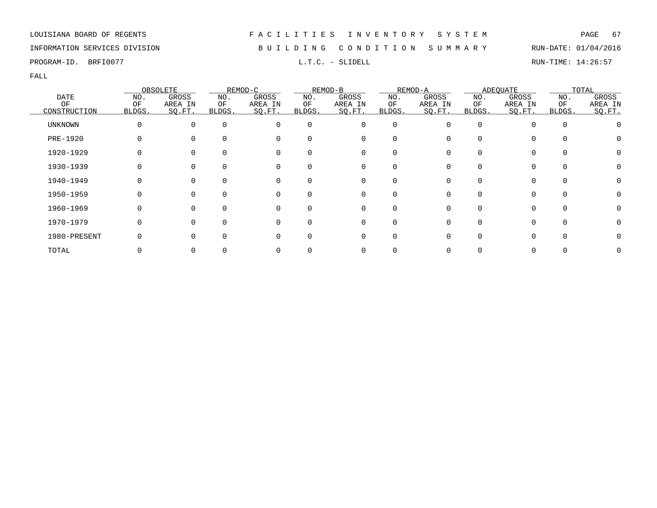### INFORMATION SERVICES DIVISION B U I L D I N G C O N D I T I O N S U M M A R Y RUN-DATE: 01/04/2016

PROGRAM-ID. BRFI0077 **EXECUTE:** L.T.C. - SLIDELL RUN-TIME: 14:26:57

|                |          | OBSOLETE |          | REMOD-C  |          | REMOD-B  |             | REMOD-A |        | <b>ADEQUATE</b> |          | TOTAL   |
|----------------|----------|----------|----------|----------|----------|----------|-------------|---------|--------|-----------------|----------|---------|
| <b>DATE</b>    | NO.      | GROSS    | NO.      | GROSS    | NO.      | GROSS    | NO.         | GROSS   | NO.    | GROSS           | NO.      | GROSS   |
| ΟF             | ΟF       | AREA IN  | ΟF       | AREA IN  | ΟF       | AREA IN  | ΟF          | AREA IN | ΟF     | AREA IN         | OF       | AREA IN |
| CONSTRUCTION   | BLDGS.   | SO.FT.   | BLDGS.   | SQ.FT.   | BLDGS.   | SQ.FT.   | BLDGS.      | SQ.FT.  | BLDGS. | SQ.FT.          | BLDGS.   | SO.FT.  |
| <b>UNKNOWN</b> | $\Omega$ | $\Omega$ | $\Omega$ | $\Omega$ | $\Omega$ | 0        | $\mathbf 0$ | O       |        |                 | $\Omega$ |         |
| PRE-1920       |          |          | $\Omega$ | $\Omega$ | $\Omega$ | 0        | 0           |         |        | 0               |          |         |
| 1920-1929      |          |          |          | $\Omega$ |          | 0        | $\Omega$    |         |        | 0               |          |         |
| 1930-1939      |          |          |          |          | 0        | 0        | 0           |         |        | 0               |          |         |
| 1940-1949      |          |          | $\Omega$ | 0        | $\Omega$ | 0        | 0           |         |        | 0               |          |         |
| 1950-1959      | O        |          | $\Omega$ | $\Omega$ | $\Omega$ | 0        | $\Omega$    | ∩       |        | $\Omega$        | $\Omega$ |         |
| 1960-1969      |          |          | $\Omega$ | ∩        | $\Omega$ | $\Omega$ | $\Omega$    |         |        | 0               |          |         |
| 1970-1979      |          |          | $\Omega$ | $\Omega$ | $\Omega$ | 0        | $\mathbf 0$ |         |        | 0               | $\Omega$ |         |
| 1980-PRESENT   |          |          | $\Omega$ |          | $\Omega$ | 0        | $\mathbf 0$ |         |        | 0               |          |         |
| TOTAL          |          |          |          |          |          | 0        | 0           |         |        |                 |          |         |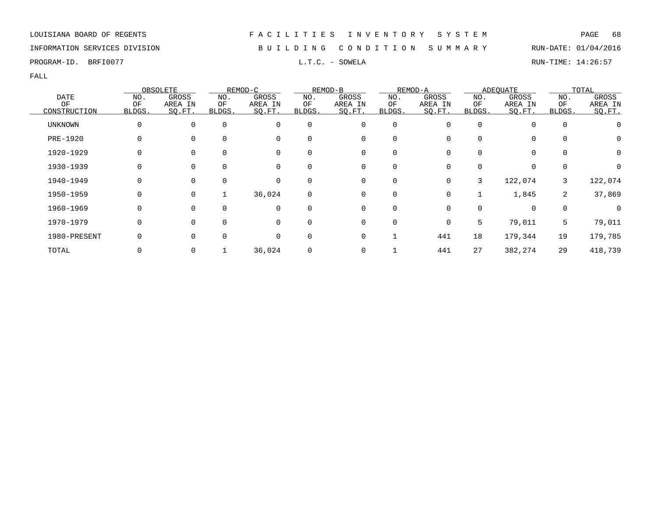### INFORMATION SERVICES DIVISION B U I L D I N G C O N D I T I O N S U M M A R Y RUN-DATE: 01/04/2016

PROGRAM-ID. BRFI0077 **EXECUTE:** 14:26:57

|                |        | OBSOLETE |             | REMOD-C     |        | REMOD-B |          | REMOD-A |              | <b>ADEOUATE</b> |                | TOTAL   |
|----------------|--------|----------|-------------|-------------|--------|---------|----------|---------|--------------|-----------------|----------------|---------|
| <b>DATE</b>    | NO.    | GROSS    | NO.         | GROSS       | NO.    | GROSS   | NO.      | GROSS   | NO.          | GROSS           | NO.            | GROSS   |
| OF             | OF     | AREA IN  | ΟF          | AREA IN     | ΟF     | AREA IN | OF       | AREA IN | ΟF           | AREA IN         | OF             | AREA IN |
| CONSTRUCTION   | BLDGS. | SQ.FT.   | BLDGS.      | SQ.FT.      | BLDGS. | SQ.FT.  | BLDGS.   | SQ.FT.  | BLDGS.       | SQ.FT.          | BLDGS.         | SQ.FT.  |
| <b>UNKNOWN</b> | 0      | $\Omega$ | $\mathbf 0$ | 0           | 0      | 0       | 0        |         | 0            |                 | $\overline{0}$ | O       |
| PRE-1920       | O      |          | $\Omega$    | 0           |        | 0       | $\Omega$ |         | U            |                 | $\Omega$       | 0       |
| 1920-1929      | 0      |          | 0           | 0           | 0      | 0       | 0        |         | <sup>0</sup> | 0               | 0              | 0       |
| 1930-1939      | 0      | 0        | 0           | 0           | 0      | 0       | 0        |         | 0            | 0               | 0              |         |
| 1940-1949      | 0      | $\Omega$ | $\mathbf 0$ | 0           | 0      | 0       | 0        | 0       | 3            | 122,074         | 3              | 122,074 |
| 1950-1959      | 0      | $\Omega$ | 1           | 36,024      | 0      | 0       | $\Omega$ | O       |              | 1,845           | 2              | 37,869  |
| 1960-1969      | 0      | $\Omega$ | $\Omega$    | $\mathbf 0$ | 0      | 0       | 0        |         | 0            | $\Omega$        | $\overline{0}$ |         |
| 1970-1979      | 0      | $\Omega$ | $\mathbf 0$ | $\mathbf 0$ | 0      | 0       | 0        | 0       | 5            | 79,011          | 5              | 79,011  |
| 1980-PRESENT   |        |          | $\Omega$    | $\mathbf 0$ | 0      | 0       |          | 441     | 18           | 179,344         | 19             | 179,785 |
| TOTAL          |        | 0        |             | 36,024      |        | 0       |          | 441     | 27           | 382,274         | 29             | 418,739 |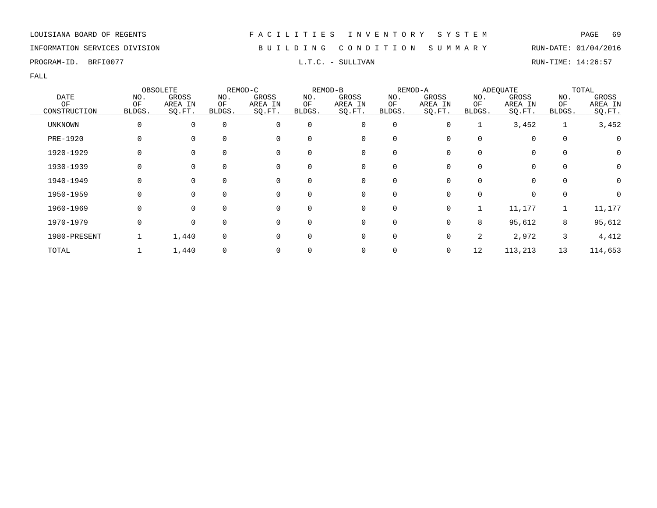### INFORMATION SERVICES DIVISION B U I L D I N G C O N D I T I O N S U M M A R Y RUN-DATE: 01/04/2016

PROGRAM-ID. BRFI0077 **EXAM-ID.** BRFI0077 **RUN-TIME:** 14:26:57

|                |        | OBSOLETE    |             | REMOD-C     |          | REMOD-B      |          | REMOD-A |              | <b>ADEOUATE</b> |             | TOTAL            |
|----------------|--------|-------------|-------------|-------------|----------|--------------|----------|---------|--------------|-----------------|-------------|------------------|
| <b>DATE</b>    | NO.    | GROSS       | NO.         | GROSS       | NO.      | GROSS        | NO.      | GROSS   | NO.          | GROSS           | NO.         | GROSS            |
| OF             | OF     | AREA IN     | ΟF          | AREA IN     | ΟF       | AREA IN      | OF       | AREA IN | ΟF           | AREA IN         | OF          | AREA IN          |
| CONSTRUCTION   | BLDGS. | SQ.FT.      | BLDGS.      | SQ.FT.      | BLDGS.   | SQ.FT.       | BLDGS.   | SO.FT.  | BLDGS.       | SQ.FT.          | BLDGS.      | SQ.FT.           |
| <b>UNKNOWN</b> | 0      | $\Omega$    | $\mathbf 0$ | $\mathbf 0$ | 0        | 0            | 0        | 0       |              | 3,452           |             | 3,452            |
| PRE-1920       | O      |             | $\Omega$    | 0           |          | 0            | $\Omega$ |         | <sup>0</sup> |                 | $\mathbf 0$ | $\left( \right)$ |
| 1920-1929      | 0      |             | 0           | 0           | 0        | 0            | 0        |         | 0            | 0               | 0           | 0                |
| 1930-1939      | 0      | 0           | 0           | 0           | 0        | 0            | 0        |         | 0            | 0               | 0           | 0                |
| 1940-1949      | 0      | $\Omega$    | $\Omega$    | 0           | 0        | $\mathbf{0}$ | 0        | O       | 0            | 0               | $\Omega$    | 0                |
| 1950-1959      | 0      | $\Omega$    | $\Omega$    | $\Omega$    | $\Omega$ | 0            | $\Omega$ |         | U            | 0               | $\Omega$    | O                |
| 1960-1969      | 0      | $\Omega$    | $\Omega$    | $\mathbf 0$ | $\Omega$ | 0            | 0        | 0       |              | 11,177          |             | 11,177           |
| 1970-1979      | 0      | $\mathbf 0$ | $\mathbf 0$ | $\Omega$    | 0        | 0            | 0        |         | 8            | 95,612          | 8           | 95,612           |
| 1980-PRESENT   |        | 1,440       | 0           | 0           |          | 0            | 0        |         | 2            | 2,972           | 3           | 4,412            |
| TOTAL          |        | 1,440       | 0           | 0           |          | 0            |          |         | 12           | 113,213         | 13          | 114,653          |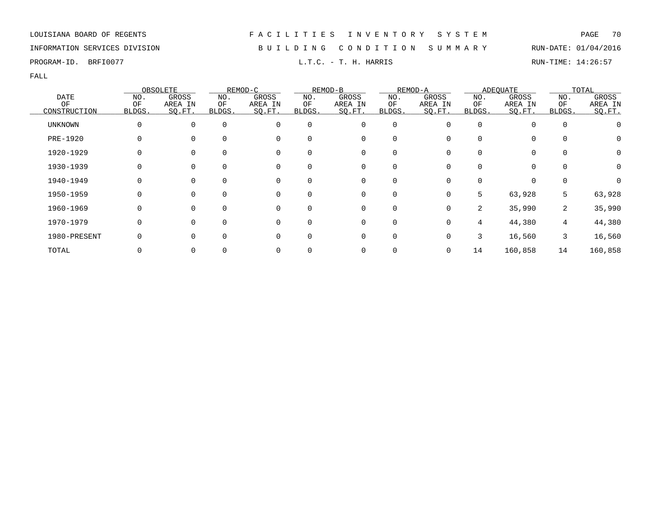### INFORMATION SERVICES DIVISION B U I L D I N G C O N D I T I O N S U M M A R Y RUN-DATE: 01/04/2016

PROGRAM-ID. BRFI0077 **EXAM-ID.** BRFI0077 **RUN-TIME:** 14:26:57

|                 | OBSOLETE |              | REMOD-C     |          | REMOD-B  |         | REMOD-A     |         | <b>ADEOUATE</b> |          | TOTAL       |         |
|-----------------|----------|--------------|-------------|----------|----------|---------|-------------|---------|-----------------|----------|-------------|---------|
| <b>DATE</b>     | NO.      | <b>GROSS</b> | NO.         | GROSS    | NO.      | GROSS   | NO.         | GROSS   | NO.             | GROSS    | NO.         | GROSS   |
| OF              | OF       | AREA IN      | ОF          | AREA IN  | ΟF       | AREA IN | ΟF          | AREA IN | ΟF              | AREA IN  | OF          | AREA IN |
| CONSTRUCTION    | BLDGS.   | SQ.FT.       | BLDGS.      | SQ.FT.   | BLDGS.   | SQ.FT.  | BLDGS.      | SO.FT.  | BLDGS.          | SQ.FT.   | BLDGS.      | SQ.FT.  |
| UNKNOWN         | 0        | 0            | $\mathbf 0$ | 0        | 0        | 0       | 0           |         | $\Omega$        | $\Omega$ | 0           |         |
| <b>PRE-1920</b> | O        |              |             | 0        | 0        | 0       | $\Omega$    |         |                 | 0        | 0           | 0       |
| 1920-1929       | 0        | 0            | 0           | 0        | 0        | 0       | 0           |         |                 | 0        | 0           | 0       |
| 1930-1939       | 0        | $\Omega$     | 0           | 0        | $\Omega$ | 0       | 0           |         |                 | $\Omega$ | $\mathbf 0$ | 0       |
| 1940-1949       | O        | $\Omega$     | $\Omega$    | 0        | 0        | 0       | $\Omega$    |         |                 | $\Omega$ | $\Omega$    | O       |
| 1950-1959       | 0        | $\Omega$     | $\Omega$    | 0        | 0        | 0       | $\Omega$    | 0       | 5               | 63,928   | 5           | 63,928  |
| 1960-1969       | 0        | $\Omega$     | $\Omega$    | $\Omega$ | $\Omega$ | 0       | $\mathbf 0$ | 0       | 2               | 35,990   | 2           | 35,990  |
| 1970-1979       | 0        | $\Omega$     | $\Omega$    | 0        | 0        | 0       | 0           |         | 4               | 44,380   | 4           | 44,380  |
| 1980-PRESENT    |          |              |             | 0        | 0        | 0       | 0           | 0       | 3               | 16,560   | 3           | 16,560  |
| TOTAL           |          | $\Omega$     |             | 0        |          | 0       | 0           | 0       | 14              | 160,858  | 14          | 160,858 |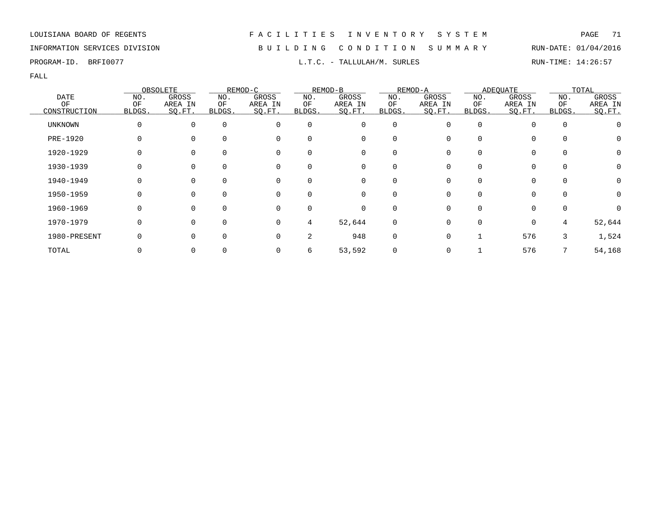INFORMATION SERVICES DIVISION B U I L D I N G C O N D I T I O N S U M M A R Y RUN-DATE: 01/04/2016

FALL

| <b>DATE</b>        | OBSOLETE  |                   | REMOD-C      |                   | REMOD-B      |                   | REMOD-A      |                   | <b>ADEQUATE</b> |                   | TOTAL       |                   |
|--------------------|-----------|-------------------|--------------|-------------------|--------------|-------------------|--------------|-------------------|-----------------|-------------------|-------------|-------------------|
|                    | NO.<br>OF | GROSS             | NO.          | GROSS             | NO.          | GROSS             | NO.          | GROSS             | NO.             | GROSS             | NO.<br>OF   | GROSS             |
| OF<br>CONSTRUCTION | BLDGS.    | AREA IN<br>SO.FT. | ΟF<br>BLDGS. | AREA IN<br>SQ.FT. | ΟF<br>BLDGS. | AREA IN<br>SQ.FT. | ΟF<br>BLDGS. | AREA IN<br>SO.FT. | ΟF<br>BLDGS.    | AREA IN<br>SQ.FT. | BLDGS.      | AREA IN<br>SQ.FT. |
| <b>UNKNOWN</b>     | $\Omega$  | $\Omega$          | $\mathbf 0$  | $\Omega$          | 0            | 0                 | $\mathbf 0$  |                   | $\Omega$        |                   | $\mathbf 0$ |                   |
| PRE-1920           | 0         |                   | $\Omega$     | 0                 |              | 0                 | 0            |                   |                 | $\Omega$          | $\Omega$    |                   |
| 1920-1929          |           |                   | 0            | 0                 | 0            | 0                 | 0            |                   |                 | 0                 | 0           | 0                 |
| 1930-1939          |           |                   | 0            | 0                 | 0            | 0                 | 0            |                   |                 | $\Omega$          | $\mathbf 0$ |                   |
| 1940-1949          | 0         | $\Omega$          | $\Omega$     | 0                 | $\Omega$     | $\overline{0}$    | $\Omega$     |                   |                 | $\Omega$          | $\Omega$    | 0                 |
| 1950-1959          | $\Omega$  | $\Omega$          | $\Omega$     | $\Omega$          |              | $\mathbf 0$       | $\Omega$     |                   |                 | 0                 | $\Omega$    | 0                 |
| 1960-1969          | $\Omega$  | $\Omega$          | $\Omega$     | 0                 | $\Omega$     | 0                 | $\Omega$     |                   |                 | $\Omega$          | 0           |                   |
| 1970-1979          | $\Omega$  |                   | $\Omega$     | $\Omega$          | 4            | 52,644            | 0            |                   |                 | $\mathbf 0$       | 4           | 52,644            |
| 1980-PRESENT       |           |                   | $\Omega$     | $\Omega$          | 2            | 948               | 0            |                   |                 | 576               | 3           | 1,524             |
| TOTAL              |           |                   |              |                   | 6            | 53,592            |              |                   |                 | 576               |             | 54,168            |

PROGRAM-ID. BRFI0077 **EXECUTE:** 14:26:57 L.T.C. - TALLULAH/M. SURLES RUN-TIME: 14:26:57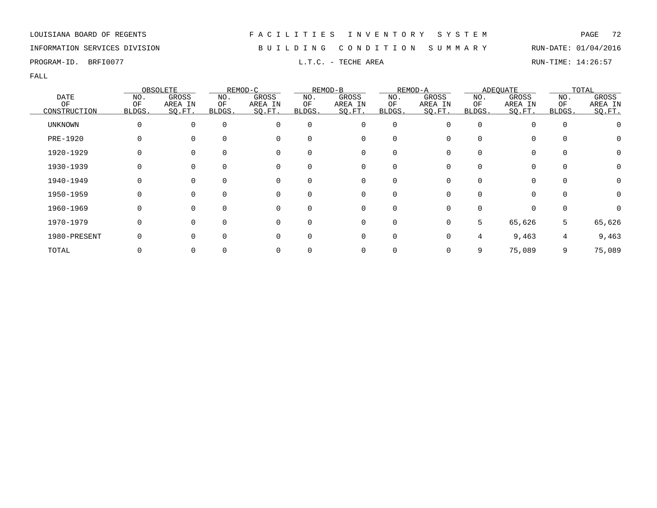### INFORMATION SERVICES DIVISION B U I L D I N G C O N D I T I O N S U M M A R Y RUN-DATE: 01/04/2016

PROGRAM-ID. BRFI0077 **EXELLER EXECUTE AREA** L.T.C. - TECHE AREA RUN-TIME: 14:26:57

| <b>DATE</b>     | OBSOLETE |          | REMOD-C     |          | REMOD-B  |             | REMOD-A     |         | <b>ADEOUATE</b> |          | TOTAL       |              |
|-----------------|----------|----------|-------------|----------|----------|-------------|-------------|---------|-----------------|----------|-------------|--------------|
|                 | NO.      | GROSS    | NO.         | GROSS    | NO.      | GROSS       | NO.         | GROSS   | NO.             | GROSS    | NO.         | GROSS        |
| OF              | OF       | AREA IN  | ОF          | AREA IN  | ΟF       | AREA IN     | OF          | AREA IN | ΟF              | AREA IN  | OF          | AREA IN      |
| CONSTRUCTION    | BLDGS.   | SO.FT.   | BLDGS.      | SQ.FT.   | BLDGS.   | SQ.FT.      | BLDGS.      | SO.FT.  | BLDGS.          | SQ.FT.   | BLDGS.      | SQ.FT.       |
| UNKNOWN         | 0        | $\Omega$ | $\mathbf 0$ | 0        | 0        | 0           | 0           |         | $\Omega$        | $\Omega$ | $\mathbf 0$ |              |
| <b>PRE-1920</b> |          |          |             | 0        | 0        | 0           | O           |         |                 | $\Omega$ | 0           | $\mathbf{0}$ |
| 1920-1929       |          |          | 0           | 0        | 0        | 0           | 0           |         |                 | 0        | 0           | 0            |
| 1930-1939       |          | 0        | 0           | 0        | 0        | 0           | 0           |         |                 | 0        | $\mathbf 0$ |              |
| 1940-1949       | 0        | $\Omega$ | $\Omega$    | 0        | $\Omega$ | 0           | $\Omega$    |         |                 | $\Omega$ | $\Omega$    | 0            |
| 1950-1959       | O        | $\Omega$ | 0           | $\Omega$ | 0        | $\Omega$    | $\Omega$    |         |                 | $\Omega$ | $\Omega$    | 0            |
| 1960-1969       | O        | $\Omega$ | $\Omega$    | $\Omega$ | 0        | $\mathbf 0$ | $\Omega$    |         |                 | $\Omega$ | 0           |              |
| 1970-1979       | 0        | $\Omega$ | $\Omega$    | $\Omega$ | 0        | 0           | $\mathbf 0$ |         | 5               | 65,626   | 5           | 65,626       |
| 1980-PRESENT    |          |          | $\Omega$    | 0        | 0        | 0           | $\Omega$    |         | 4               | 9,463    | 4           | 9,463        |
| TOTAL           |          |          |             | 0        |          | 0           |             |         | 9               | 75,089   | 9           | 75,089       |